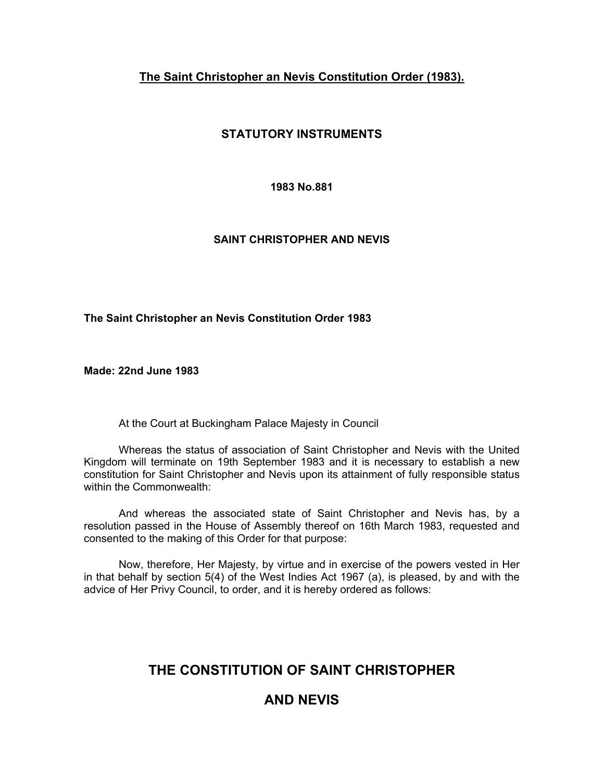# **The Saint Christopher an Nevis Constitution Order (1983).**

# **STATUTORY INSTRUMENTS**

#### **1983 No.881**

## **SAINT CHRISTOPHER AND NEVIS**

**The Saint Christopher an Nevis Constitution Order 1983**

**Made: 22nd June 1983**

At the Court at Buckingham Palace Majesty in Council

Whereas the status of association of Saint Christopher and Nevis with the United Kingdom will terminate on 19th September 1983 and it is necessary to establish a new constitution for Saint Christopher and Nevis upon its attainment of fully responsible status within the Commonwealth:

And whereas the associated state of Saint Christopher and Nevis has, by a resolution passed in the House of Assembly thereof on 16th March 1983, requested and consented to the making of this Order for that purpose:

Now, therefore, Her Majesty, by virtue and in exercise of the powers vested in Her in that behalf by section 5(4) of the West Indies Act 1967 (a), is pleased, by and with the advice of Her Privy Council, to order, and it is hereby ordered as follows:

# **THE CONSTITUTION OF SAINT CHRISTOPHER**

# **AND NEVIS**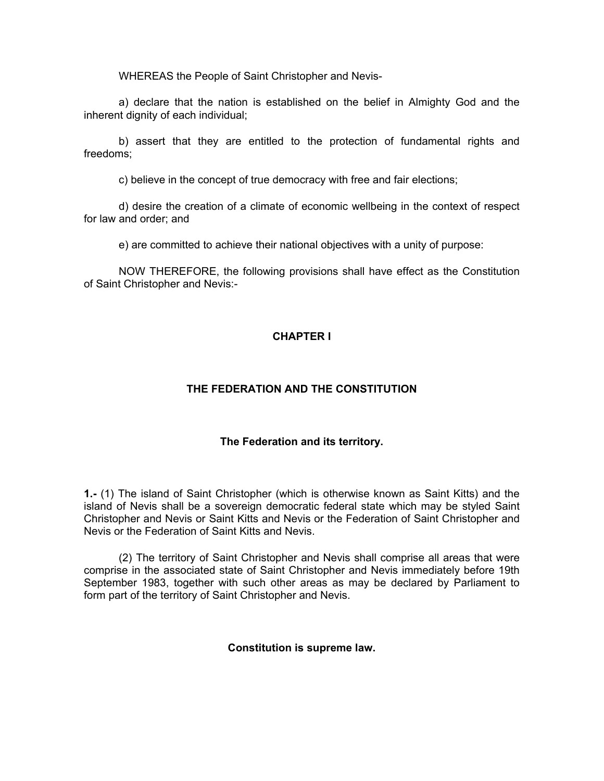WHEREAS the People of Saint Christopher and Nevis-

a) declare that the nation is established on the belief in Almighty God and the inherent dignity of each individual;

b) assert that they are entitled to the protection of fundamental rights and freedoms;

c) believe in the concept of true democracy with free and fair elections;

d) desire the creation of a climate of economic wellbeing in the context of respect for law and order; and

e) are committed to achieve their national objectives with a unity of purpose:

NOW THEREFORE, the following provisions shall have effect as the Constitution of Saint Christopher and Nevis:-

# **CHAPTER I**

## **THE FEDERATION AND THE CONSTITUTION**

## **The Federation and its territory.**

**1.-** (1) The island of Saint Christopher (which is otherwise known as Saint Kitts) and the island of Nevis shall be a sovereign democratic federal state which may be styled Saint Christopher and Nevis or Saint Kitts and Nevis or the Federation of Saint Christopher and Nevis or the Federation of Saint Kitts and Nevis.

(2) The territory of Saint Christopher and Nevis shall comprise all areas that were comprise in the associated state of Saint Christopher and Nevis immediately before 19th September 1983, together with such other areas as may be declared by Parliament to form part of the territory of Saint Christopher and Nevis.

**Constitution is supreme law.**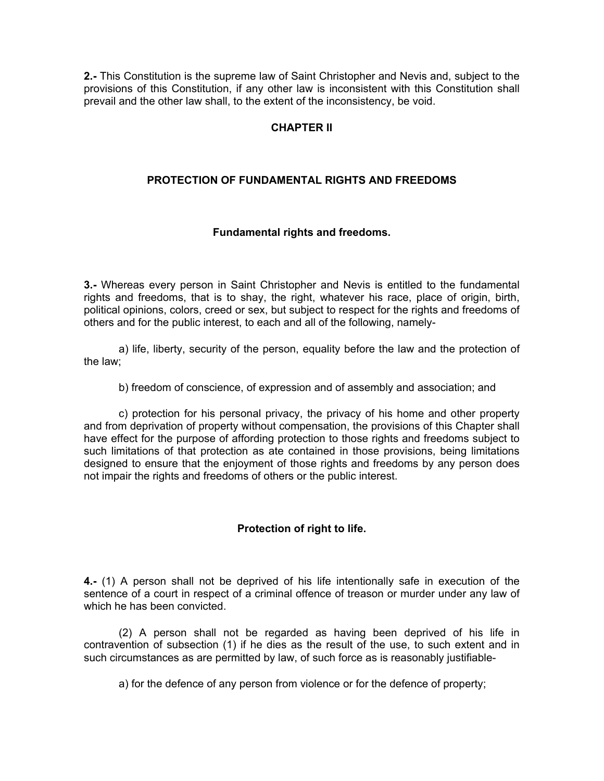**2.-** This Constitution is the supreme law of Saint Christopher and Nevis and, subject to the provisions of this Constitution, if any other law is inconsistent with this Constitution shall prevail and the other law shall, to the extent of the inconsistency, be void.

## **CHAPTER II**

## **PROTECTION OF FUNDAMENTAL RIGHTS AND FREEDOMS**

## **Fundamental rights and freedoms.**

**3.-** Whereas every person in Saint Christopher and Nevis is entitled to the fundamental rights and freedoms, that is to shay, the right, whatever his race, place of origin, birth, political opinions, colors, creed or sex, but subject to respect for the rights and freedoms of others and for the public interest, to each and all of the following, namely-

a) life, liberty, security of the person, equality before the law and the protection of the law;

b) freedom of conscience, of expression and of assembly and association; and

c) protection for his personal privacy, the privacy of his home and other property and from deprivation of property without compensation, the provisions of this Chapter shall have effect for the purpose of affording protection to those rights and freedoms subject to such limitations of that protection as ate contained in those provisions, being limitations designed to ensure that the enjoyment of those rights and freedoms by any person does not impair the rights and freedoms of others or the public interest.

# **Protection of right to life.**

**4.-** (1) A person shall not be deprived of his life intentionally safe in execution of the sentence of a court in respect of a criminal offence of treason or murder under any law of which he has been convicted.

(2) A person shall not be regarded as having been deprived of his life in contravention of subsection (1) if he dies as the result of the use, to such extent and in such circumstances as are permitted by law, of such force as is reasonably justifiable-

a) for the defence of any person from violence or for the defence of property;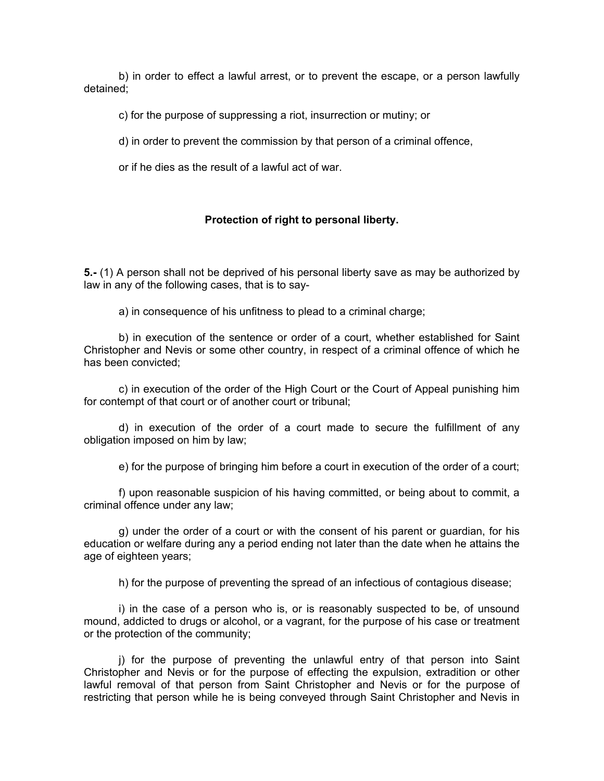b) in order to effect a lawful arrest, or to prevent the escape, or a person lawfully detained;

c) for the purpose of suppressing a riot, insurrection or mutiny; or

d) in order to prevent the commission by that person of a criminal offence,

or if he dies as the result of a lawful act of war.

## **Protection of right to personal liberty.**

**5.-** (1) A person shall not be deprived of his personal liberty save as may be authorized by law in any of the following cases, that is to say-

a) in consequence of his unfitness to plead to a criminal charge;

b) in execution of the sentence or order of a court, whether established for Saint Christopher and Nevis or some other country, in respect of a criminal offence of which he has been convicted;

c) in execution of the order of the High Court or the Court of Appeal punishing him for contempt of that court or of another court or tribunal;

d) in execution of the order of a court made to secure the fulfillment of any obligation imposed on him by law;

e) for the purpose of bringing him before a court in execution of the order of a court;

f) upon reasonable suspicion of his having committed, or being about to commit, a criminal offence under any law;

g) under the order of a court or with the consent of his parent or guardian, for his education or welfare during any a period ending not later than the date when he attains the age of eighteen years;

h) for the purpose of preventing the spread of an infectious of contagious disease;

i) in the case of a person who is, or is reasonably suspected to be, of unsound mound, addicted to drugs or alcohol, or a vagrant, for the purpose of his case or treatment or the protection of the community;

j) for the purpose of preventing the unlawful entry of that person into Saint Christopher and Nevis or for the purpose of effecting the expulsion, extradition or other lawful removal of that person from Saint Christopher and Nevis or for the purpose of restricting that person while he is being conveyed through Saint Christopher and Nevis in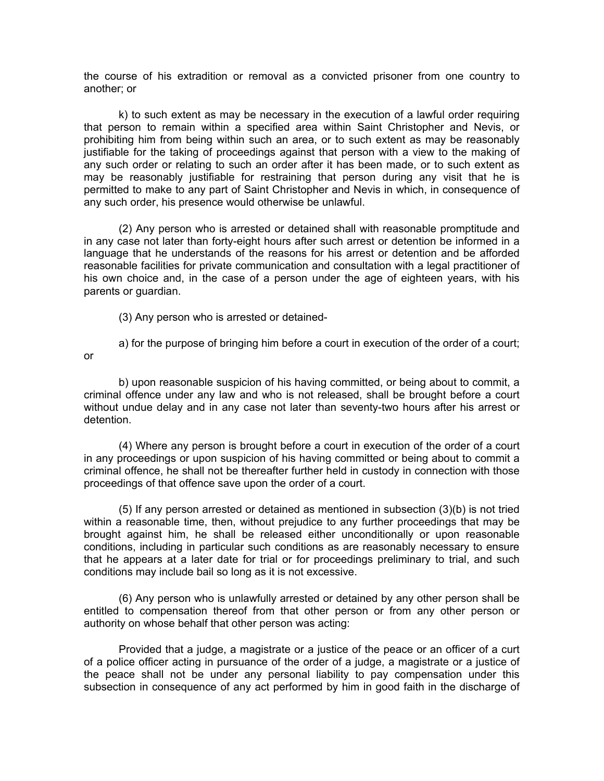the course of his extradition or removal as a convicted prisoner from one country to another; or

k) to such extent as may be necessary in the execution of a lawful order requiring that person to remain within a specified area within Saint Christopher and Nevis, or prohibiting him from being within such an area, or to such extent as may be reasonably justifiable for the taking of proceedings against that person with a view to the making of any such order or relating to such an order after it has been made, or to such extent as may be reasonably justifiable for restraining that person during any visit that he is permitted to make to any part of Saint Christopher and Nevis in which, in consequence of any such order, his presence would otherwise be unlawful.

(2) Any person who is arrested or detained shall with reasonable promptitude and in any case not later than forty-eight hours after such arrest or detention be informed in a language that he understands of the reasons for his arrest or detention and be afforded reasonable facilities for private communication and consultation with a legal practitioner of his own choice and, in the case of a person under the age of eighteen years, with his parents or guardian.

(3) Any person who is arrested or detained-

a) for the purpose of bringing him before a court in execution of the order of a court; or

b) upon reasonable suspicion of his having committed, or being about to commit, a criminal offence under any law and who is not released, shall be brought before a court without undue delay and in any case not later than seventy-two hours after his arrest or detention.

(4) Where any person is brought before a court in execution of the order of a court in any proceedings or upon suspicion of his having committed or being about to commit a criminal offence, he shall not be thereafter further held in custody in connection with those proceedings of that offence save upon the order of a court.

(5) If any person arrested or detained as mentioned in subsection (3)(b) is not tried within a reasonable time, then, without prejudice to any further proceedings that may be brought against him, he shall be released either unconditionally or upon reasonable conditions, including in particular such conditions as are reasonably necessary to ensure that he appears at a later date for trial or for proceedings preliminary to trial, and such conditions may include bail so long as it is not excessive.

(6) Any person who is unlawfully arrested or detained by any other person shall be entitled to compensation thereof from that other person or from any other person or authority on whose behalf that other person was acting:

Provided that a judge, a magistrate or a justice of the peace or an officer of a curt of a police officer acting in pursuance of the order of a judge, a magistrate or a justice of the peace shall not be under any personal liability to pay compensation under this subsection in consequence of any act performed by him in good faith in the discharge of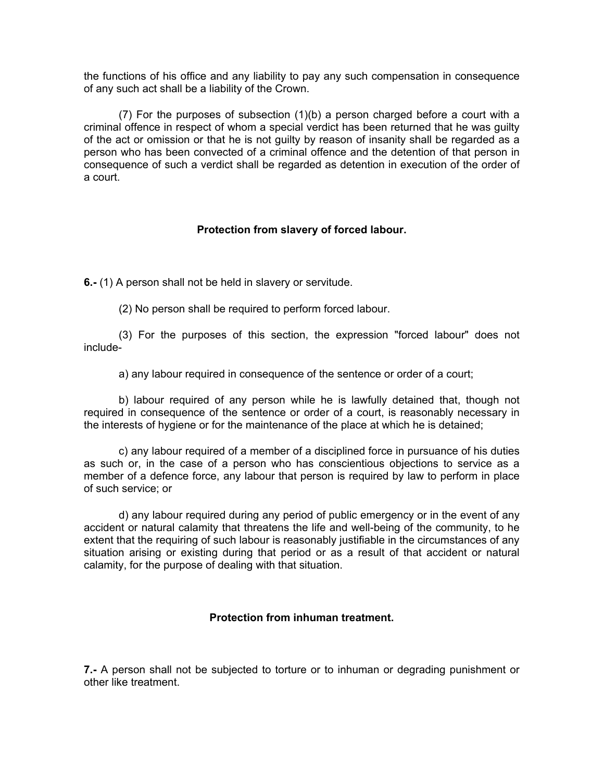the functions of his office and any liability to pay any such compensation in consequence of any such act shall be a liability of the Crown.

(7) For the purposes of subsection (1)(b) a person charged before a court with a criminal offence in respect of whom a special verdict has been returned that he was guilty of the act or omission or that he is not guilty by reason of insanity shall be regarded as a person who has been convected of a criminal offence and the detention of that person in consequence of such a verdict shall be regarded as detention in execution of the order of a court.

## **Protection from slavery of forced labour.**

**6.-** (1) A person shall not be held in slavery or servitude.

(2) No person shall be required to perform forced labour.

(3) For the purposes of this section, the expression "forced labour" does not include-

a) any labour required in consequence of the sentence or order of a court;

b) labour required of any person while he is lawfully detained that, though not required in consequence of the sentence or order of a court, is reasonably necessary in the interests of hygiene or for the maintenance of the place at which he is detained;

c) any labour required of a member of a disciplined force in pursuance of his duties as such or, in the case of a person who has conscientious objections to service as a member of a defence force, any labour that person is required by law to perform in place of such service; or

d) any labour required during any period of public emergency or in the event of any accident or natural calamity that threatens the life and well-being of the community, to he extent that the requiring of such labour is reasonably justifiable in the circumstances of any situation arising or existing during that period or as a result of that accident or natural calamity, for the purpose of dealing with that situation.

## **Protection from inhuman treatment.**

**7.-** A person shall not be subjected to torture or to inhuman or degrading punishment or other like treatment.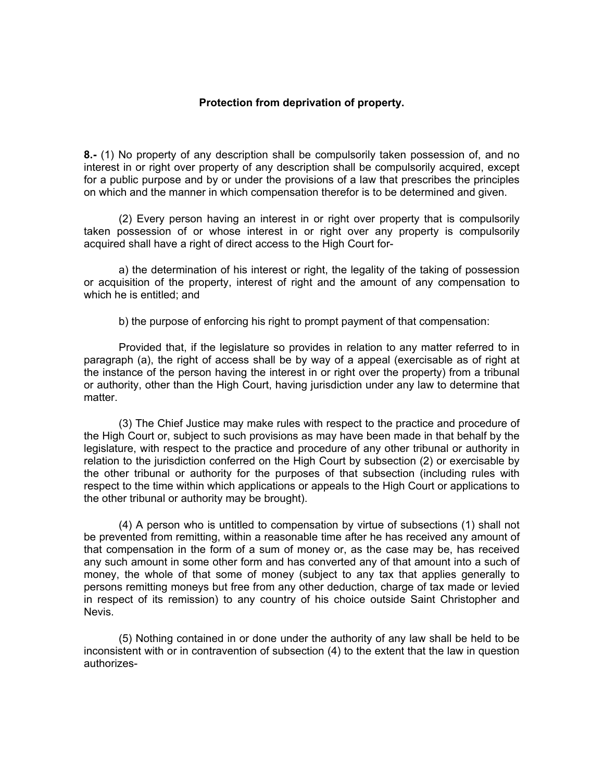#### **Protection from deprivation of property.**

**8.-** (1) No property of any description shall be compulsorily taken possession of, and no interest in or right over property of any description shall be compulsorily acquired, except for a public purpose and by or under the provisions of a law that prescribes the principles on which and the manner in which compensation therefor is to be determined and given.

(2) Every person having an interest in or right over property that is compulsorily taken possession of or whose interest in or right over any property is compulsorily acquired shall have a right of direct access to the High Court for-

a) the determination of his interest or right, the legality of the taking of possession or acquisition of the property, interest of right and the amount of any compensation to which he is entitled; and

b) the purpose of enforcing his right to prompt payment of that compensation:

Provided that, if the legislature so provides in relation to any matter referred to in paragraph (a), the right of access shall be by way of a appeal (exercisable as of right at the instance of the person having the interest in or right over the property) from a tribunal or authority, other than the High Court, having jurisdiction under any law to determine that matter.

(3) The Chief Justice may make rules with respect to the practice and procedure of the High Court or, subject to such provisions as may have been made in that behalf by the legislature, with respect to the practice and procedure of any other tribunal or authority in relation to the jurisdiction conferred on the High Court by subsection (2) or exercisable by the other tribunal or authority for the purposes of that subsection (including rules with respect to the time within which applications or appeals to the High Court or applications to the other tribunal or authority may be brought).

(4) A person who is untitled to compensation by virtue of subsections (1) shall not be prevented from remitting, within a reasonable time after he has received any amount of that compensation in the form of a sum of money or, as the case may be, has received any such amount in some other form and has converted any of that amount into a such of money, the whole of that some of money (subject to any tax that applies generally to persons remitting moneys but free from any other deduction, charge of tax made or levied in respect of its remission) to any country of his choice outside Saint Christopher and Nevis.

(5) Nothing contained in or done under the authority of any law shall be held to be inconsistent with or in contravention of subsection (4) to the extent that the law in question authorizes-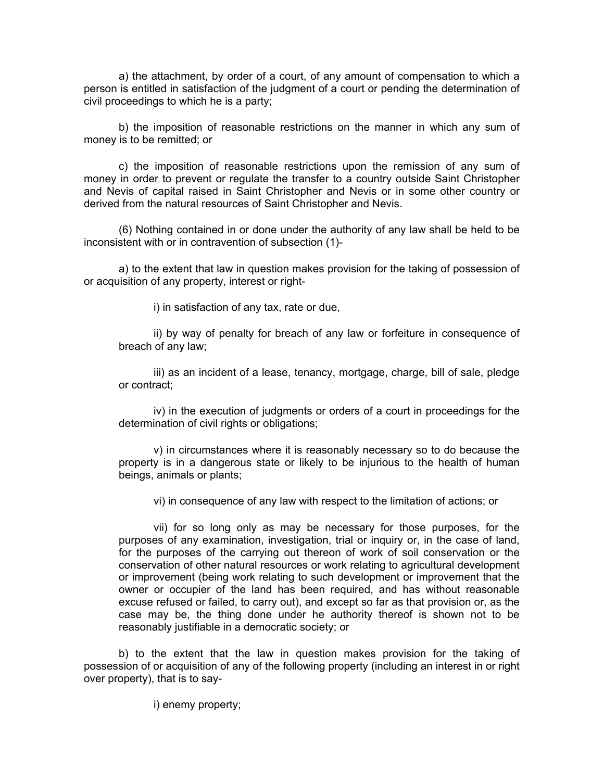a) the attachment, by order of a court, of any amount of compensation to which a person is entitled in satisfaction of the judgment of a court or pending the determination of civil proceedings to which he is a party;

b) the imposition of reasonable restrictions on the manner in which any sum of money is to be remitted; or

c) the imposition of reasonable restrictions upon the remission of any sum of money in order to prevent or regulate the transfer to a country outside Saint Christopher and Nevis of capital raised in Saint Christopher and Nevis or in some other country or derived from the natural resources of Saint Christopher and Nevis.

(6) Nothing contained in or done under the authority of any law shall be held to be inconsistent with or in contravention of subsection (1)-

a) to the extent that law in question makes provision for the taking of possession of or acquisition of any property, interest or right-

i) in satisfaction of any tax, rate or due,

ii) by way of penalty for breach of any law or forfeiture in consequence of breach of any law;

iii) as an incident of a lease, tenancy, mortgage, charge, bill of sale, pledge or contract;

iv) in the execution of judgments or orders of a court in proceedings for the determination of civil rights or obligations;

v) in circumstances where it is reasonably necessary so to do because the property is in a dangerous state or likely to be injurious to the health of human beings, animals or plants;

vi) in consequence of any law with respect to the limitation of actions; or

vii) for so long only as may be necessary for those purposes, for the purposes of any examination, investigation, trial or inquiry or, in the case of land, for the purposes of the carrying out thereon of work of soil conservation or the conservation of other natural resources or work relating to agricultural development or improvement (being work relating to such development or improvement that the owner or occupier of the land has been required, and has without reasonable excuse refused or failed, to carry out), and except so far as that provision or, as the case may be, the thing done under he authority thereof is shown not to be reasonably justifiable in a democratic society; or

b) to the extent that the law in question makes provision for the taking of possession of or acquisition of any of the following property (including an interest in or right over property), that is to say-

i) enemy property;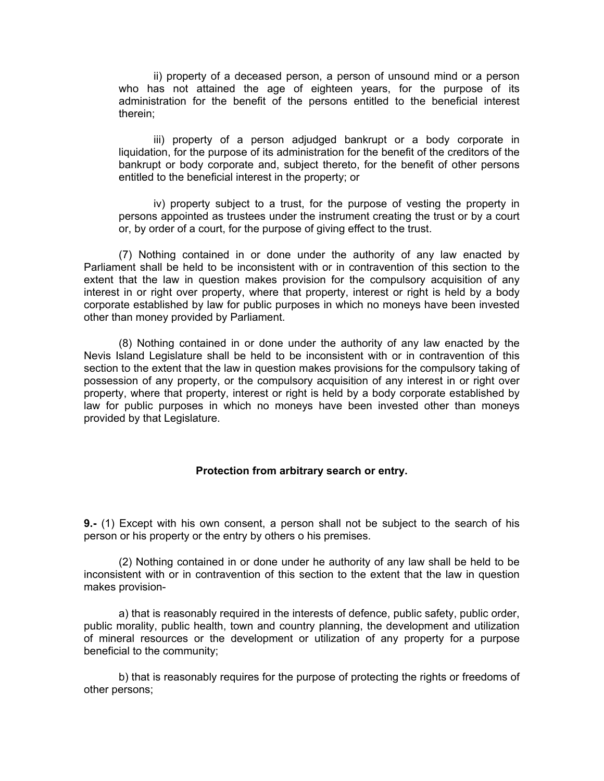ii) property of a deceased person, a person of unsound mind or a person who has not attained the age of eighteen years, for the purpose of its administration for the benefit of the persons entitled to the beneficial interest therein;

iii) property of a person adjudged bankrupt or a body corporate in liquidation, for the purpose of its administration for the benefit of the creditors of the bankrupt or body corporate and, subject thereto, for the benefit of other persons entitled to the beneficial interest in the property; or

iv) property subject to a trust, for the purpose of vesting the property in persons appointed as trustees under the instrument creating the trust or by a court or, by order of a court, for the purpose of giving effect to the trust.

(7) Nothing contained in or done under the authority of any law enacted by Parliament shall be held to be inconsistent with or in contravention of this section to the extent that the law in question makes provision for the compulsory acquisition of any interest in or right over property, where that property, interest or right is held by a body corporate established by law for public purposes in which no moneys have been invested other than money provided by Parliament.

(8) Nothing contained in or done under the authority of any law enacted by the Nevis Island Legislature shall be held to be inconsistent with or in contravention of this section to the extent that the law in question makes provisions for the compulsory taking of possession of any property, or the compulsory acquisition of any interest in or right over property, where that property, interest or right is held by a body corporate established by law for public purposes in which no moneys have been invested other than moneys provided by that Legislature.

#### **Protection from arbitrary search or entry.**

**9.-** (1) Except with his own consent, a person shall not be subject to the search of his person or his property or the entry by others o his premises.

(2) Nothing contained in or done under he authority of any law shall be held to be inconsistent with or in contravention of this section to the extent that the law in question makes provision-

a) that is reasonably required in the interests of defence, public safety, public order, public morality, public health, town and country planning, the development and utilization of mineral resources or the development or utilization of any property for a purpose beneficial to the community;

b) that is reasonably requires for the purpose of protecting the rights or freedoms of other persons;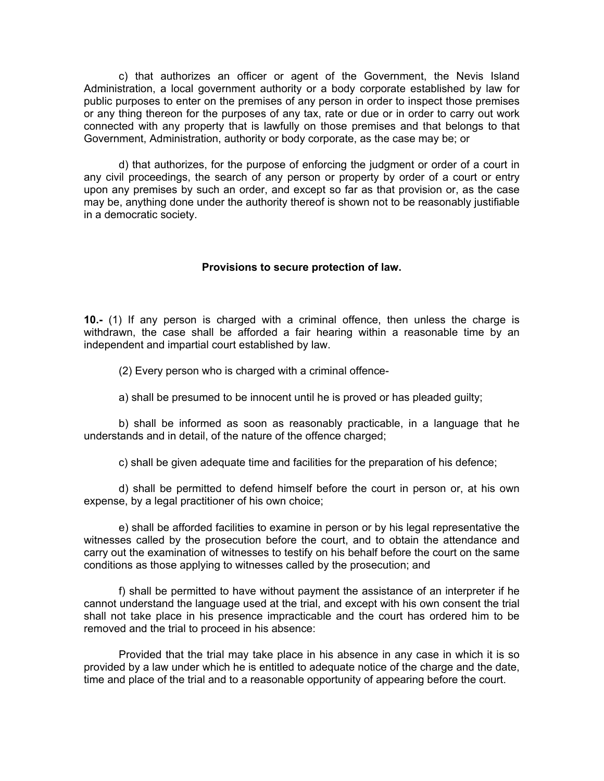c) that authorizes an officer or agent of the Government, the Nevis Island Administration, a local government authority or a body corporate established by law for public purposes to enter on the premises of any person in order to inspect those premises or any thing thereon for the purposes of any tax, rate or due or in order to carry out work connected with any property that is lawfully on those premises and that belongs to that Government, Administration, authority or body corporate, as the case may be; or

d) that authorizes, for the purpose of enforcing the judgment or order of a court in any civil proceedings, the search of any person or property by order of a court or entry upon any premises by such an order, and except so far as that provision or, as the case may be, anything done under the authority thereof is shown not to be reasonably justifiable in a democratic society.

#### **Provisions to secure protection of law.**

**10.-** (1) If any person is charged with a criminal offence, then unless the charge is withdrawn, the case shall be afforded a fair hearing within a reasonable time by an independent and impartial court established by law.

(2) Every person who is charged with a criminal offence-

a) shall be presumed to be innocent until he is proved or has pleaded guilty;

b) shall be informed as soon as reasonably practicable, in a language that he understands and in detail, of the nature of the offence charged;

c) shall be given adequate time and facilities for the preparation of his defence;

d) shall be permitted to defend himself before the court in person or, at his own expense, by a legal practitioner of his own choice;

e) shall be afforded facilities to examine in person or by his legal representative the witnesses called by the prosecution before the court, and to obtain the attendance and carry out the examination of witnesses to testify on his behalf before the court on the same conditions as those applying to witnesses called by the prosecution; and

f) shall be permitted to have without payment the assistance of an interpreter if he cannot understand the language used at the trial, and except with his own consent the trial shall not take place in his presence impracticable and the court has ordered him to be removed and the trial to proceed in his absence:

Provided that the trial may take place in his absence in any case in which it is so provided by a law under which he is entitled to adequate notice of the charge and the date, time and place of the trial and to a reasonable opportunity of appearing before the court.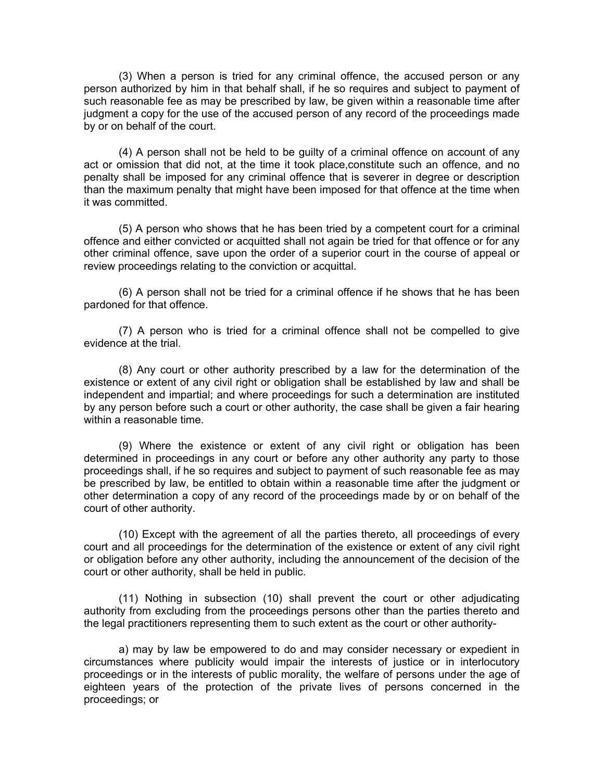(3) When a person is tried for any criminal offence, the accused person or any person authorized by him in that behalf shall, if he so requires and subject to payment of such reasonable fee as may be prescribed by law, be given within a reasonable time after judgment a copy for the use of the accused person of any record of the proceedings made by or on behalf of the court.

(4) A person shall not be held to be guilty of a criminal offence on account of any act or omission that did not, at the time it took place,constitute such an offence, and no penalty shall be imposed for any criminal offence that is severer in degree or description than the maximum penalty that might have been imposed for that offence at the time when it was committed.

(5) A person who shows that he has been tried by a competent court for a criminal offence and either convicted or acquitted shall not again be tried for that offence or for any other criminal offence, save upon the order of a superior court in the course of appeal or review proceedings relating to the conviction or acquittal.

(6) A person shall not be tried for a criminal offence if he shows that he has been pardoned for that offence.

(7) A person who is tried for a criminal offence shall not be compelled to give evidence at the trial.

(8) Any court or other authority prescribed by a law for the determination of the existence or extent of any civil right or obligation shall be established by law and shall be independent and impartial; and where proceedings for such a determination are instituted by any person before such a court or other authority, the case shall be given a fair hearing within a reasonable time.

(9) Where the existence or extent of any civil right or obligation has been determined in proceedings in any court or before any other authority any party to those proceedings shall, if he so requires and subject to payment of such reasonable fee as may be prescribed by law, be entitled to obtain within a reasonable time after the judgment or other determination a copy of any record of the proceedings made by or on behalf of the court of other authority.

(10) Except with the agreement of all the parties thereto, all proceedings of every court and all proceedings for the determination of the existence or extent of any civil right or obligation before any other authority, including the announcement of the decision of the court or other authority, shall be held in public.

(11) Nothing in subsection (10) shall prevent the court or other adjudicating authority from excluding from the proceedings persons other than the parties thereto and the legal practitioners representing them to such extent as the court or other authority-

a) may by law be empowered to do and may consider necessary or expedient in circumstances where publicity would impair the interests of justice or in interlocutory proceedings or in the interests of public morality, the welfare of persons under the age of eighteen years of the protection of the private lives of persons concerned in the proceedings; or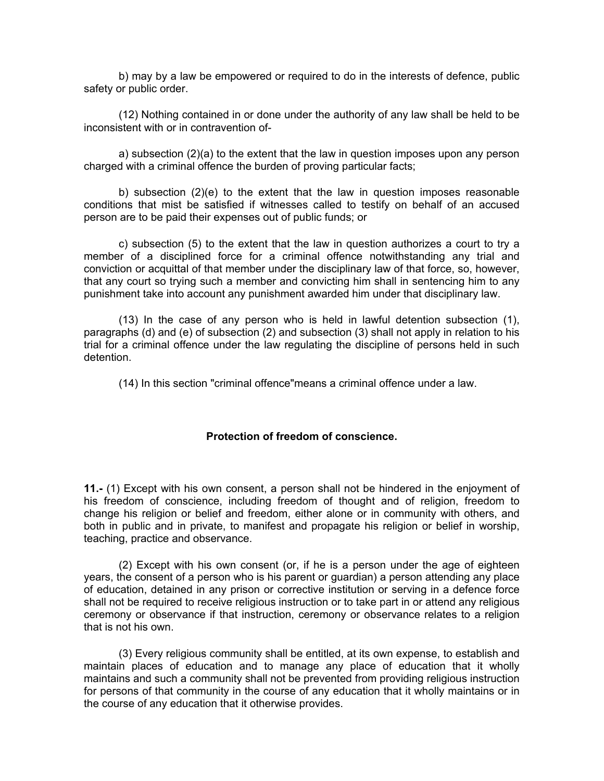b) may by a law be empowered or required to do in the interests of defence, public safety or public order.

(12) Nothing contained in or done under the authority of any law shall be held to be inconsistent with or in contravention of-

a) subsection (2)(a) to the extent that the law in question imposes upon any person charged with a criminal offence the burden of proving particular facts;

b) subsection (2)(e) to the extent that the law in question imposes reasonable conditions that mist be satisfied if witnesses called to testify on behalf of an accused person are to be paid their expenses out of public funds; or

c) subsection (5) to the extent that the law in question authorizes a court to try a member of a disciplined force for a criminal offence notwithstanding any trial and conviction or acquittal of that member under the disciplinary law of that force, so, however, that any court so trying such a member and convicting him shall in sentencing him to any punishment take into account any punishment awarded him under that disciplinary law.

(13) In the case of any person who is held in lawful detention subsection (1), paragraphs (d) and (e) of subsection (2) and subsection (3) shall not apply in relation to his trial for a criminal offence under the law regulating the discipline of persons held in such detention.

(14) In this section "criminal offence"means a criminal offence under a law.

## **Protection of freedom of conscience.**

**11.-** (1) Except with his own consent, a person shall not be hindered in the enjoyment of his freedom of conscience, including freedom of thought and of religion, freedom to change his religion or belief and freedom, either alone or in community with others, and both in public and in private, to manifest and propagate his religion or belief in worship, teaching, practice and observance.

(2) Except with his own consent (or, if he is a person under the age of eighteen years, the consent of a person who is his parent or guardian) a person attending any place of education, detained in any prison or corrective institution or serving in a defence force shall not be required to receive religious instruction or to take part in or attend any religious ceremony or observance if that instruction, ceremony or observance relates to a religion that is not his own.

(3) Every religious community shall be entitled, at its own expense, to establish and maintain places of education and to manage any place of education that it wholly maintains and such a community shall not be prevented from providing religious instruction for persons of that community in the course of any education that it wholly maintains or in the course of any education that it otherwise provides.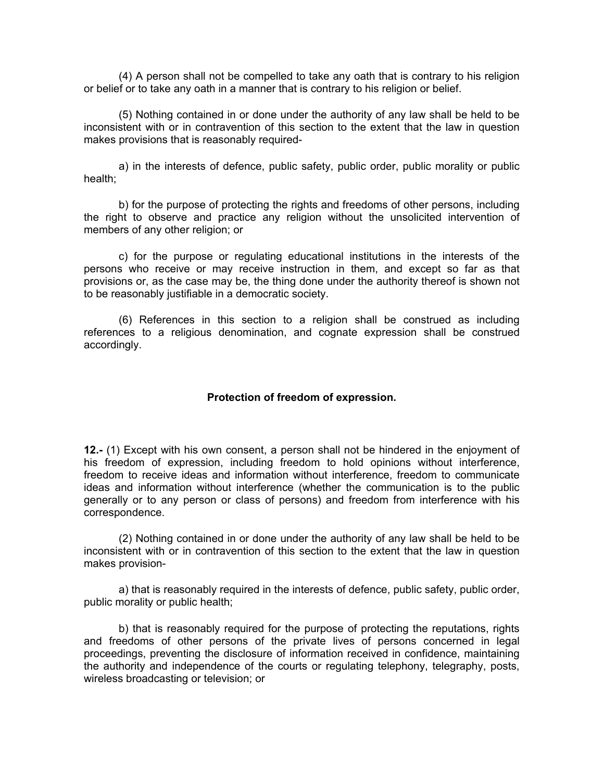(4) A person shall not be compelled to take any oath that is contrary to his religion or belief or to take any oath in a manner that is contrary to his religion or belief.

(5) Nothing contained in or done under the authority of any law shall be held to be inconsistent with or in contravention of this section to the extent that the law in question makes provisions that is reasonably required-

a) in the interests of defence, public safety, public order, public morality or public health;

b) for the purpose of protecting the rights and freedoms of other persons, including the right to observe and practice any religion without the unsolicited intervention of members of any other religion; or

c) for the purpose or regulating educational institutions in the interests of the persons who receive or may receive instruction in them, and except so far as that provisions or, as the case may be, the thing done under the authority thereof is shown not to be reasonably justifiable in a democratic society.

(6) References in this section to a religion shall be construed as including references to a religious denomination, and cognate expression shall be construed accordingly.

#### **Protection of freedom of expression.**

**12.-** (1) Except with his own consent, a person shall not be hindered in the enjoyment of his freedom of expression, including freedom to hold opinions without interference, freedom to receive ideas and information without interference, freedom to communicate ideas and information without interference (whether the communication is to the public generally or to any person or class of persons) and freedom from interference with his correspondence.

(2) Nothing contained in or done under the authority of any law shall be held to be inconsistent with or in contravention of this section to the extent that the law in question makes provision-

a) that is reasonably required in the interests of defence, public safety, public order, public morality or public health;

b) that is reasonably required for the purpose of protecting the reputations, rights and freedoms of other persons of the private lives of persons concerned in legal proceedings, preventing the disclosure of information received in confidence, maintaining the authority and independence of the courts or regulating telephony, telegraphy, posts, wireless broadcasting or television; or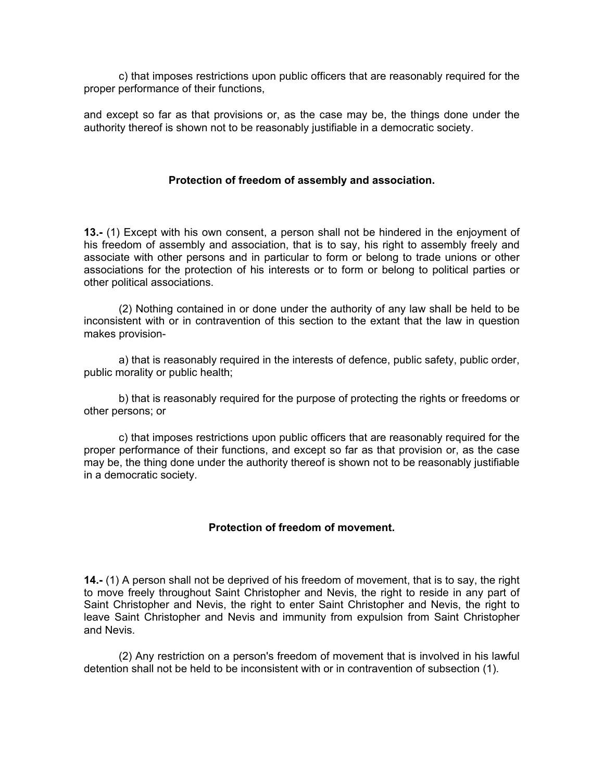c) that imposes restrictions upon public officers that are reasonably required for the proper performance of their functions,

and except so far as that provisions or, as the case may be, the things done under the authority thereof is shown not to be reasonably justifiable in a democratic society.

#### **Protection of freedom of assembly and association.**

**13.-** (1) Except with his own consent, a person shall not be hindered in the enjoyment of his freedom of assembly and association, that is to say, his right to assembly freely and associate with other persons and in particular to form or belong to trade unions or other associations for the protection of his interests or to form or belong to political parties or other political associations.

(2) Nothing contained in or done under the authority of any law shall be held to be inconsistent with or in contravention of this section to the extant that the law in question makes provision-

a) that is reasonably required in the interests of defence, public safety, public order, public morality or public health;

b) that is reasonably required for the purpose of protecting the rights or freedoms or other persons; or

c) that imposes restrictions upon public officers that are reasonably required for the proper performance of their functions, and except so far as that provision or, as the case may be, the thing done under the authority thereof is shown not to be reasonably justifiable in a democratic society.

## **Protection of freedom of movement.**

**14.-** (1) A person shall not be deprived of his freedom of movement, that is to say, the right to move freely throughout Saint Christopher and Nevis, the right to reside in any part of Saint Christopher and Nevis, the right to enter Saint Christopher and Nevis, the right to leave Saint Christopher and Nevis and immunity from expulsion from Saint Christopher and Nevis.

(2) Any restriction on a person's freedom of movement that is involved in his lawful detention shall not be held to be inconsistent with or in contravention of subsection (1).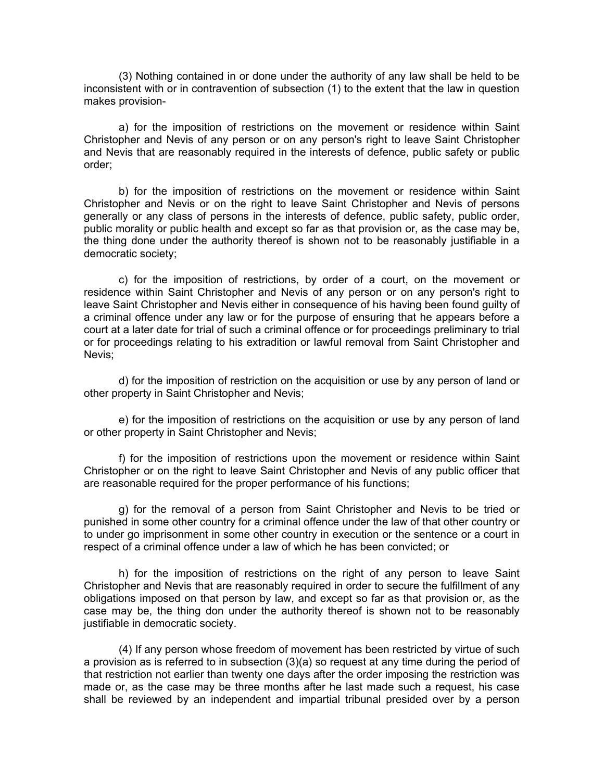(3) Nothing contained in or done under the authority of any law shall be held to be inconsistent with or in contravention of subsection (1) to the extent that the law in question makes provision-

a) for the imposition of restrictions on the movement or residence within Saint Christopher and Nevis of any person or on any person's right to leave Saint Christopher and Nevis that are reasonably required in the interests of defence, public safety or public order;

b) for the imposition of restrictions on the movement or residence within Saint Christopher and Nevis or on the right to leave Saint Christopher and Nevis of persons generally or any class of persons in the interests of defence, public safety, public order, public morality or public health and except so far as that provision or, as the case may be, the thing done under the authority thereof is shown not to be reasonably justifiable in a democratic society;

c) for the imposition of restrictions, by order of a court, on the movement or residence within Saint Christopher and Nevis of any person or on any person's right to leave Saint Christopher and Nevis either in consequence of his having been found guilty of a criminal offence under any law or for the purpose of ensuring that he appears before a court at a later date for trial of such a criminal offence or for proceedings preliminary to trial or for proceedings relating to his extradition or lawful removal from Saint Christopher and Nevis;

d) for the imposition of restriction on the acquisition or use by any person of land or other property in Saint Christopher and Nevis;

e) for the imposition of restrictions on the acquisition or use by any person of land or other property in Saint Christopher and Nevis;

f) for the imposition of restrictions upon the movement or residence within Saint Christopher or on the right to leave Saint Christopher and Nevis of any public officer that are reasonable required for the proper performance of his functions;

g) for the removal of a person from Saint Christopher and Nevis to be tried or punished in some other country for a criminal offence under the law of that other country or to under go imprisonment in some other country in execution or the sentence or a court in respect of a criminal offence under a law of which he has been convicted; or

h) for the imposition of restrictions on the right of any person to leave Saint Christopher and Nevis that are reasonably required in order to secure the fulfillment of any obligations imposed on that person by law, and except so far as that provision or, as the case may be, the thing don under the authority thereof is shown not to be reasonably justifiable in democratic society.

(4) If any person whose freedom of movement has been restricted by virtue of such a provision as is referred to in subsection (3)(a) so request at any time during the period of that restriction not earlier than twenty one days after the order imposing the restriction was made or, as the case may be three months after he last made such a request, his case shall be reviewed by an independent and impartial tribunal presided over by a person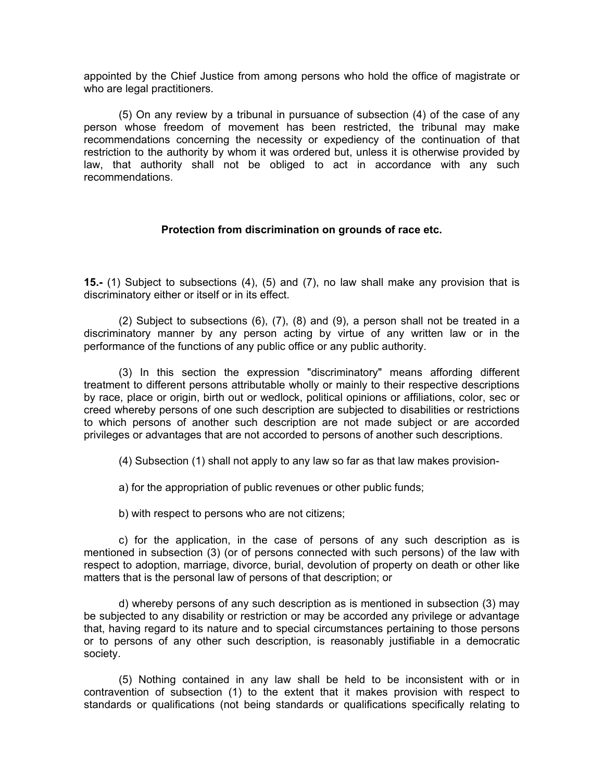appointed by the Chief Justice from among persons who hold the office of magistrate or who are legal practitioners.

(5) On any review by a tribunal in pursuance of subsection (4) of the case of any person whose freedom of movement has been restricted, the tribunal may make recommendations concerning the necessity or expediency of the continuation of that restriction to the authority by whom it was ordered but, unless it is otherwise provided by law, that authority shall not be obliged to act in accordance with any such recommendations.

#### **Protection from discrimination on grounds of race etc.**

**15.-** (1) Subject to subsections (4), (5) and (7), no law shall make any provision that is discriminatory either or itself or in its effect.

(2) Subject to subsections (6), (7), (8) and (9), a person shall not be treated in a discriminatory manner by any person acting by virtue of any written law or in the performance of the functions of any public office or any public authority.

(3) In this section the expression "discriminatory" means affording different treatment to different persons attributable wholly or mainly to their respective descriptions by race, place or origin, birth out or wedlock, political opinions or affiliations, color, sec or creed whereby persons of one such description are subjected to disabilities or restrictions to which persons of another such description are not made subject or are accorded privileges or advantages that are not accorded to persons of another such descriptions.

(4) Subsection (1) shall not apply to any law so far as that law makes provision-

a) for the appropriation of public revenues or other public funds;

b) with respect to persons who are not citizens;

c) for the application, in the case of persons of any such description as is mentioned in subsection (3) (or of persons connected with such persons) of the law with respect to adoption, marriage, divorce, burial, devolution of property on death or other like matters that is the personal law of persons of that description; or

d) whereby persons of any such description as is mentioned in subsection (3) may be subjected to any disability or restriction or may be accorded any privilege or advantage that, having regard to its nature and to special circumstances pertaining to those persons or to persons of any other such description, is reasonably justifiable in a democratic society.

(5) Nothing contained in any law shall be held to be inconsistent with or in contravention of subsection (1) to the extent that it makes provision with respect to standards or qualifications (not being standards or qualifications specifically relating to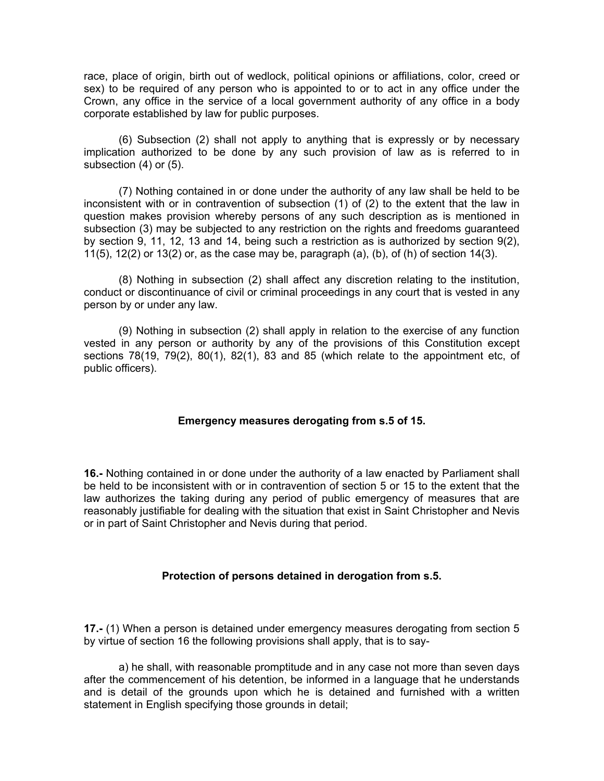race, place of origin, birth out of wedlock, political opinions or affiliations, color, creed or sex) to be required of any person who is appointed to or to act in any office under the Crown, any office in the service of a local government authority of any office in a body corporate established by law for public purposes.

(6) Subsection (2) shall not apply to anything that is expressly or by necessary implication authorized to be done by any such provision of law as is referred to in subsection (4) or (5).

(7) Nothing contained in or done under the authority of any law shall be held to be inconsistent with or in contravention of subsection (1) of (2) to the extent that the law in question makes provision whereby persons of any such description as is mentioned in subsection (3) may be subjected to any restriction on the rights and freedoms guaranteed by section 9, 11, 12, 13 and 14, being such a restriction as is authorized by section 9(2), 11(5), 12(2) or 13(2) or, as the case may be, paragraph (a), (b), of (h) of section 14(3).

(8) Nothing in subsection (2) shall affect any discretion relating to the institution, conduct or discontinuance of civil or criminal proceedings in any court that is vested in any person by or under any law.

(9) Nothing in subsection (2) shall apply in relation to the exercise of any function vested in any person or authority by any of the provisions of this Constitution except sections 78(19, 79(2), 80(1), 82(1), 83 and 85 (which relate to the appointment etc, of public officers).

#### **Emergency measures derogating from s.5 of 15.**

**16.-** Nothing contained in or done under the authority of a law enacted by Parliament shall be held to be inconsistent with or in contravention of section 5 or 15 to the extent that the law authorizes the taking during any period of public emergency of measures that are reasonably justifiable for dealing with the situation that exist in Saint Christopher and Nevis or in part of Saint Christopher and Nevis during that period.

#### **Protection of persons detained in derogation from s.5.**

**17.-** (1) When a person is detained under emergency measures derogating from section 5 by virtue of section 16 the following provisions shall apply, that is to say-

a) he shall, with reasonable promptitude and in any case not more than seven days after the commencement of his detention, be informed in a language that he understands and is detail of the grounds upon which he is detained and furnished with a written statement in English specifying those grounds in detail;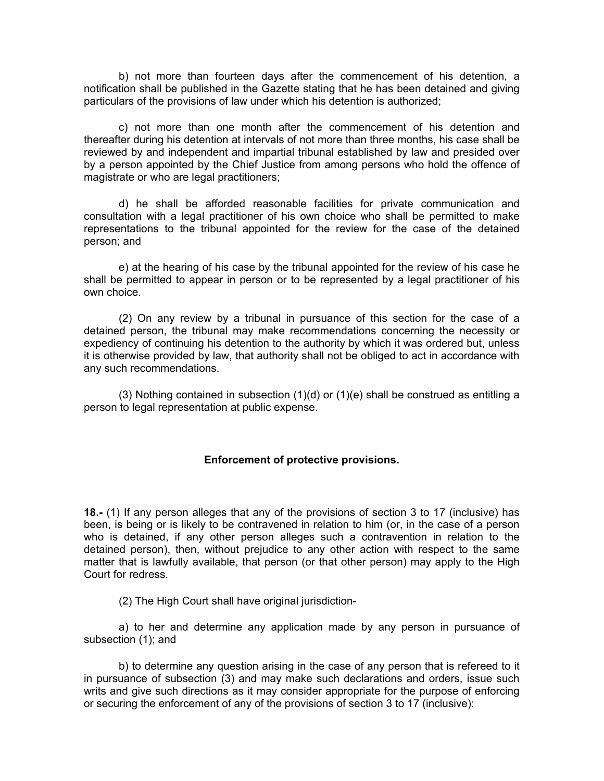b) not more than fourteen days after the commencement of his detention, a notification shall be published in the Gazette stating that he has been detained and giving particulars of the provisions of law under which his detention is authorized;

c) not more than one month after the commencement of his detention and thereafter during his detention at intervals of not more than three months, his case shall be reviewed by and independent and impartial tribunal established by law and presided over by a person appointed by the Chief Justice from among persons who hold the offence of magistrate or who are legal practitioners;

d) he shall be afforded reasonable facilities for private communication and consultation with a legal practitioner of his own choice who shall be permitted to make representations to the tribunal appointed for the review for the case of the detained person; and

e) at the hearing of his case by the tribunal appointed for the review of his case he shall be permitted to appear in person or to be represented by a legal practitioner of his own choice.

(2) On any review by a tribunal in pursuance of this section for the case of a detained person, the tribunal may make recommendations concerning the necessity or expediency of continuing his detention to the authority by which it was ordered but, unless it is otherwise provided by law, that authority shall not be obliged to act in accordance with any such recommendations.

(3) Nothing contained in subsection  $(1)(d)$  or  $(1)(e)$  shall be construed as entitling a person to legal representation at public expense.

#### **Enforcement of protective provisions.**

**18.-** (1) If any person alleges that any of the provisions of section 3 to 17 (inclusive) has been, is being or is likely to be contravened in relation to him (or, in the case of a person who is detained, if any other person alleges such a contravention in relation to the detained person), then, without prejudice to any other action with respect to the same matter that is lawfully available, that person (or that other person) may apply to the High Court for redress.

(2) The High Court shall have original jurisdiction-

a) to her and determine any application made by any person in pursuance of subsection (1); and

b) to determine any question arising in the case of any person that is refereed to it in pursuance of subsection (3) and may make such declarations and orders, issue such writs and give such directions as it may consider appropriate for the purpose of enforcing or securing the enforcement of any of the provisions of section 3 to 17 (inclusive):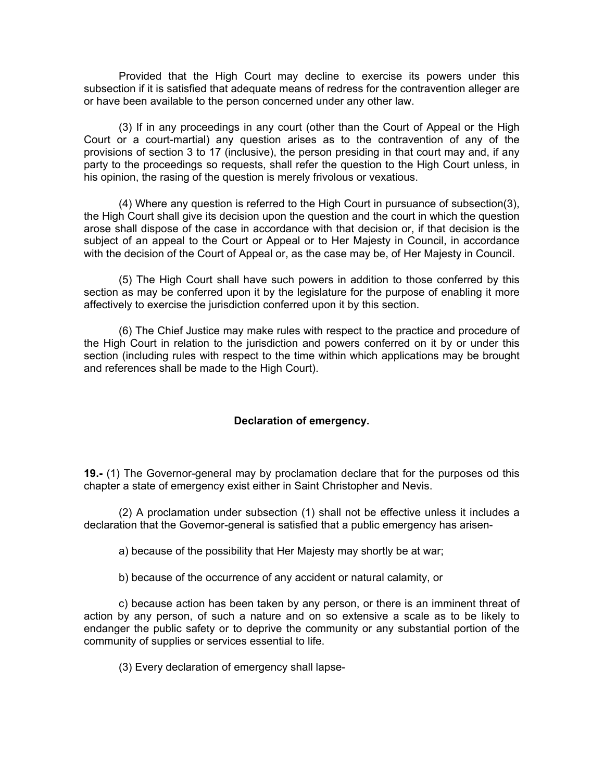Provided that the High Court may decline to exercise its powers under this subsection if it is satisfied that adequate means of redress for the contravention alleger are or have been available to the person concerned under any other law.

(3) If in any proceedings in any court (other than the Court of Appeal or the High Court or a court-martial) any question arises as to the contravention of any of the provisions of section 3 to 17 (inclusive), the person presiding in that court may and, if any party to the proceedings so requests, shall refer the question to the High Court unless, in his opinion, the rasing of the question is merely frivolous or vexatious.

(4) Where any question is referred to the High Court in pursuance of subsection(3), the High Court shall give its decision upon the question and the court in which the question arose shall dispose of the case in accordance with that decision or, if that decision is the subject of an appeal to the Court or Appeal or to Her Majesty in Council, in accordance with the decision of the Court of Appeal or, as the case may be, of Her Majesty in Council.

(5) The High Court shall have such powers in addition to those conferred by this section as may be conferred upon it by the legislature for the purpose of enabling it more affectively to exercise the jurisdiction conferred upon it by this section.

(6) The Chief Justice may make rules with respect to the practice and procedure of the High Court in relation to the jurisdiction and powers conferred on it by or under this section (including rules with respect to the time within which applications may be brought and references shall be made to the High Court).

## **Declaration of emergency.**

**19.-** (1) The Governor-general may by proclamation declare that for the purposes od this chapter a state of emergency exist either in Saint Christopher and Nevis.

(2) A proclamation under subsection (1) shall not be effective unless it includes a declaration that the Governor-general is satisfied that a public emergency has arisen-

a) because of the possibility that Her Majesty may shortly be at war;

b) because of the occurrence of any accident or natural calamity, or

c) because action has been taken by any person, or there is an imminent threat of action by any person, of such a nature and on so extensive a scale as to be likely to endanger the public safety or to deprive the community or any substantial portion of the community of supplies or services essential to life.

(3) Every declaration of emergency shall lapse-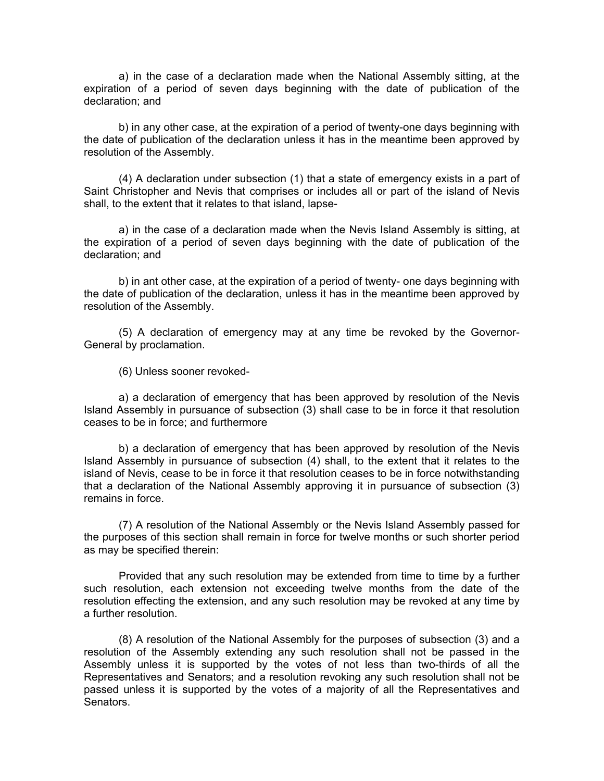a) in the case of a declaration made when the National Assembly sitting, at the expiration of a period of seven days beginning with the date of publication of the declaration; and

b) in any other case, at the expiration of a period of twenty-one days beginning with the date of publication of the declaration unless it has in the meantime been approved by resolution of the Assembly.

(4) A declaration under subsection (1) that a state of emergency exists in a part of Saint Christopher and Nevis that comprises or includes all or part of the island of Nevis shall, to the extent that it relates to that island, lapse-

a) in the case of a declaration made when the Nevis Island Assembly is sitting, at the expiration of a period of seven days beginning with the date of publication of the declaration; and

b) in ant other case, at the expiration of a period of twenty- one days beginning with the date of publication of the declaration, unless it has in the meantime been approved by resolution of the Assembly.

(5) A declaration of emergency may at any time be revoked by the Governor-General by proclamation.

(6) Unless sooner revoked-

a) a declaration of emergency that has been approved by resolution of the Nevis Island Assembly in pursuance of subsection (3) shall case to be in force it that resolution ceases to be in force; and furthermore

b) a declaration of emergency that has been approved by resolution of the Nevis Island Assembly in pursuance of subsection (4) shall, to the extent that it relates to the island of Nevis, cease to be in force it that resolution ceases to be in force notwithstanding that a declaration of the National Assembly approving it in pursuance of subsection (3) remains in force.

(7) A resolution of the National Assembly or the Nevis Island Assembly passed for the purposes of this section shall remain in force for twelve months or such shorter period as may be specified therein:

Provided that any such resolution may be extended from time to time by a further such resolution, each extension not exceeding twelve months from the date of the resolution effecting the extension, and any such resolution may be revoked at any time by a further resolution.

(8) A resolution of the National Assembly for the purposes of subsection (3) and a resolution of the Assembly extending any such resolution shall not be passed in the Assembly unless it is supported by the votes of not less than two-thirds of all the Representatives and Senators; and a resolution revoking any such resolution shall not be passed unless it is supported by the votes of a majority of all the Representatives and **Senators**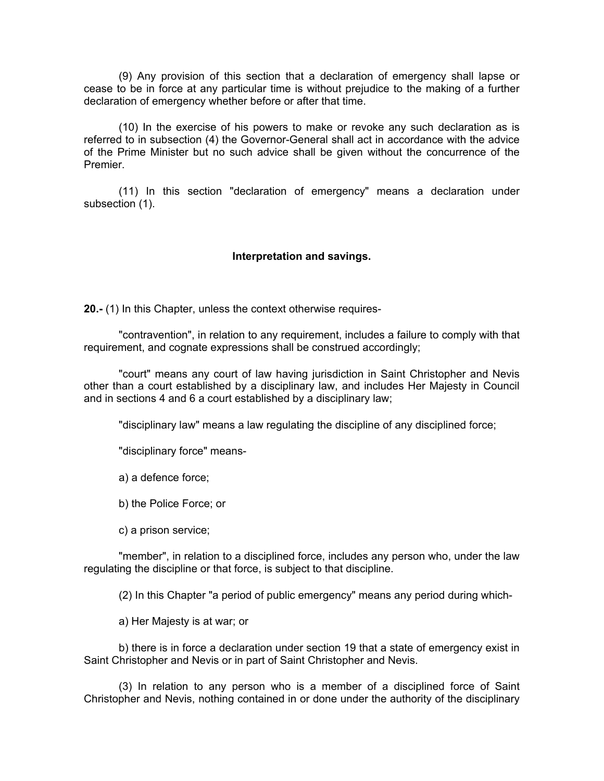(9) Any provision of this section that a declaration of emergency shall lapse or cease to be in force at any particular time is without prejudice to the making of a further declaration of emergency whether before or after that time.

(10) In the exercise of his powers to make or revoke any such declaration as is referred to in subsection (4) the Governor-General shall act in accordance with the advice of the Prime Minister but no such advice shall be given without the concurrence of the Premier.

(11) In this section "declaration of emergency" means a declaration under subsection (1).

#### **Interpretation and savings.**

**20.-** (1) In this Chapter, unless the context otherwise requires-

"contravention", in relation to any requirement, includes a failure to comply with that requirement, and cognate expressions shall be construed accordingly;

"court" means any court of law having jurisdiction in Saint Christopher and Nevis other than a court established by a disciplinary law, and includes Her Majesty in Council and in sections 4 and 6 a court established by a disciplinary law;

"disciplinary law" means a law regulating the discipline of any disciplined force;

"disciplinary force" means-

a) a defence force;

b) the Police Force; or

c) a prison service;

"member", in relation to a disciplined force, includes any person who, under the law regulating the discipline or that force, is subject to that discipline.

(2) In this Chapter "a period of public emergency" means any period during which-

a) Her Majesty is at war; or

b) there is in force a declaration under section 19 that a state of emergency exist in Saint Christopher and Nevis or in part of Saint Christopher and Nevis.

(3) In relation to any person who is a member of a disciplined force of Saint Christopher and Nevis, nothing contained in or done under the authority of the disciplinary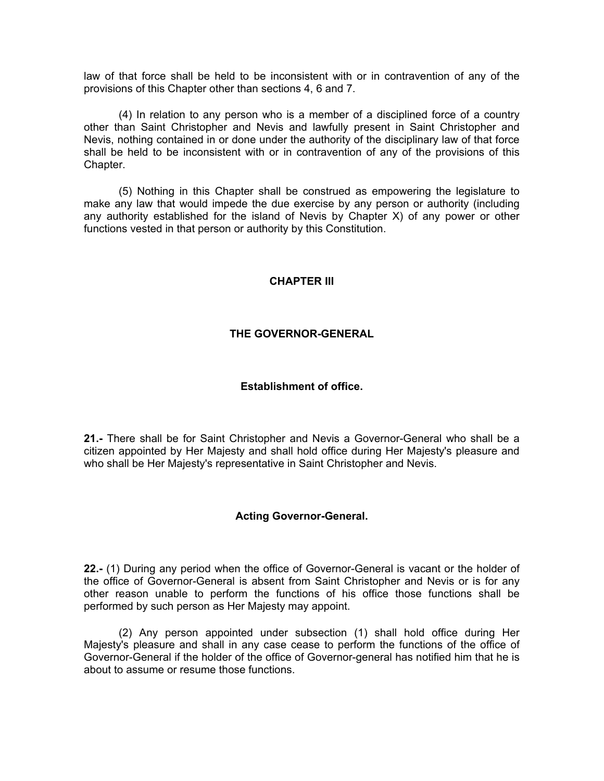law of that force shall be held to be inconsistent with or in contravention of any of the provisions of this Chapter other than sections 4, 6 and 7.

(4) In relation to any person who is a member of a disciplined force of a country other than Saint Christopher and Nevis and lawfully present in Saint Christopher and Nevis, nothing contained in or done under the authority of the disciplinary law of that force shall be held to be inconsistent with or in contravention of any of the provisions of this Chapter.

(5) Nothing in this Chapter shall be construed as empowering the legislature to make any law that would impede the due exercise by any person or authority (including any authority established for the island of Nevis by Chapter X) of any power or other functions vested in that person or authority by this Constitution.

## **CHAPTER III**

## **THE GOVERNOR-GENERAL**

## **Establishment of office.**

**21.-** There shall be for Saint Christopher and Nevis a Governor-General who shall be a citizen appointed by Her Majesty and shall hold office during Her Majesty's pleasure and who shall be Her Majesty's representative in Saint Christopher and Nevis.

## **Acting Governor-General.**

**22.-** (1) During any period when the office of Governor-General is vacant or the holder of the office of Governor-General is absent from Saint Christopher and Nevis or is for any other reason unable to perform the functions of his office those functions shall be performed by such person as Her Majesty may appoint.

(2) Any person appointed under subsection (1) shall hold office during Her Majesty's pleasure and shall in any case cease to perform the functions of the office of Governor-General if the holder of the office of Governor-general has notified him that he is about to assume or resume those functions.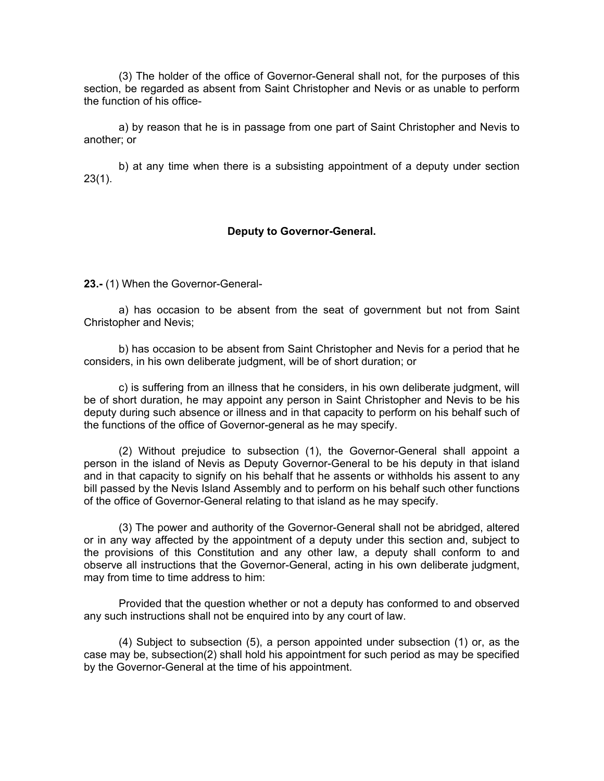(3) The holder of the office of Governor-General shall not, for the purposes of this section, be regarded as absent from Saint Christopher and Nevis or as unable to perform the function of his office-

a) by reason that he is in passage from one part of Saint Christopher and Nevis to another; or

b) at any time when there is a subsisting appointment of a deputy under section 23(1).

#### **Deputy to Governor-General.**

**23.-** (1) When the Governor-General-

a) has occasion to be absent from the seat of government but not from Saint Christopher and Nevis;

b) has occasion to be absent from Saint Christopher and Nevis for a period that he considers, in his own deliberate judgment, will be of short duration; or

c) is suffering from an illness that he considers, in his own deliberate judgment, will be of short duration, he may appoint any person in Saint Christopher and Nevis to be his deputy during such absence or illness and in that capacity to perform on his behalf such of the functions of the office of Governor-general as he may specify.

(2) Without prejudice to subsection (1), the Governor-General shall appoint a person in the island of Nevis as Deputy Governor-General to be his deputy in that island and in that capacity to signify on his behalf that he assents or withholds his assent to any bill passed by the Nevis Island Assembly and to perform on his behalf such other functions of the office of Governor-General relating to that island as he may specify.

(3) The power and authority of the Governor-General shall not be abridged, altered or in any way affected by the appointment of a deputy under this section and, subject to the provisions of this Constitution and any other law, a deputy shall conform to and observe all instructions that the Governor-General, acting in his own deliberate judgment, may from time to time address to him:

Provided that the question whether or not a deputy has conformed to and observed any such instructions shall not be enquired into by any court of law.

(4) Subject to subsection (5), a person appointed under subsection (1) or, as the case may be, subsection(2) shall hold his appointment for such period as may be specified by the Governor-General at the time of his appointment.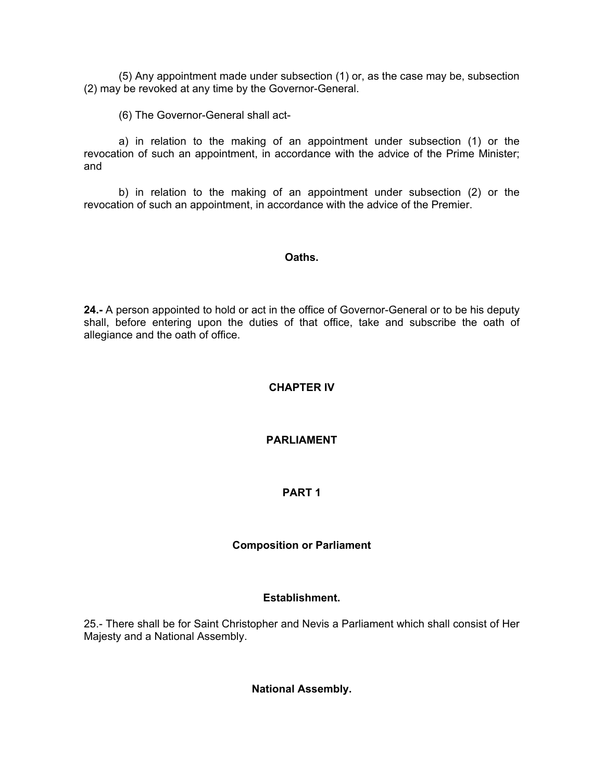(5) Any appointment made under subsection (1) or, as the case may be, subsection (2) may be revoked at any time by the Governor-General.

(6) The Governor-General shall act-

a) in relation to the making of an appointment under subsection (1) or the revocation of such an appointment, in accordance with the advice of the Prime Minister; and

b) in relation to the making of an appointment under subsection (2) or the revocation of such an appointment, in accordance with the advice of the Premier.

#### **Oaths.**

**24.-** A person appointed to hold or act in the office of Governor-General or to be his deputy shall, before entering upon the duties of that office, take and subscribe the oath of allegiance and the oath of office.

## **CHAPTER IV**

## **PARLIAMENT**

## **PART 1**

## **Composition or Parliament**

## **Establishment.**

25.- There shall be for Saint Christopher and Nevis a Parliament which shall consist of Her Majesty and a National Assembly.

**National Assembly.**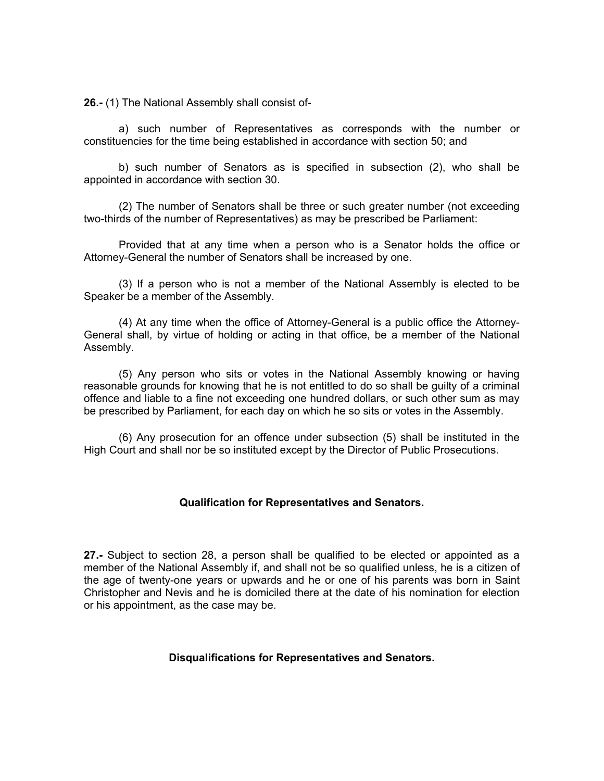**26.-** (1) The National Assembly shall consist of-

a) such number of Representatives as corresponds with the number or constituencies for the time being established in accordance with section 50; and

b) such number of Senators as is specified in subsection (2), who shall be appointed in accordance with section 30.

(2) The number of Senators shall be three or such greater number (not exceeding two-thirds of the number of Representatives) as may be prescribed be Parliament:

Provided that at any time when a person who is a Senator holds the office or Attorney-General the number of Senators shall be increased by one.

(3) If a person who is not a member of the National Assembly is elected to be Speaker be a member of the Assembly.

(4) At any time when the office of Attorney-General is a public office the Attorney-General shall, by virtue of holding or acting in that office, be a member of the National Assembly.

(5) Any person who sits or votes in the National Assembly knowing or having reasonable grounds for knowing that he is not entitled to do so shall be guilty of a criminal offence and liable to a fine not exceeding one hundred dollars, or such other sum as may be prescribed by Parliament, for each day on which he so sits or votes in the Assembly.

(6) Any prosecution for an offence under subsection (5) shall be instituted in the High Court and shall nor be so instituted except by the Director of Public Prosecutions.

#### **Qualification for Representatives and Senators.**

**27.-** Subject to section 28, a person shall be qualified to be elected or appointed as a member of the National Assembly if, and shall not be so qualified unless, he is a citizen of the age of twenty-one years or upwards and he or one of his parents was born in Saint Christopher and Nevis and he is domiciled there at the date of his nomination for election or his appointment, as the case may be.

#### **Disqualifications for Representatives and Senators.**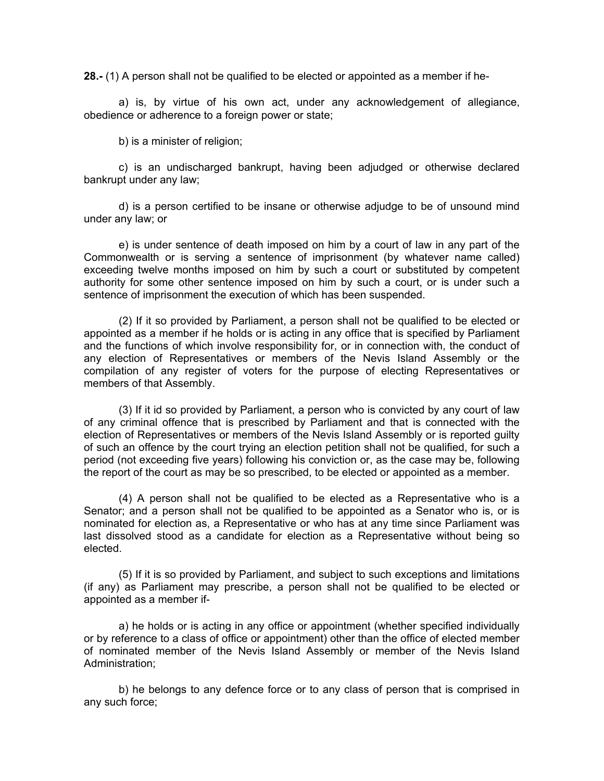**28.-** (1) A person shall not be qualified to be elected or appointed as a member if he-

a) is, by virtue of his own act, under any acknowledgement of allegiance, obedience or adherence to a foreign power or state;

b) is a minister of religion;

c) is an undischarged bankrupt, having been adjudged or otherwise declared bankrupt under any law;

d) is a person certified to be insane or otherwise adjudge to be of unsound mind under any law; or

e) is under sentence of death imposed on him by a court of law in any part of the Commonwealth or is serving a sentence of imprisonment (by whatever name called) exceeding twelve months imposed on him by such a court or substituted by competent authority for some other sentence imposed on him by such a court, or is under such a sentence of imprisonment the execution of which has been suspended.

(2) If it so provided by Parliament, a person shall not be qualified to be elected or appointed as a member if he holds or is acting in any office that is specified by Parliament and the functions of which involve responsibility for, or in connection with, the conduct of any election of Representatives or members of the Nevis Island Assembly or the compilation of any register of voters for the purpose of electing Representatives or members of that Assembly.

(3) If it id so provided by Parliament, a person who is convicted by any court of law of any criminal offence that is prescribed by Parliament and that is connected with the election of Representatives or members of the Nevis Island Assembly or is reported guilty of such an offence by the court trying an election petition shall not be qualified, for such a period (not exceeding five years) following his conviction or, as the case may be, following the report of the court as may be so prescribed, to be elected or appointed as a member.

(4) A person shall not be qualified to be elected as a Representative who is a Senator; and a person shall not be qualified to be appointed as a Senator who is, or is nominated for election as, a Representative or who has at any time since Parliament was last dissolved stood as a candidate for election as a Representative without being so elected.

(5) If it is so provided by Parliament, and subject to such exceptions and limitations (if any) as Parliament may prescribe, a person shall not be qualified to be elected or appointed as a member if-

a) he holds or is acting in any office or appointment (whether specified individually or by reference to a class of office or appointment) other than the office of elected member of nominated member of the Nevis Island Assembly or member of the Nevis Island Administration;

b) he belongs to any defence force or to any class of person that is comprised in any such force;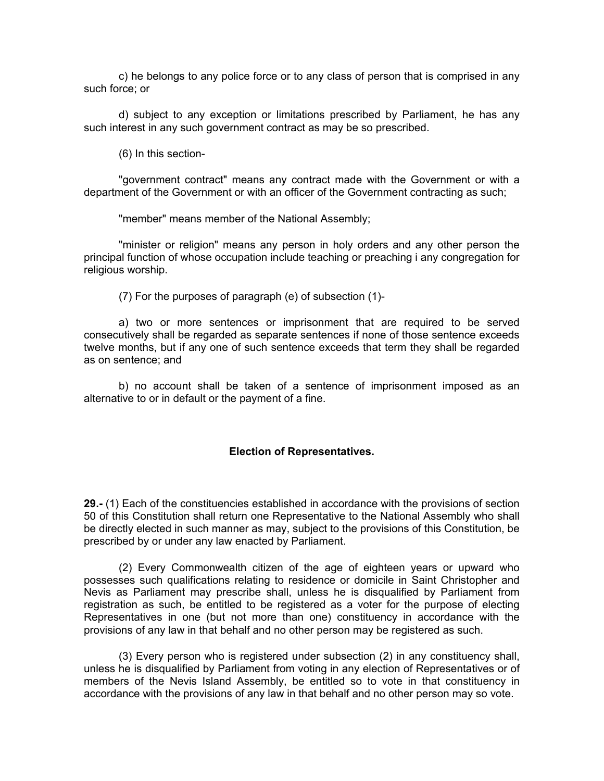c) he belongs to any police force or to any class of person that is comprised in any such force; or

d) subject to any exception or limitations prescribed by Parliament, he has any such interest in any such government contract as may be so prescribed.

(6) In this section-

"government contract" means any contract made with the Government or with a department of the Government or with an officer of the Government contracting as such;

"member" means member of the National Assembly;

"minister or religion" means any person in holy orders and any other person the principal function of whose occupation include teaching or preaching i any congregation for religious worship.

(7) For the purposes of paragraph (e) of subsection (1)-

a) two or more sentences or imprisonment that are required to be served consecutively shall be regarded as separate sentences if none of those sentence exceeds twelve months, but if any one of such sentence exceeds that term they shall be regarded as on sentence; and

b) no account shall be taken of a sentence of imprisonment imposed as an alternative to or in default or the payment of a fine.

#### **Election of Representatives.**

**29.-** (1) Each of the constituencies established in accordance with the provisions of section 50 of this Constitution shall return one Representative to the National Assembly who shall be directly elected in such manner as may, subject to the provisions of this Constitution, be prescribed by or under any law enacted by Parliament.

(2) Every Commonwealth citizen of the age of eighteen years or upward who possesses such qualifications relating to residence or domicile in Saint Christopher and Nevis as Parliament may prescribe shall, unless he is disqualified by Parliament from registration as such, be entitled to be registered as a voter for the purpose of electing Representatives in one (but not more than one) constituency in accordance with the provisions of any law in that behalf and no other person may be registered as such.

(3) Every person who is registered under subsection (2) in any constituency shall, unless he is disqualified by Parliament from voting in any election of Representatives or of members of the Nevis Island Assembly, be entitled so to vote in that constituency in accordance with the provisions of any law in that behalf and no other person may so vote.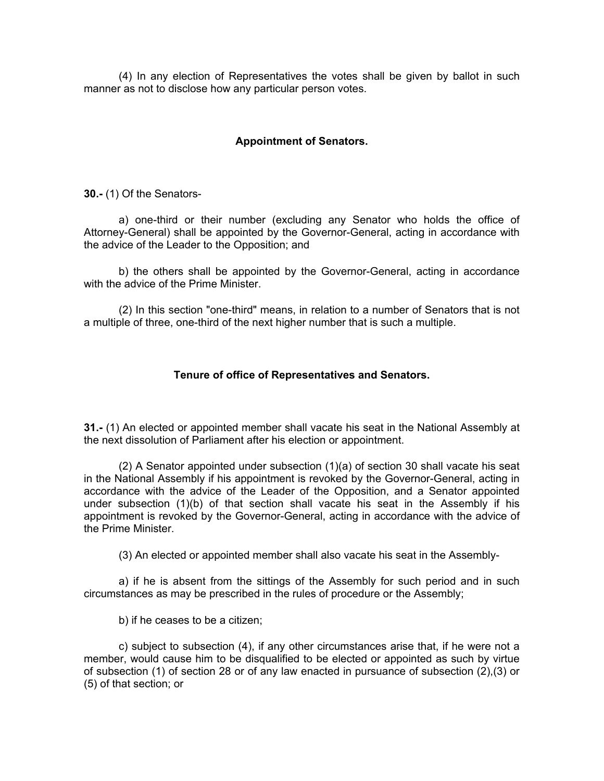(4) In any election of Representatives the votes shall be given by ballot in such manner as not to disclose how any particular person votes.

## **Appointment of Senators.**

**30.-** (1) Of the Senators-

a) one-third or their number (excluding any Senator who holds the office of Attorney-General) shall be appointed by the Governor-General, acting in accordance with the advice of the Leader to the Opposition; and

b) the others shall be appointed by the Governor-General, acting in accordance with the advice of the Prime Minister.

(2) In this section "one-third" means, in relation to a number of Senators that is not a multiple of three, one-third of the next higher number that is such a multiple.

#### **Tenure of office of Representatives and Senators.**

**31.-** (1) An elected or appointed member shall vacate his seat in the National Assembly at the next dissolution of Parliament after his election or appointment.

(2) A Senator appointed under subsection (1)(a) of section 30 shall vacate his seat in the National Assembly if his appointment is revoked by the Governor-General, acting in accordance with the advice of the Leader of the Opposition, and a Senator appointed under subsection (1)(b) of that section shall vacate his seat in the Assembly if his appointment is revoked by the Governor-General, acting in accordance with the advice of the Prime Minister.

(3) An elected or appointed member shall also vacate his seat in the Assembly-

a) if he is absent from the sittings of the Assembly for such period and in such circumstances as may be prescribed in the rules of procedure or the Assembly;

b) if he ceases to be a citizen;

c) subject to subsection (4), if any other circumstances arise that, if he were not a member, would cause him to be disqualified to be elected or appointed as such by virtue of subsection (1) of section 28 or of any law enacted in pursuance of subsection (2),(3) or (5) of that section; or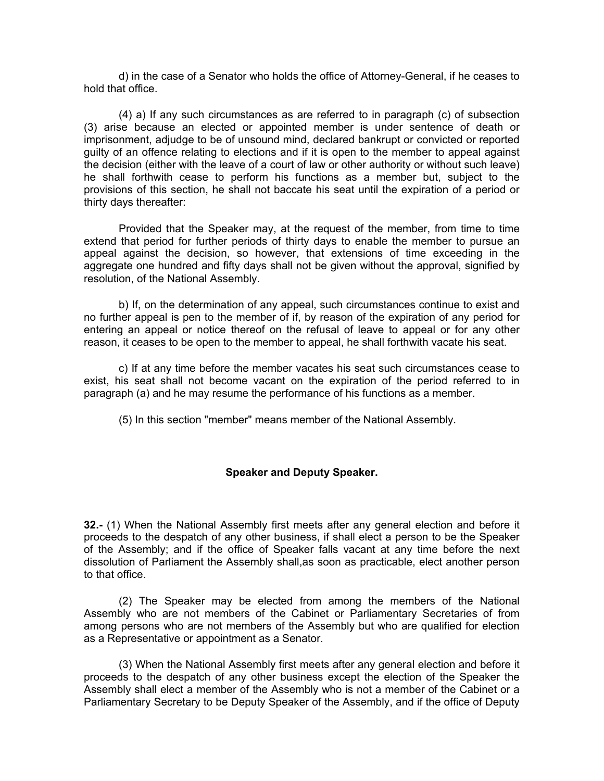d) in the case of a Senator who holds the office of Attorney-General, if he ceases to hold that office.

(4) a) If any such circumstances as are referred to in paragraph (c) of subsection (3) arise because an elected or appointed member is under sentence of death or imprisonment, adjudge to be of unsound mind, declared bankrupt or convicted or reported guilty of an offence relating to elections and if it is open to the member to appeal against the decision (either with the leave of a court of law or other authority or without such leave) he shall forthwith cease to perform his functions as a member but, subject to the provisions of this section, he shall not baccate his seat until the expiration of a period or thirty days thereafter:

Provided that the Speaker may, at the request of the member, from time to time extend that period for further periods of thirty days to enable the member to pursue an appeal against the decision, so however, that extensions of time exceeding in the aggregate one hundred and fifty days shall not be given without the approval, signified by resolution, of the National Assembly.

b) If, on the determination of any appeal, such circumstances continue to exist and no further appeal is pen to the member of if, by reason of the expiration of any period for entering an appeal or notice thereof on the refusal of leave to appeal or for any other reason, it ceases to be open to the member to appeal, he shall forthwith vacate his seat.

c) If at any time before the member vacates his seat such circumstances cease to exist, his seat shall not become vacant on the expiration of the period referred to in paragraph (a) and he may resume the performance of his functions as a member.

(5) In this section "member" means member of the National Assembly.

#### **Speaker and Deputy Speaker.**

**32.-** (1) When the National Assembly first meets after any general election and before it proceeds to the despatch of any other business, if shall elect a person to be the Speaker of the Assembly; and if the office of Speaker falls vacant at any time before the next dissolution of Parliament the Assembly shall,as soon as practicable, elect another person to that office.

(2) The Speaker may be elected from among the members of the National Assembly who are not members of the Cabinet or Parliamentary Secretaries of from among persons who are not members of the Assembly but who are qualified for election as a Representative or appointment as a Senator.

(3) When the National Assembly first meets after any general election and before it proceeds to the despatch of any other business except the election of the Speaker the Assembly shall elect a member of the Assembly who is not a member of the Cabinet or a Parliamentary Secretary to be Deputy Speaker of the Assembly, and if the office of Deputy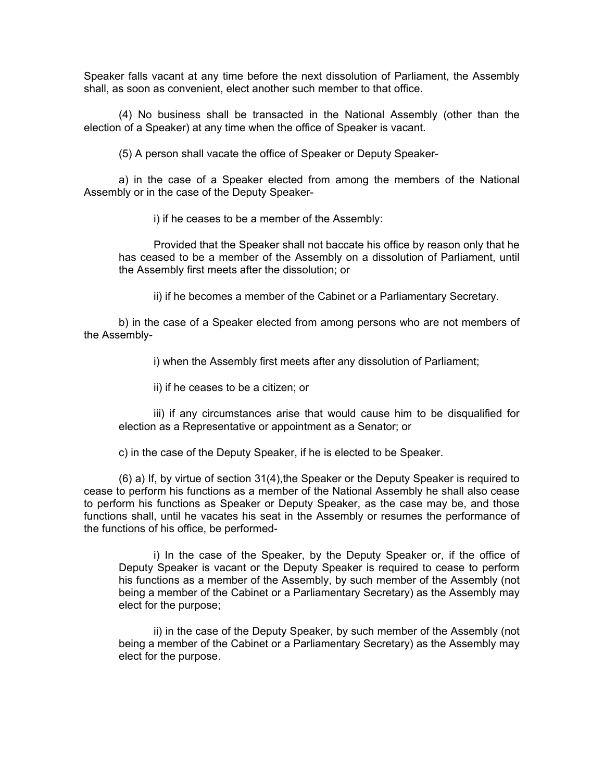Speaker falls vacant at any time before the next dissolution of Parliament, the Assembly shall, as soon as convenient, elect another such member to that office.

(4) No business shall be transacted in the National Assembly (other than the election of a Speaker) at any time when the office of Speaker is vacant.

(5) A person shall vacate the office of Speaker or Deputy Speaker-

a) in the case of a Speaker elected from among the members of the National Assembly or in the case of the Deputy Speaker-

i) if he ceases to be a member of the Assembly:

Provided that the Speaker shall not baccate his office by reason only that he has ceased to be a member of the Assembly on a dissolution of Parliament, until the Assembly first meets after the dissolution; or

ii) if he becomes a member of the Cabinet or a Parliamentary Secretary.

b) in the case of a Speaker elected from among persons who are not members of the Assembly-

i) when the Assembly first meets after any dissolution of Parliament;

ii) if he ceases to be a citizen; or

iii) if any circumstances arise that would cause him to be disqualified for election as a Representative or appointment as a Senator; or

c) in the case of the Deputy Speaker, if he is elected to be Speaker.

(6) a) If, by virtue of section 31(4),the Speaker or the Deputy Speaker is required to cease to perform his functions as a member of the National Assembly he shall also cease to perform his functions as Speaker or Deputy Speaker, as the case may be, and those functions shall, until he vacates his seat in the Assembly or resumes the performance of the functions of his office, be performed-

i) In the case of the Speaker, by the Deputy Speaker or, if the office of Deputy Speaker is vacant or the Deputy Speaker is required to cease to perform his functions as a member of the Assembly, by such member of the Assembly (not being a member of the Cabinet or a Parliamentary Secretary) as the Assembly may elect for the purpose;

ii) in the case of the Deputy Speaker, by such member of the Assembly (not being a member of the Cabinet or a Parliamentary Secretary) as the Assembly may elect for the purpose.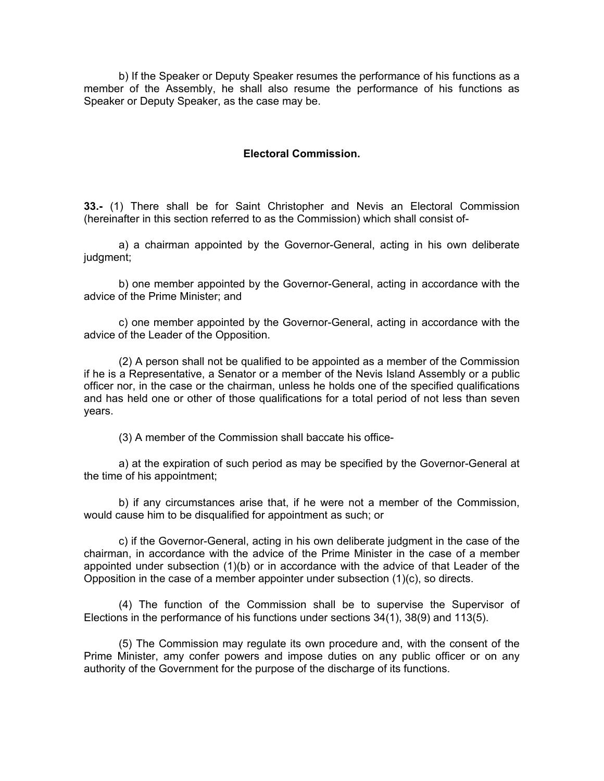b) If the Speaker or Deputy Speaker resumes the performance of his functions as a member of the Assembly, he shall also resume the performance of his functions as Speaker or Deputy Speaker, as the case may be.

#### **Electoral Commission.**

**33.-** (1) There shall be for Saint Christopher and Nevis an Electoral Commission (hereinafter in this section referred to as the Commission) which shall consist of-

a) a chairman appointed by the Governor-General, acting in his own deliberate judgment;

b) one member appointed by the Governor-General, acting in accordance with the advice of the Prime Minister; and

c) one member appointed by the Governor-General, acting in accordance with the advice of the Leader of the Opposition.

(2) A person shall not be qualified to be appointed as a member of the Commission if he is a Representative, a Senator or a member of the Nevis Island Assembly or a public officer nor, in the case or the chairman, unless he holds one of the specified qualifications and has held one or other of those qualifications for a total period of not less than seven years.

(3) A member of the Commission shall baccate his office-

a) at the expiration of such period as may be specified by the Governor-General at the time of his appointment;

b) if any circumstances arise that, if he were not a member of the Commission, would cause him to be disqualified for appointment as such; or

c) if the Governor-General, acting in his own deliberate judgment in the case of the chairman, in accordance with the advice of the Prime Minister in the case of a member appointed under subsection (1)(b) or in accordance with the advice of that Leader of the Opposition in the case of a member appointer under subsection (1)(c), so directs.

(4) The function of the Commission shall be to supervise the Supervisor of Elections in the performance of his functions under sections 34(1), 38(9) and 113(5).

(5) The Commission may regulate its own procedure and, with the consent of the Prime Minister, amy confer powers and impose duties on any public officer or on any authority of the Government for the purpose of the discharge of its functions.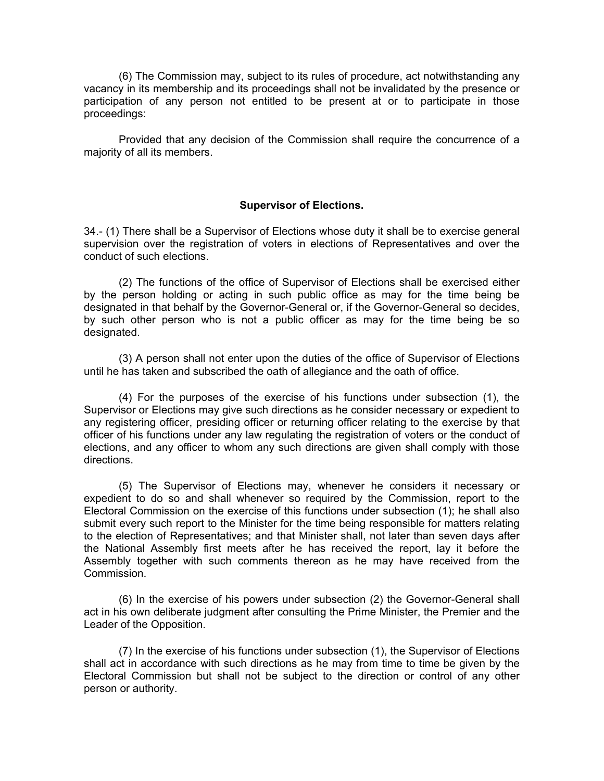(6) The Commission may, subject to its rules of procedure, act notwithstanding any vacancy in its membership and its proceedings shall not be invalidated by the presence or participation of any person not entitled to be present at or to participate in those proceedings:

Provided that any decision of the Commission shall require the concurrence of a majority of all its members.

#### **Supervisor of Elections.**

34.- (1) There shall be a Supervisor of Elections whose duty it shall be to exercise general supervision over the registration of voters in elections of Representatives and over the conduct of such elections.

(2) The functions of the office of Supervisor of Elections shall be exercised either by the person holding or acting in such public office as may for the time being be designated in that behalf by the Governor-General or, if the Governor-General so decides, by such other person who is not a public officer as may for the time being be so designated.

(3) A person shall not enter upon the duties of the office of Supervisor of Elections until he has taken and subscribed the oath of allegiance and the oath of office.

(4) For the purposes of the exercise of his functions under subsection (1), the Supervisor or Elections may give such directions as he consider necessary or expedient to any registering officer, presiding officer or returning officer relating to the exercise by that officer of his functions under any law regulating the registration of voters or the conduct of elections, and any officer to whom any such directions are given shall comply with those directions.

(5) The Supervisor of Elections may, whenever he considers it necessary or expedient to do so and shall whenever so required by the Commission, report to the Electoral Commission on the exercise of this functions under subsection (1); he shall also submit every such report to the Minister for the time being responsible for matters relating to the election of Representatives; and that Minister shall, not later than seven days after the National Assembly first meets after he has received the report, lay it before the Assembly together with such comments thereon as he may have received from the Commission.

(6) In the exercise of his powers under subsection (2) the Governor-General shall act in his own deliberate judgment after consulting the Prime Minister, the Premier and the Leader of the Opposition.

(7) In the exercise of his functions under subsection (1), the Supervisor of Elections shall act in accordance with such directions as he may from time to time be given by the Electoral Commission but shall not be subject to the direction or control of any other person or authority.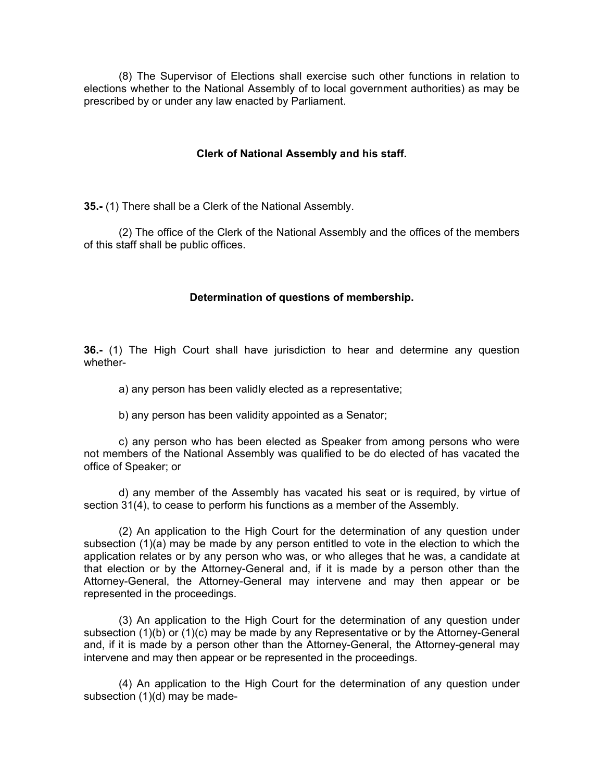(8) The Supervisor of Elections shall exercise such other functions in relation to elections whether to the National Assembly of to local government authorities) as may be prescribed by or under any law enacted by Parliament.

## **Clerk of National Assembly and his staff.**

**35.-** (1) There shall be a Clerk of the National Assembly.

(2) The office of the Clerk of the National Assembly and the offices of the members of this staff shall be public offices.

## **Determination of questions of membership.**

**36.-** (1) The High Court shall have jurisdiction to hear and determine any question whether-

- a) any person has been validly elected as a representative;
- b) any person has been validity appointed as a Senator;

c) any person who has been elected as Speaker from among persons who were not members of the National Assembly was qualified to be do elected of has vacated the office of Speaker; or

d) any member of the Assembly has vacated his seat or is required, by virtue of section 31(4), to cease to perform his functions as a member of the Assembly.

(2) An application to the High Court for the determination of any question under subsection (1)(a) may be made by any person entitled to vote in the election to which the application relates or by any person who was, or who alleges that he was, a candidate at that election or by the Attorney-General and, if it is made by a person other than the Attorney-General, the Attorney-General may intervene and may then appear or be represented in the proceedings.

(3) An application to the High Court for the determination of any question under subsection (1)(b) or (1)(c) may be made by any Representative or by the Attorney-General and, if it is made by a person other than the Attorney-General, the Attorney-general may intervene and may then appear or be represented in the proceedings.

(4) An application to the High Court for the determination of any question under subsection (1)(d) may be made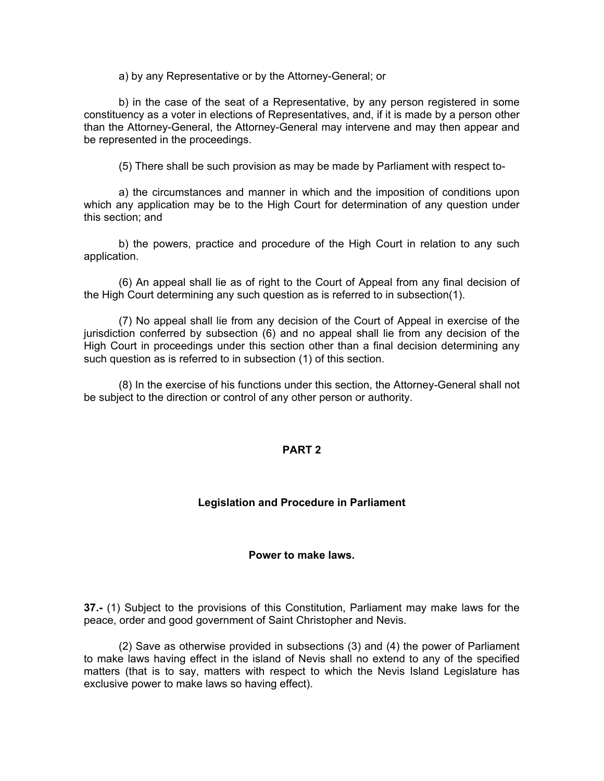a) by any Representative or by the Attorney-General; or

b) in the case of the seat of a Representative, by any person registered in some constituency as a voter in elections of Representatives, and, if it is made by a person other than the Attorney-General, the Attorney-General may intervene and may then appear and be represented in the proceedings.

(5) There shall be such provision as may be made by Parliament with respect to-

a) the circumstances and manner in which and the imposition of conditions upon which any application may be to the High Court for determination of any question under this section; and

b) the powers, practice and procedure of the High Court in relation to any such application.

(6) An appeal shall lie as of right to the Court of Appeal from any final decision of the High Court determining any such question as is referred to in subsection(1).

(7) No appeal shall lie from any decision of the Court of Appeal in exercise of the jurisdiction conferred by subsection (6) and no appeal shall lie from any decision of the High Court in proceedings under this section other than a final decision determining any such question as is referred to in subsection (1) of this section.

(8) In the exercise of his functions under this section, the Attorney-General shall not be subject to the direction or control of any other person or authority.

#### **PART 2**

#### **Legislation and Procedure in Parliament**

#### **Power to make laws.**

**37.-** (1) Subject to the provisions of this Constitution, Parliament may make laws for the peace, order and good government of Saint Christopher and Nevis.

(2) Save as otherwise provided in subsections (3) and (4) the power of Parliament to make laws having effect in the island of Nevis shall no extend to any of the specified matters (that is to say, matters with respect to which the Nevis Island Legislature has exclusive power to make laws so having effect).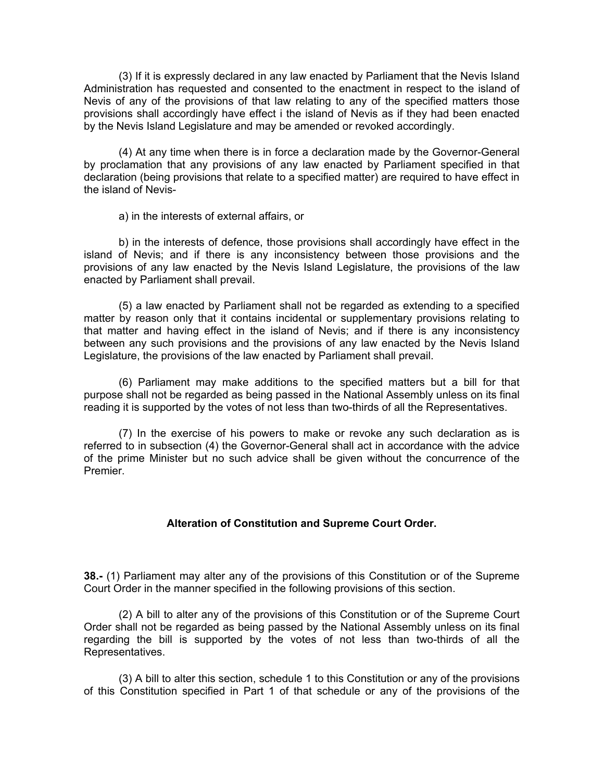(3) If it is expressly declared in any law enacted by Parliament that the Nevis Island Administration has requested and consented to the enactment in respect to the island of Nevis of any of the provisions of that law relating to any of the specified matters those provisions shall accordingly have effect i the island of Nevis as if they had been enacted by the Nevis Island Legislature and may be amended or revoked accordingly.

(4) At any time when there is in force a declaration made by the Governor-General by proclamation that any provisions of any law enacted by Parliament specified in that declaration (being provisions that relate to a specified matter) are required to have effect in the island of Nevis-

a) in the interests of external affairs, or

b) in the interests of defence, those provisions shall accordingly have effect in the island of Nevis; and if there is any inconsistency between those provisions and the provisions of any law enacted by the Nevis Island Legislature, the provisions of the law enacted by Parliament shall prevail.

(5) a law enacted by Parliament shall not be regarded as extending to a specified matter by reason only that it contains incidental or supplementary provisions relating to that matter and having effect in the island of Nevis; and if there is any inconsistency between any such provisions and the provisions of any law enacted by the Nevis Island Legislature, the provisions of the law enacted by Parliament shall prevail.

(6) Parliament may make additions to the specified matters but a bill for that purpose shall not be regarded as being passed in the National Assembly unless on its final reading it is supported by the votes of not less than two-thirds of all the Representatives.

(7) In the exercise of his powers to make or revoke any such declaration as is referred to in subsection (4) the Governor-General shall act in accordance with the advice of the prime Minister but no such advice shall be given without the concurrence of the Premier.

## **Alteration of Constitution and Supreme Court Order.**

**38.-** (1) Parliament may alter any of the provisions of this Constitution or of the Supreme Court Order in the manner specified in the following provisions of this section.

(2) A bill to alter any of the provisions of this Constitution or of the Supreme Court Order shall not be regarded as being passed by the National Assembly unless on its final regarding the bill is supported by the votes of not less than two-thirds of all the Representatives.

(3) A bill to alter this section, schedule 1 to this Constitution or any of the provisions of this Constitution specified in Part 1 of that schedule or any of the provisions of the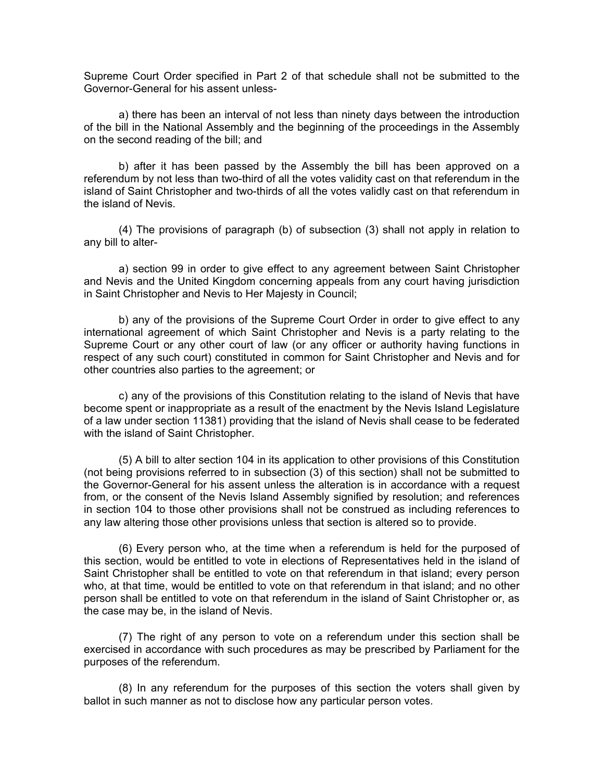Supreme Court Order specified in Part 2 of that schedule shall not be submitted to the Governor-General for his assent unless-

a) there has been an interval of not less than ninety days between the introduction of the bill in the National Assembly and the beginning of the proceedings in the Assembly on the second reading of the bill; and

b) after it has been passed by the Assembly the bill has been approved on a referendum by not less than two-third of all the votes validity cast on that referendum in the island of Saint Christopher and two-thirds of all the votes validly cast on that referendum in the island of Nevis.

(4) The provisions of paragraph (b) of subsection (3) shall not apply in relation to any bill to alter-

a) section 99 in order to give effect to any agreement between Saint Christopher and Nevis and the United Kingdom concerning appeals from any court having jurisdiction in Saint Christopher and Nevis to Her Majesty in Council;

b) any of the provisions of the Supreme Court Order in order to give effect to any international agreement of which Saint Christopher and Nevis is a party relating to the Supreme Court or any other court of law (or any officer or authority having functions in respect of any such court) constituted in common for Saint Christopher and Nevis and for other countries also parties to the agreement; or

c) any of the provisions of this Constitution relating to the island of Nevis that have become spent or inappropriate as a result of the enactment by the Nevis Island Legislature of a law under section 11381) providing that the island of Nevis shall cease to be federated with the island of Saint Christopher.

(5) A bill to alter section 104 in its application to other provisions of this Constitution (not being provisions referred to in subsection (3) of this section) shall not be submitted to the Governor-General for his assent unless the alteration is in accordance with a request from, or the consent of the Nevis Island Assembly signified by resolution; and references in section 104 to those other provisions shall not be construed as including references to any law altering those other provisions unless that section is altered so to provide.

(6) Every person who, at the time when a referendum is held for the purposed of this section, would be entitled to vote in elections of Representatives held in the island of Saint Christopher shall be entitled to vote on that referendum in that island; every person who, at that time, would be entitled to vote on that referendum in that island; and no other person shall be entitled to vote on that referendum in the island of Saint Christopher or, as the case may be, in the island of Nevis.

(7) The right of any person to vote on a referendum under this section shall be exercised in accordance with such procedures as may be prescribed by Parliament for the purposes of the referendum.

(8) In any referendum for the purposes of this section the voters shall given by ballot in such manner as not to disclose how any particular person votes.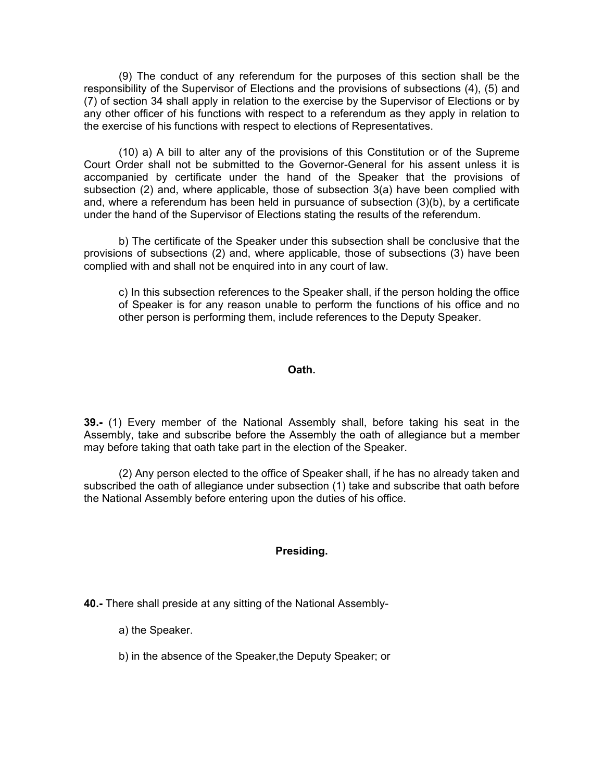(9) The conduct of any referendum for the purposes of this section shall be the responsibility of the Supervisor of Elections and the provisions of subsections (4), (5) and (7) of section 34 shall apply in relation to the exercise by the Supervisor of Elections or by any other officer of his functions with respect to a referendum as they apply in relation to the exercise of his functions with respect to elections of Representatives.

(10) a) A bill to alter any of the provisions of this Constitution or of the Supreme Court Order shall not be submitted to the Governor-General for his assent unless it is accompanied by certificate under the hand of the Speaker that the provisions of subsection (2) and, where applicable, those of subsection 3(a) have been complied with and, where a referendum has been held in pursuance of subsection (3)(b), by a certificate under the hand of the Supervisor of Elections stating the results of the referendum.

b) The certificate of the Speaker under this subsection shall be conclusive that the provisions of subsections (2) and, where applicable, those of subsections (3) have been complied with and shall not be enquired into in any court of law.

c) In this subsection references to the Speaker shall, if the person holding the office of Speaker is for any reason unable to perform the functions of his office and no other person is performing them, include references to the Deputy Speaker.

### **Oath.**

**39.-** (1) Every member of the National Assembly shall, before taking his seat in the Assembly, take and subscribe before the Assembly the oath of allegiance but a member may before taking that oath take part in the election of the Speaker.

(2) Any person elected to the office of Speaker shall, if he has no already taken and subscribed the oath of allegiance under subsection (1) take and subscribe that oath before the National Assembly before entering upon the duties of his office.

### **Presiding.**

**40.-** There shall preside at any sitting of the National Assembly-

- a) the Speaker.
- b) in the absence of the Speaker,the Deputy Speaker; or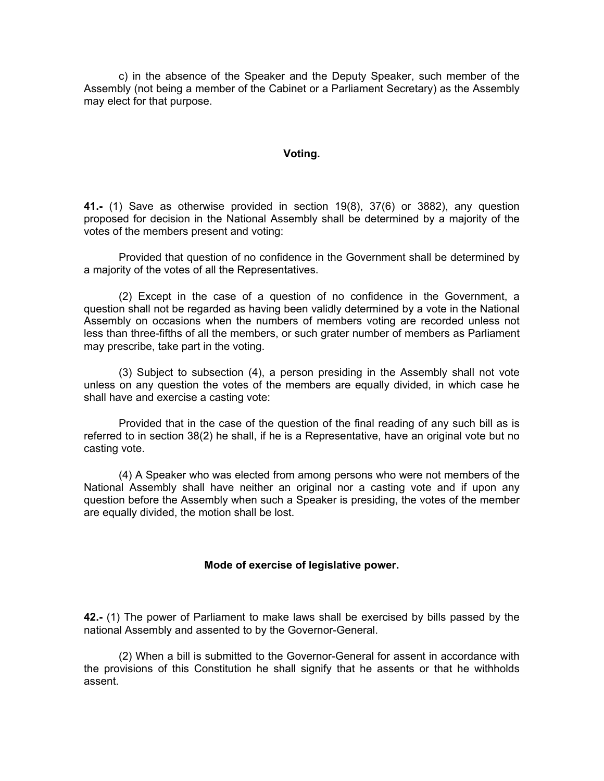c) in the absence of the Speaker and the Deputy Speaker, such member of the Assembly (not being a member of the Cabinet or a Parliament Secretary) as the Assembly may elect for that purpose.

### **Voting.**

**41.-** (1) Save as otherwise provided in section 19(8), 37(6) or 3882), any question proposed for decision in the National Assembly shall be determined by a majority of the votes of the members present and voting:

Provided that question of no confidence in the Government shall be determined by a majority of the votes of all the Representatives.

(2) Except in the case of a question of no confidence in the Government, a question shall not be regarded as having been validly determined by a vote in the National Assembly on occasions when the numbers of members voting are recorded unless not less than three-fifths of all the members, or such grater number of members as Parliament may prescribe, take part in the voting.

(3) Subject to subsection (4), a person presiding in the Assembly shall not vote unless on any question the votes of the members are equally divided, in which case he shall have and exercise a casting vote:

Provided that in the case of the question of the final reading of any such bill as is referred to in section 38(2) he shall, if he is a Representative, have an original vote but no casting vote.

(4) A Speaker who was elected from among persons who were not members of the National Assembly shall have neither an original nor a casting vote and if upon any question before the Assembly when such a Speaker is presiding, the votes of the member are equally divided, the motion shall be lost.

#### **Mode of exercise of legislative power.**

**42.-** (1) The power of Parliament to make laws shall be exercised by bills passed by the national Assembly and assented to by the Governor-General.

(2) When a bill is submitted to the Governor-General for assent in accordance with the provisions of this Constitution he shall signify that he assents or that he withholds assent.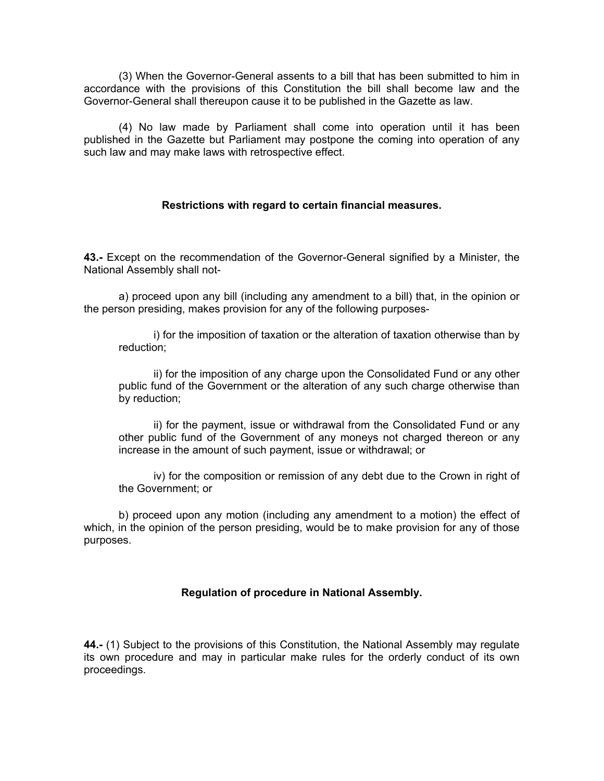(3) When the Governor-General assents to a bill that has been submitted to him in accordance with the provisions of this Constitution the bill shall become law and the Governor-General shall thereupon cause it to be published in the Gazette as law.

(4) No law made by Parliament shall come into operation until it has been published in the Gazette but Parliament may postpone the coming into operation of any such law and may make laws with retrospective effect.

## **Restrictions with regard to certain financial measures.**

**43.-** Except on the recommendation of the Governor-General signified by a Minister, the National Assembly shall not-

a) proceed upon any bill (including any amendment to a bill) that, in the opinion or the person presiding, makes provision for any of the following purposes-

i) for the imposition of taxation or the alteration of taxation otherwise than by reduction;

ii) for the imposition of any charge upon the Consolidated Fund or any other public fund of the Government or the alteration of any such charge otherwise than by reduction;

ii) for the payment, issue or withdrawal from the Consolidated Fund or any other public fund of the Government of any moneys not charged thereon or any increase in the amount of such payment, issue or withdrawal; or

iv) for the composition or remission of any debt due to the Crown in right of the Government; or

b) proceed upon any motion (including any amendment to a motion) the effect of which, in the opinion of the person presiding, would be to make provision for any of those purposes.

### **Regulation of procedure in National Assembly.**

**44.-** (1) Subject to the provisions of this Constitution, the National Assembly may regulate its own procedure and may in particular make rules for the orderly conduct of its own proceedings.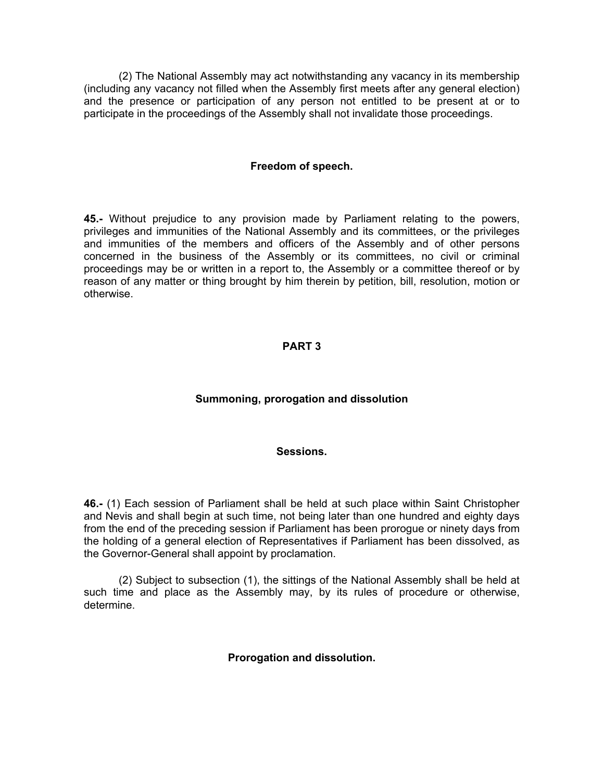(2) The National Assembly may act notwithstanding any vacancy in its membership (including any vacancy not filled when the Assembly first meets after any general election) and the presence or participation of any person not entitled to be present at or to participate in the proceedings of the Assembly shall not invalidate those proceedings.

## **Freedom of speech.**

**45.-** Without prejudice to any provision made by Parliament relating to the powers, privileges and immunities of the National Assembly and its committees, or the privileges and immunities of the members and officers of the Assembly and of other persons concerned in the business of the Assembly or its committees, no civil or criminal proceedings may be or written in a report to, the Assembly or a committee thereof or by reason of any matter or thing brought by him therein by petition, bill, resolution, motion or otherwise.

## **PART 3**

# **Summoning, prorogation and dissolution**

### **Sessions.**

**46.-** (1) Each session of Parliament shall be held at such place within Saint Christopher and Nevis and shall begin at such time, not being later than one hundred and eighty days from the end of the preceding session if Parliament has been prorogue or ninety days from the holding of a general election of Representatives if Parliament has been dissolved, as the Governor-General shall appoint by proclamation.

(2) Subject to subsection (1), the sittings of the National Assembly shall be held at such time and place as the Assembly may, by its rules of procedure or otherwise, determine.

**Prorogation and dissolution.**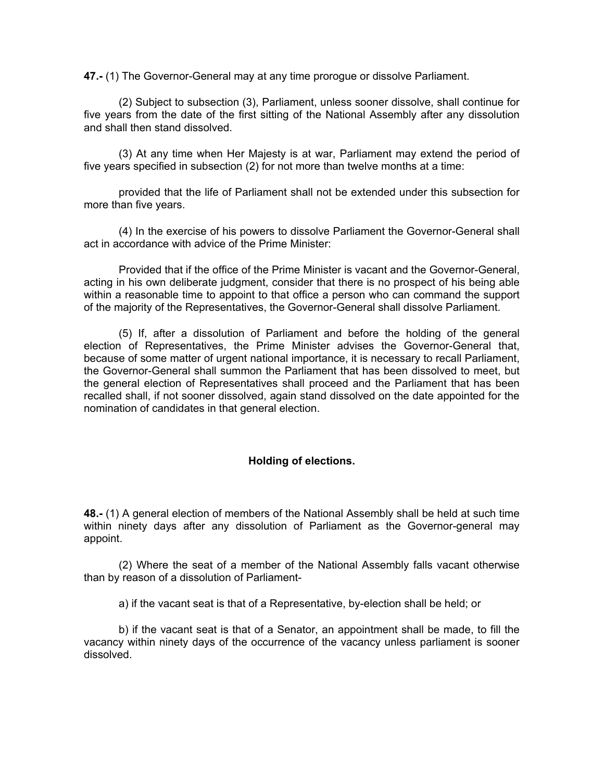**47.-** (1) The Governor-General may at any time prorogue or dissolve Parliament.

(2) Subject to subsection (3), Parliament, unless sooner dissolve, shall continue for five years from the date of the first sitting of the National Assembly after any dissolution and shall then stand dissolved.

(3) At any time when Her Majesty is at war, Parliament may extend the period of five years specified in subsection (2) for not more than twelve months at a time:

provided that the life of Parliament shall not be extended under this subsection for more than five years.

(4) In the exercise of his powers to dissolve Parliament the Governor-General shall act in accordance with advice of the Prime Minister:

Provided that if the office of the Prime Minister is vacant and the Governor-General, acting in his own deliberate judgment, consider that there is no prospect of his being able within a reasonable time to appoint to that office a person who can command the support of the majority of the Representatives, the Governor-General shall dissolve Parliament.

(5) If, after a dissolution of Parliament and before the holding of the general election of Representatives, the Prime Minister advises the Governor-General that, because of some matter of urgent national importance, it is necessary to recall Parliament, the Governor-General shall summon the Parliament that has been dissolved to meet, but the general election of Representatives shall proceed and the Parliament that has been recalled shall, if not sooner dissolved, again stand dissolved on the date appointed for the nomination of candidates in that general election.

### **Holding of elections.**

**48.-** (1) A general election of members of the National Assembly shall be held at such time within ninety days after any dissolution of Parliament as the Governor-general may appoint.

(2) Where the seat of a member of the National Assembly falls vacant otherwise than by reason of a dissolution of Parliament-

a) if the vacant seat is that of a Representative, by-election shall be held; or

b) if the vacant seat is that of a Senator, an appointment shall be made, to fill the vacancy within ninety days of the occurrence of the vacancy unless parliament is sooner dissolved.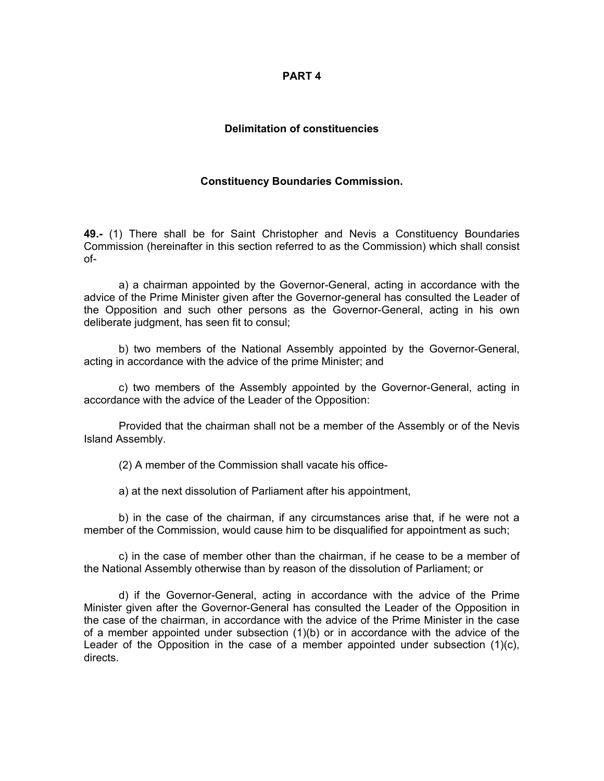### **PART 4**

### **Delimitation of constituencies**

#### **Constituency Boundaries Commission.**

**49.-** (1) There shall be for Saint Christopher and Nevis a Constituency Boundaries Commission (hereinafter in this section referred to as the Commission) which shall consist of-

a) a chairman appointed by the Governor-General, acting in accordance with the advice of the Prime Minister given after the Governor-general has consulted the Leader of the Opposition and such other persons as the Governor-General, acting in his own deliberate judgment, has seen fit to consul;

b) two members of the National Assembly appointed by the Governor-General, acting in accordance with the advice of the prime Minister; and

c) two members of the Assembly appointed by the Governor-General, acting in accordance with the advice of the Leader of the Opposition:

Provided that the chairman shall not be a member of the Assembly or of the Nevis Island Assembly.

(2) A member of the Commission shall vacate his office-

a) at the next dissolution of Parliament after his appointment,

b) in the case of the chairman, if any circumstances arise that, if he were not a member of the Commission, would cause him to be disqualified for appointment as such;

c) in the case of member other than the chairman, if he cease to be a member of the National Assembly otherwise than by reason of the dissolution of Parliament; or

d) if the Governor-General, acting in accordance with the advice of the Prime Minister given after the Governor-General has consulted the Leader of the Opposition in the case of the chairman, in accordance with the advice of the Prime Minister in the case of a member appointed under subsection  $(1)(b)$  or in accordance with the advice of the Leader of the Opposition in the case of a member appointed under subsection  $(1)(c)$ , directs.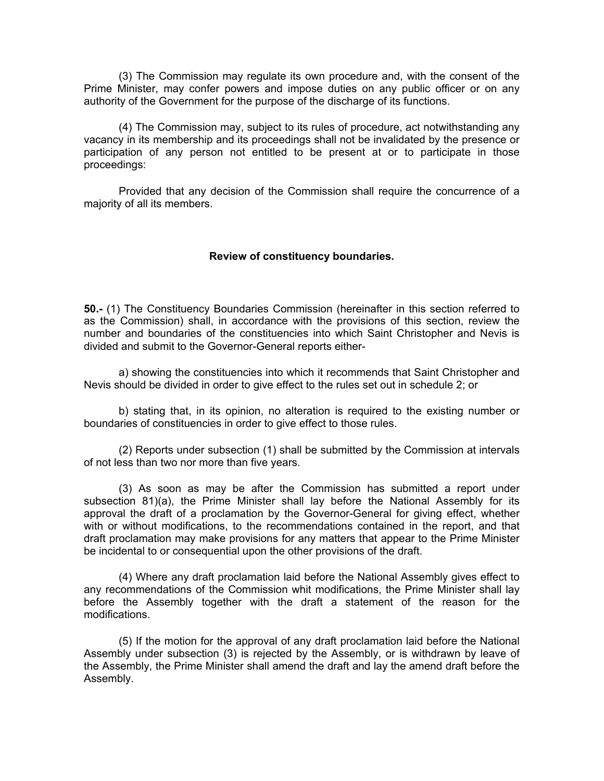(3) The Commission may regulate its own procedure and, with the consent of the Prime Minister, may confer powers and impose duties on any public officer or on any authority of the Government for the purpose of the discharge of its functions.

(4) The Commission may, subject to its rules of procedure, act notwithstanding any vacancy in its membership and its proceedings shall not be invalidated by the presence or participation of any person not entitled to be present at or to participate in those proceedings:

Provided that any decision of the Commission shall require the concurrence of a majority of all its members.

### **Review of constituency boundaries.**

**50.-** (1) The Constituency Boundaries Commission (hereinafter in this section referred to as the Commission) shall, in accordance with the provisions of this section, review the number and boundaries of the constituencies into which Saint Christopher and Nevis is divided and submit to the Governor-General reports either-

a) showing the constituencies into which it recommends that Saint Christopher and Nevis should be divided in order to give effect to the rules set out in schedule 2; or

b) stating that, in its opinion, no alteration is required to the existing number or boundaries of constituencies in order to give effect to those rules.

(2) Reports under subsection (1) shall be submitted by the Commission at intervals of not less than two nor more than five years.

(3) As soon as may be after the Commission has submitted a report under subsection 81)(a), the Prime Minister shall lay before the National Assembly for its approval the draft of a proclamation by the Governor-General for giving effect, whether with or without modifications, to the recommendations contained in the report, and that draft proclamation may make provisions for any matters that appear to the Prime Minister be incidental to or consequential upon the other provisions of the draft.

(4) Where any draft proclamation laid before the National Assembly gives effect to any recommendations of the Commission whit modifications, the Prime Minister shall lay before the Assembly together with the draft a statement of the reason for the modifications.

(5) If the motion for the approval of any draft proclamation laid before the National Assembly under subsection (3) is rejected by the Assembly, or is withdrawn by leave of the Assembly, the Prime Minister shall amend the draft and lay the amend draft before the Assembly.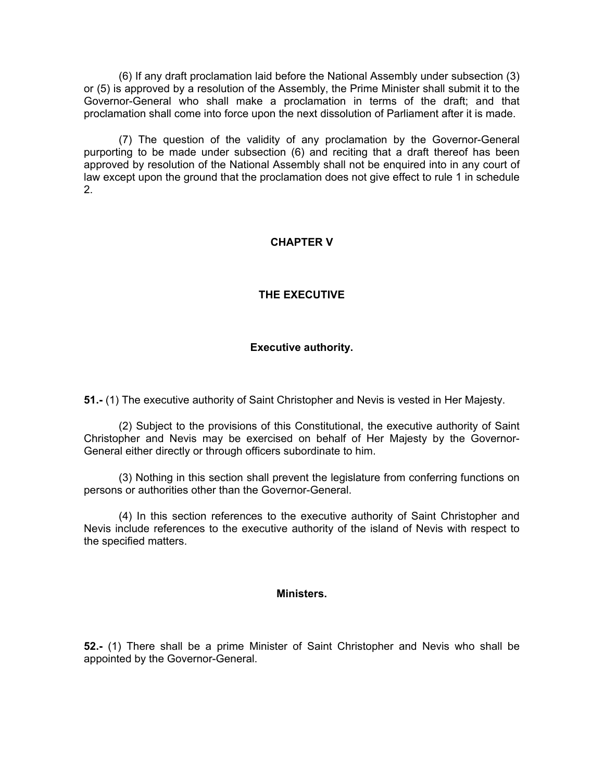(6) If any draft proclamation laid before the National Assembly under subsection (3) or (5) is approved by a resolution of the Assembly, the Prime Minister shall submit it to the Governor-General who shall make a proclamation in terms of the draft; and that proclamation shall come into force upon the next dissolution of Parliament after it is made.

(7) The question of the validity of any proclamation by the Governor-General purporting to be made under subsection (6) and reciting that a draft thereof has been approved by resolution of the National Assembly shall not be enquired into in any court of law except upon the ground that the proclamation does not give effect to rule 1 in schedule 2.

# **CHAPTER V**

# **THE EXECUTIVE**

# **Executive authority.**

**51.-** (1) The executive authority of Saint Christopher and Nevis is vested in Her Majesty.

(2) Subject to the provisions of this Constitutional, the executive authority of Saint Christopher and Nevis may be exercised on behalf of Her Majesty by the Governor-General either directly or through officers subordinate to him.

(3) Nothing in this section shall prevent the legislature from conferring functions on persons or authorities other than the Governor-General.

(4) In this section references to the executive authority of Saint Christopher and Nevis include references to the executive authority of the island of Nevis with respect to the specified matters.

### **Ministers.**

**52.-** (1) There shall be a prime Minister of Saint Christopher and Nevis who shall be appointed by the Governor-General.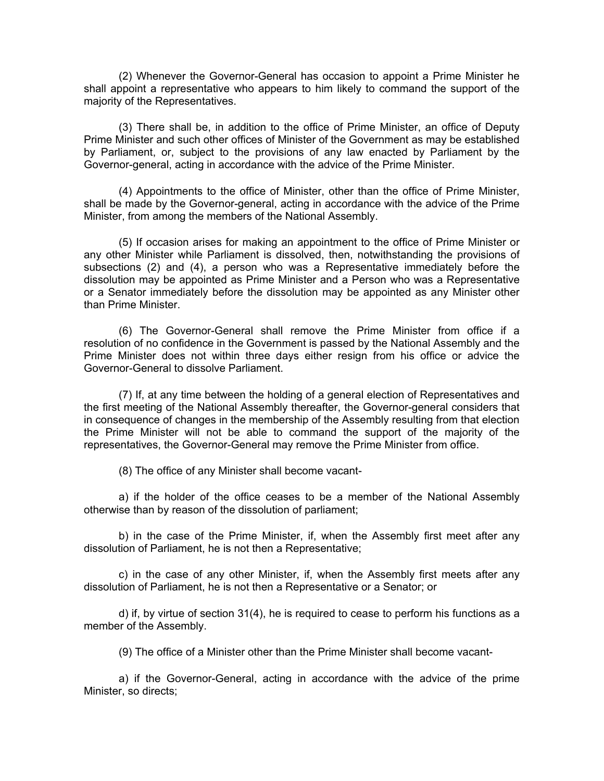(2) Whenever the Governor-General has occasion to appoint a Prime Minister he shall appoint a representative who appears to him likely to command the support of the majority of the Representatives.

(3) There shall be, in addition to the office of Prime Minister, an office of Deputy Prime Minister and such other offices of Minister of the Government as may be established by Parliament, or, subject to the provisions of any law enacted by Parliament by the Governor-general, acting in accordance with the advice of the Prime Minister.

(4) Appointments to the office of Minister, other than the office of Prime Minister, shall be made by the Governor-general, acting in accordance with the advice of the Prime Minister, from among the members of the National Assembly.

(5) If occasion arises for making an appointment to the office of Prime Minister or any other Minister while Parliament is dissolved, then, notwithstanding the provisions of subsections (2) and (4), a person who was a Representative immediately before the dissolution may be appointed as Prime Minister and a Person who was a Representative or a Senator immediately before the dissolution may be appointed as any Minister other than Prime Minister.

(6) The Governor-General shall remove the Prime Minister from office if a resolution of no confidence in the Government is passed by the National Assembly and the Prime Minister does not within three days either resign from his office or advice the Governor-General to dissolve Parliament.

(7) If, at any time between the holding of a general election of Representatives and the first meeting of the National Assembly thereafter, the Governor-general considers that in consequence of changes in the membership of the Assembly resulting from that election the Prime Minister will not be able to command the support of the majority of the representatives, the Governor-General may remove the Prime Minister from office.

(8) The office of any Minister shall become vacant-

a) if the holder of the office ceases to be a member of the National Assembly otherwise than by reason of the dissolution of parliament;

b) in the case of the Prime Minister, if, when the Assembly first meet after any dissolution of Parliament, he is not then a Representative;

c) in the case of any other Minister, if, when the Assembly first meets after any dissolution of Parliament, he is not then a Representative or a Senator; or

d) if, by virtue of section 31(4), he is required to cease to perform his functions as a member of the Assembly.

(9) The office of a Minister other than the Prime Minister shall become vacant-

a) if the Governor-General, acting in accordance with the advice of the prime Minister, so directs;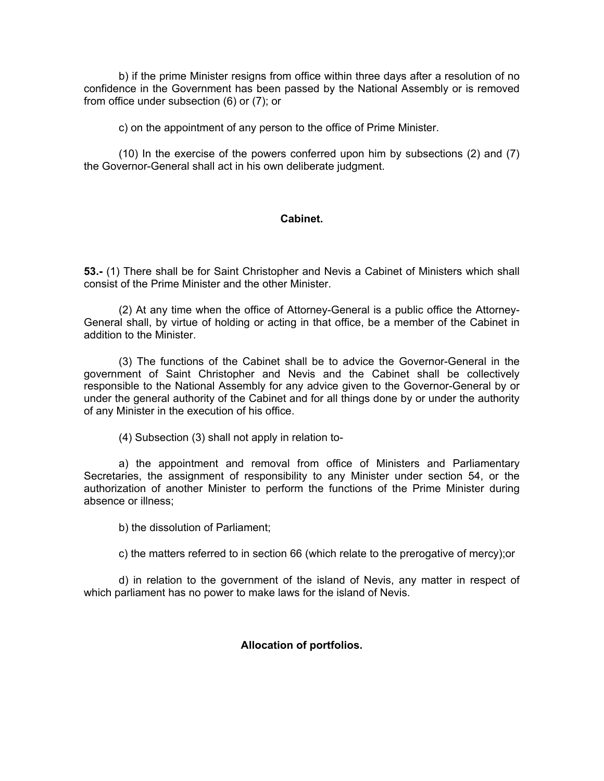b) if the prime Minister resigns from office within three days after a resolution of no confidence in the Government has been passed by the National Assembly or is removed from office under subsection (6) or (7); or

c) on the appointment of any person to the office of Prime Minister.

(10) In the exercise of the powers conferred upon him by subsections (2) and (7) the Governor-General shall act in his own deliberate judgment.

# **Cabinet.**

**53.-** (1) There shall be for Saint Christopher and Nevis a Cabinet of Ministers which shall consist of the Prime Minister and the other Minister.

(2) At any time when the office of Attorney-General is a public office the Attorney-General shall, by virtue of holding or acting in that office, be a member of the Cabinet in addition to the Minister.

(3) The functions of the Cabinet shall be to advice the Governor-General in the government of Saint Christopher and Nevis and the Cabinet shall be collectively responsible to the National Assembly for any advice given to the Governor-General by or under the general authority of the Cabinet and for all things done by or under the authority of any Minister in the execution of his office.

(4) Subsection (3) shall not apply in relation to-

a) the appointment and removal from office of Ministers and Parliamentary Secretaries, the assignment of responsibility to any Minister under section 54, or the authorization of another Minister to perform the functions of the Prime Minister during absence or illness;

b) the dissolution of Parliament;

c) the matters referred to in section 66 (which relate to the prerogative of mercy);or

d) in relation to the government of the island of Nevis, any matter in respect of which parliament has no power to make laws for the island of Nevis.

# **Allocation of portfolios.**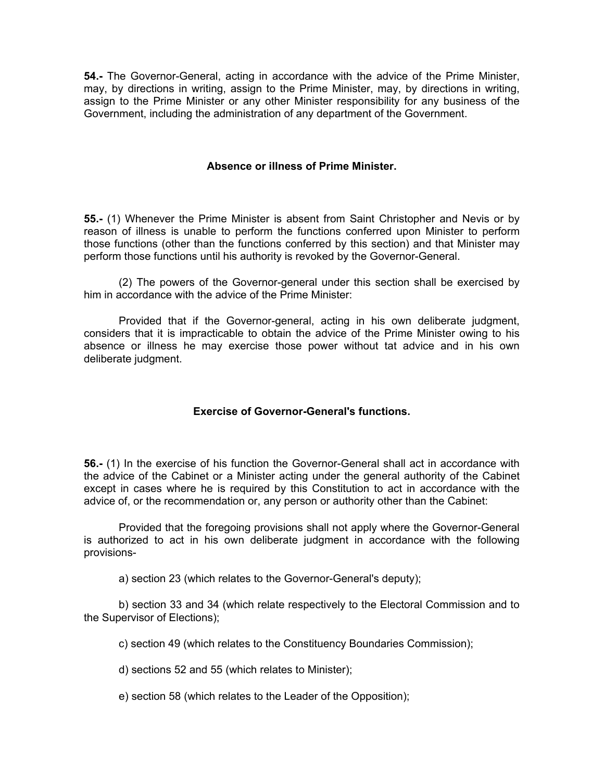**54.-** The Governor-General, acting in accordance with the advice of the Prime Minister, may, by directions in writing, assign to the Prime Minister, may, by directions in writing, assign to the Prime Minister or any other Minister responsibility for any business of the Government, including the administration of any department of the Government.

### **Absence or illness of Prime Minister.**

**55.-** (1) Whenever the Prime Minister is absent from Saint Christopher and Nevis or by reason of illness is unable to perform the functions conferred upon Minister to perform those functions (other than the functions conferred by this section) and that Minister may perform those functions until his authority is revoked by the Governor-General.

(2) The powers of the Governor-general under this section shall be exercised by him in accordance with the advice of the Prime Minister:

Provided that if the Governor-general, acting in his own deliberate judgment, considers that it is impracticable to obtain the advice of the Prime Minister owing to his absence or illness he may exercise those power without tat advice and in his own deliberate judgment.

### **Exercise of Governor-General's functions.**

**56.-** (1) In the exercise of his function the Governor-General shall act in accordance with the advice of the Cabinet or a Minister acting under the general authority of the Cabinet except in cases where he is required by this Constitution to act in accordance with the advice of, or the recommendation or, any person or authority other than the Cabinet:

Provided that the foregoing provisions shall not apply where the Governor-General is authorized to act in his own deliberate judgment in accordance with the following provisions-

a) section 23 (which relates to the Governor-General's deputy);

b) section 33 and 34 (which relate respectively to the Electoral Commission and to the Supervisor of Elections);

c) section 49 (which relates to the Constituency Boundaries Commission);

d) sections 52 and 55 (which relates to Minister);

e) section 58 (which relates to the Leader of the Opposition);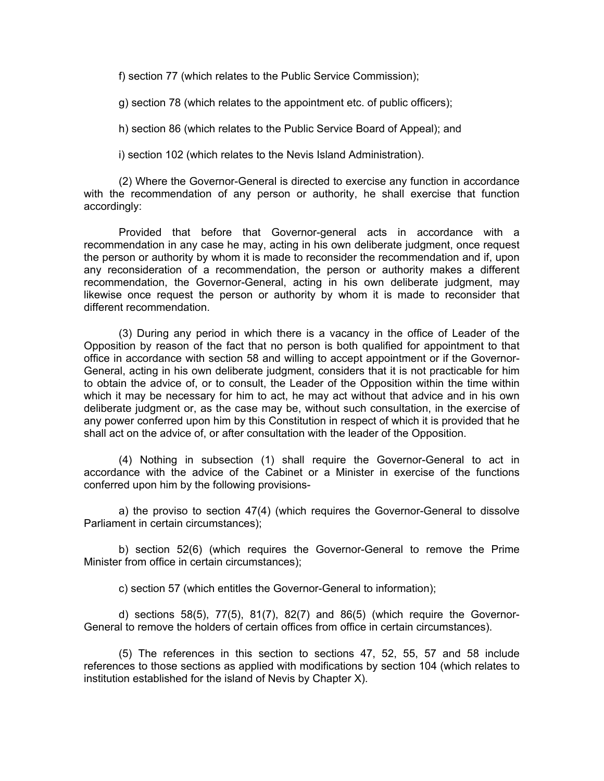f) section 77 (which relates to the Public Service Commission);

g) section 78 (which relates to the appointment etc. of public officers);

h) section 86 (which relates to the Public Service Board of Appeal); and

i) section 102 (which relates to the Nevis Island Administration).

(2) Where the Governor-General is directed to exercise any function in accordance with the recommendation of any person or authority, he shall exercise that function accordingly:

Provided that before that Governor-general acts in accordance with a recommendation in any case he may, acting in his own deliberate judgment, once request the person or authority by whom it is made to reconsider the recommendation and if, upon any reconsideration of a recommendation, the person or authority makes a different recommendation, the Governor-General, acting in his own deliberate judgment, may likewise once request the person or authority by whom it is made to reconsider that different recommendation.

(3) During any period in which there is a vacancy in the office of Leader of the Opposition by reason of the fact that no person is both qualified for appointment to that office in accordance with section 58 and willing to accept appointment or if the Governor-General, acting in his own deliberate judgment, considers that it is not practicable for him to obtain the advice of, or to consult, the Leader of the Opposition within the time within which it may be necessary for him to act, he may act without that advice and in his own deliberate judgment or, as the case may be, without such consultation, in the exercise of any power conferred upon him by this Constitution in respect of which it is provided that he shall act on the advice of, or after consultation with the leader of the Opposition.

(4) Nothing in subsection (1) shall require the Governor-General to act in accordance with the advice of the Cabinet or a Minister in exercise of the functions conferred upon him by the following provisions-

a) the proviso to section 47(4) (which requires the Governor-General to dissolve Parliament in certain circumstances);

b) section 52(6) (which requires the Governor-General to remove the Prime Minister from office in certain circumstances);

c) section 57 (which entitles the Governor-General to information);

d) sections 58(5), 77(5), 81(7), 82(7) and 86(5) (which require the Governor-General to remove the holders of certain offices from office in certain circumstances).

(5) The references in this section to sections 47, 52, 55, 57 and 58 include references to those sections as applied with modifications by section 104 (which relates to institution established for the island of Nevis by Chapter X).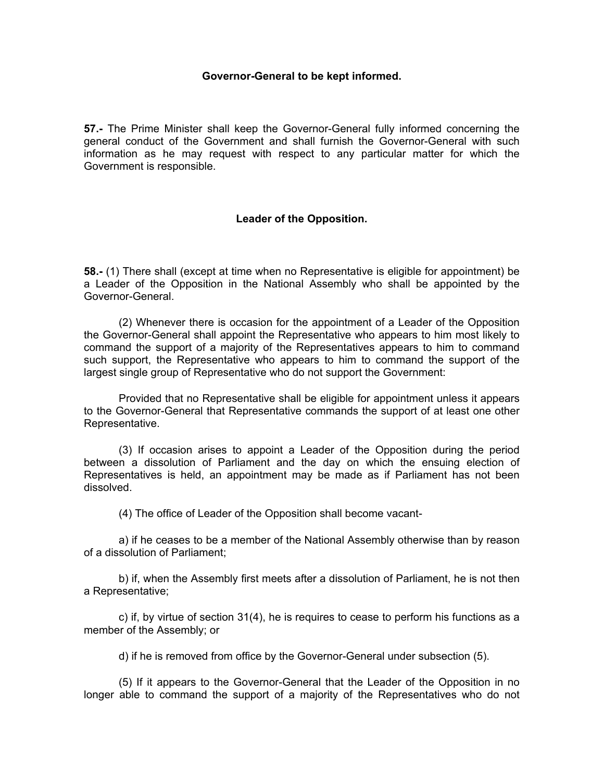#### **Governor-General to be kept informed.**

**57.-** The Prime Minister shall keep the Governor-General fully informed concerning the general conduct of the Government and shall furnish the Governor-General with such information as he may request with respect to any particular matter for which the Government is responsible.

### **Leader of the Opposition.**

**58.-** (1) There shall (except at time when no Representative is eligible for appointment) be a Leader of the Opposition in the National Assembly who shall be appointed by the Governor-General.

(2) Whenever there is occasion for the appointment of a Leader of the Opposition the Governor-General shall appoint the Representative who appears to him most likely to command the support of a majority of the Representatives appears to him to command such support, the Representative who appears to him to command the support of the largest single group of Representative who do not support the Government:

Provided that no Representative shall be eligible for appointment unless it appears to the Governor-General that Representative commands the support of at least one other Representative.

(3) If occasion arises to appoint a Leader of the Opposition during the period between a dissolution of Parliament and the day on which the ensuing election of Representatives is held, an appointment may be made as if Parliament has not been dissolved.

(4) The office of Leader of the Opposition shall become vacant-

a) if he ceases to be a member of the National Assembly otherwise than by reason of a dissolution of Parliament;

b) if, when the Assembly first meets after a dissolution of Parliament, he is not then a Representative;

c) if, by virtue of section 31(4), he is requires to cease to perform his functions as a member of the Assembly; or

d) if he is removed from office by the Governor-General under subsection (5).

(5) If it appears to the Governor-General that the Leader of the Opposition in no longer able to command the support of a majority of the Representatives who do not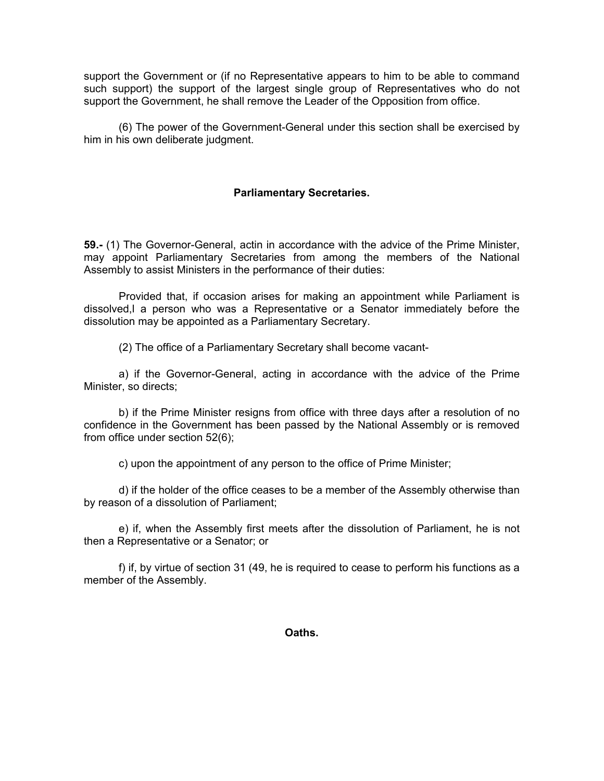support the Government or (if no Representative appears to him to be able to command such support) the support of the largest single group of Representatives who do not support the Government, he shall remove the Leader of the Opposition from office.

(6) The power of the Government-General under this section shall be exercised by him in his own deliberate judgment.

## **Parliamentary Secretaries.**

**59.-** (1) The Governor-General, actin in accordance with the advice of the Prime Minister, may appoint Parliamentary Secretaries from among the members of the National Assembly to assist Ministers in the performance of their duties:

Provided that, if occasion arises for making an appointment while Parliament is dissolved,l a person who was a Representative or a Senator immediately before the dissolution may be appointed as a Parliamentary Secretary.

(2) The office of a Parliamentary Secretary shall become vacant-

a) if the Governor-General, acting in accordance with the advice of the Prime Minister, so directs;

b) if the Prime Minister resigns from office with three days after a resolution of no confidence in the Government has been passed by the National Assembly or is removed from office under section 52(6);

c) upon the appointment of any person to the office of Prime Minister;

d) if the holder of the office ceases to be a member of the Assembly otherwise than by reason of a dissolution of Parliament;

e) if, when the Assembly first meets after the dissolution of Parliament, he is not then a Representative or a Senator; or

f) if, by virtue of section 31 (49, he is required to cease to perform his functions as a member of the Assembly.

**Oaths.**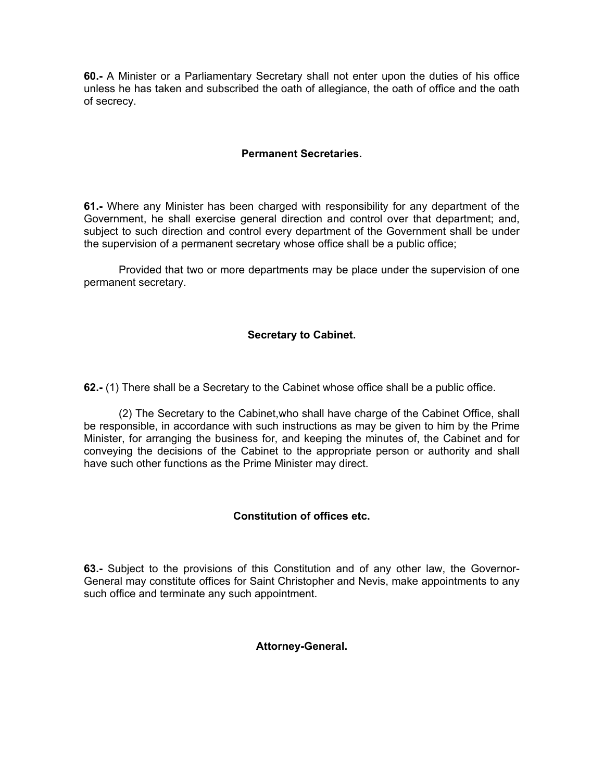**60.-** A Minister or a Parliamentary Secretary shall not enter upon the duties of his office unless he has taken and subscribed the oath of allegiance, the oath of office and the oath of secrecy.

# **Permanent Secretaries.**

**61.-** Where any Minister has been charged with responsibility for any department of the Government, he shall exercise general direction and control over that department; and, subject to such direction and control every department of the Government shall be under the supervision of a permanent secretary whose office shall be a public office;

Provided that two or more departments may be place under the supervision of one permanent secretary.

# **Secretary to Cabinet.**

**62.-** (1) There shall be a Secretary to the Cabinet whose office shall be a public office.

(2) The Secretary to the Cabinet,who shall have charge of the Cabinet Office, shall be responsible, in accordance with such instructions as may be given to him by the Prime Minister, for arranging the business for, and keeping the minutes of, the Cabinet and for conveying the decisions of the Cabinet to the appropriate person or authority and shall have such other functions as the Prime Minister may direct.

# **Constitution of offices etc.**

**63.-** Subject to the provisions of this Constitution and of any other law, the Governor-General may constitute offices for Saint Christopher and Nevis, make appointments to any such office and terminate any such appointment.

# **Attorney-General.**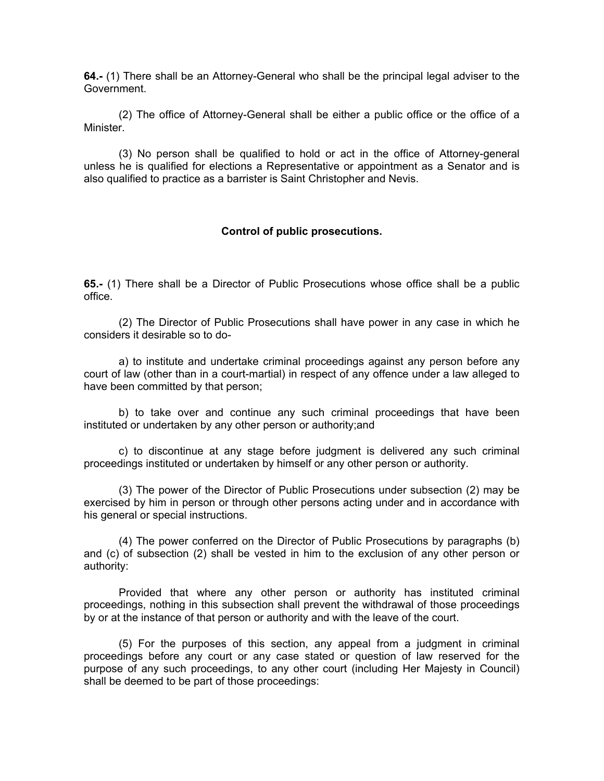**64.-** (1) There shall be an Attorney-General who shall be the principal legal adviser to the Government.

(2) The office of Attorney-General shall be either a public office or the office of a **Minister** 

(3) No person shall be qualified to hold or act in the office of Attorney-general unless he is qualified for elections a Representative or appointment as a Senator and is also qualified to practice as a barrister is Saint Christopher and Nevis.

### **Control of public prosecutions.**

**65.-** (1) There shall be a Director of Public Prosecutions whose office shall be a public office.

(2) The Director of Public Prosecutions shall have power in any case in which he considers it desirable so to do-

a) to institute and undertake criminal proceedings against any person before any court of law (other than in a court-martial) in respect of any offence under a law alleged to have been committed by that person;

b) to take over and continue any such criminal proceedings that have been instituted or undertaken by any other person or authority;and

c) to discontinue at any stage before judgment is delivered any such criminal proceedings instituted or undertaken by himself or any other person or authority.

(3) The power of the Director of Public Prosecutions under subsection (2) may be exercised by him in person or through other persons acting under and in accordance with his general or special instructions.

(4) The power conferred on the Director of Public Prosecutions by paragraphs (b) and (c) of subsection (2) shall be vested in him to the exclusion of any other person or authority:

Provided that where any other person or authority has instituted criminal proceedings, nothing in this subsection shall prevent the withdrawal of those proceedings by or at the instance of that person or authority and with the leave of the court.

(5) For the purposes of this section, any appeal from a judgment in criminal proceedings before any court or any case stated or question of law reserved for the purpose of any such proceedings, to any other court (including Her Majesty in Council) shall be deemed to be part of those proceedings: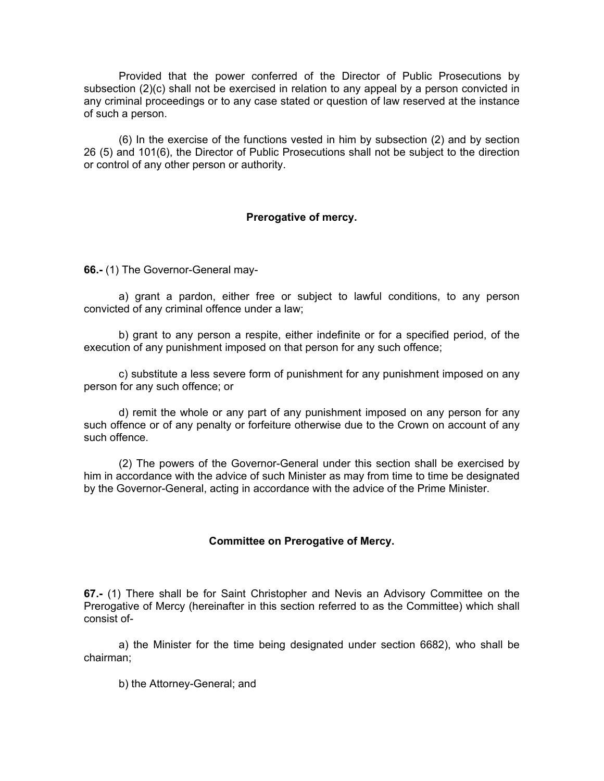Provided that the power conferred of the Director of Public Prosecutions by subsection (2)(c) shall not be exercised in relation to any appeal by a person convicted in any criminal proceedings or to any case stated or question of law reserved at the instance of such a person.

(6) In the exercise of the functions vested in him by subsection (2) and by section 26 (5) and 101(6), the Director of Public Prosecutions shall not be subject to the direction or control of any other person or authority.

## **Prerogative of mercy.**

**66.-** (1) The Governor-General may-

a) grant a pardon, either free or subject to lawful conditions, to any person convicted of any criminal offence under a law;

b) grant to any person a respite, either indefinite or for a specified period, of the execution of any punishment imposed on that person for any such offence;

c) substitute a less severe form of punishment for any punishment imposed on any person for any such offence; or

d) remit the whole or any part of any punishment imposed on any person for any such offence or of any penalty or forfeiture otherwise due to the Crown on account of any such offence.

(2) The powers of the Governor-General under this section shall be exercised by him in accordance with the advice of such Minister as may from time to time be designated by the Governor-General, acting in accordance with the advice of the Prime Minister.

# **Committee on Prerogative of Mercy.**

**67.-** (1) There shall be for Saint Christopher and Nevis an Advisory Committee on the Prerogative of Mercy (hereinafter in this section referred to as the Committee) which shall consist of-

a) the Minister for the time being designated under section 6682), who shall be chairman;

b) the Attorney-General; and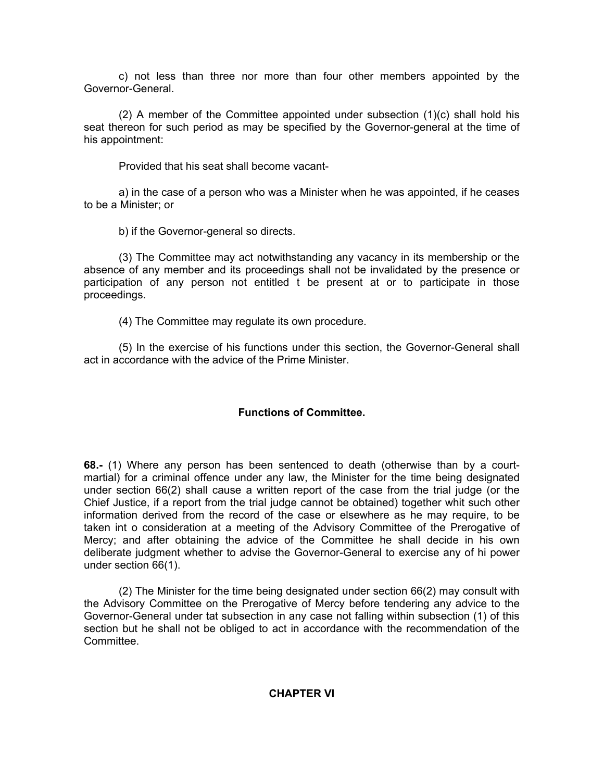c) not less than three nor more than four other members appointed by the Governor-General.

(2) A member of the Committee appointed under subsection (1)(c) shall hold his seat thereon for such period as may be specified by the Governor-general at the time of his appointment:

Provided that his seat shall become vacant-

a) in the case of a person who was a Minister when he was appointed, if he ceases to be a Minister; or

b) if the Governor-general so directs.

(3) The Committee may act notwithstanding any vacancy in its membership or the absence of any member and its proceedings shall not be invalidated by the presence or participation of any person not entitled t be present at or to participate in those proceedings.

(4) The Committee may regulate its own procedure.

(5) In the exercise of his functions under this section, the Governor-General shall act in accordance with the advice of the Prime Minister.

# **Functions of Committee.**

**68.-** (1) Where any person has been sentenced to death (otherwise than by a courtmartial) for a criminal offence under any law, the Minister for the time being designated under section 66(2) shall cause a written report of the case from the trial judge (or the Chief Justice, if a report from the trial judge cannot be obtained) together whit such other information derived from the record of the case or elsewhere as he may require, to be taken int o consideration at a meeting of the Advisory Committee of the Prerogative of Mercy; and after obtaining the advice of the Committee he shall decide in his own deliberate judgment whether to advise the Governor-General to exercise any of hi power under section 66(1).

(2) The Minister for the time being designated under section 66(2) may consult with the Advisory Committee on the Prerogative of Mercy before tendering any advice to the Governor-General under tat subsection in any case not falling within subsection (1) of this section but he shall not be obliged to act in accordance with the recommendation of the Committee.

# **CHAPTER VI**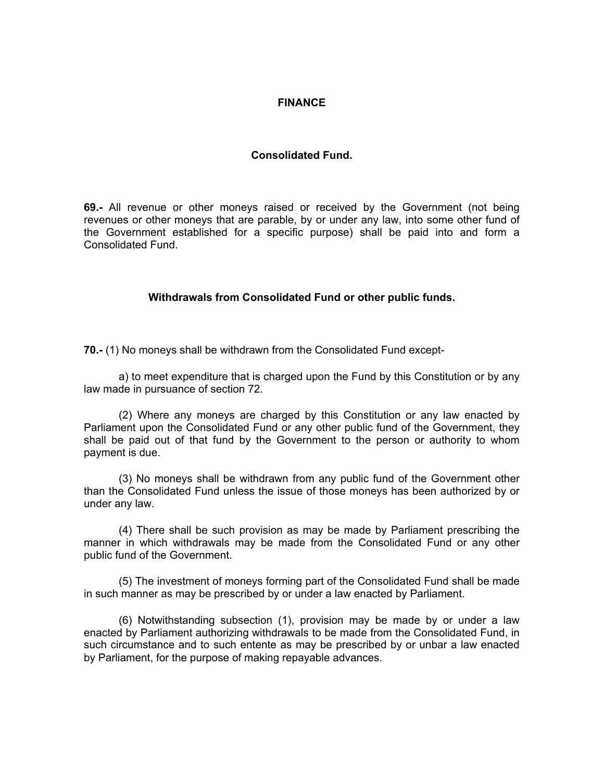#### **FINANCE**

#### **Consolidated Fund.**

**69.-** All revenue or other moneys raised or received by the Government (not being revenues or other moneys that are parable, by or under any law, into some other fund of the Government established for a specific purpose) shall be paid into and form a Consolidated Fund.

#### **Withdrawals from Consolidated Fund or other public funds.**

**70.-** (1) No moneys shall be withdrawn from the Consolidated Fund except-

a) to meet expenditure that is charged upon the Fund by this Constitution or by any law made in pursuance of section 72.

(2) Where any moneys are charged by this Constitution or any law enacted by Parliament upon the Consolidated Fund or any other public fund of the Government, they shall be paid out of that fund by the Government to the person or authority to whom payment is due.

(3) No moneys shall be withdrawn from any public fund of the Government other than the Consolidated Fund unless the issue of those moneys has been authorized by or under any law.

(4) There shall be such provision as may be made by Parliament prescribing the manner in which withdrawals may be made from the Consolidated Fund or any other public fund of the Government.

(5) The investment of moneys forming part of the Consolidated Fund shall be made in such manner as may be prescribed by or under a law enacted by Parliament.

(6) Notwithstanding subsection (1), provision may be made by or under a law enacted by Parliament authorizing withdrawals to be made from the Consolidated Fund, in such circumstance and to such entente as may be prescribed by or unbar a law enacted by Parliament, for the purpose of making repayable advances.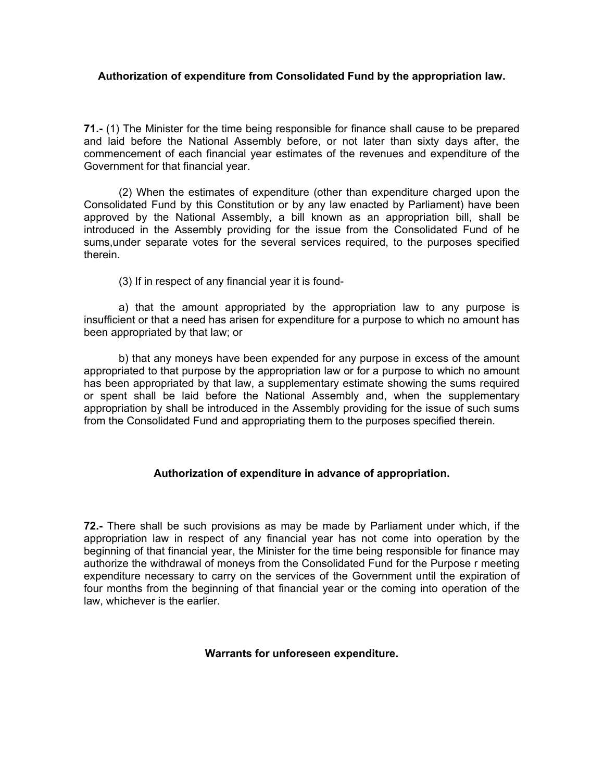## **Authorization of expenditure from Consolidated Fund by the appropriation law.**

**71.-** (1) The Minister for the time being responsible for finance shall cause to be prepared and laid before the National Assembly before, or not later than sixty days after, the commencement of each financial year estimates of the revenues and expenditure of the Government for that financial year.

(2) When the estimates of expenditure (other than expenditure charged upon the Consolidated Fund by this Constitution or by any law enacted by Parliament) have been approved by the National Assembly, a bill known as an appropriation bill, shall be introduced in the Assembly providing for the issue from the Consolidated Fund of he sums,under separate votes for the several services required, to the purposes specified therein.

(3) If in respect of any financial year it is found-

a) that the amount appropriated by the appropriation law to any purpose is insufficient or that a need has arisen for expenditure for a purpose to which no amount has been appropriated by that law; or

b) that any moneys have been expended for any purpose in excess of the amount appropriated to that purpose by the appropriation law or for a purpose to which no amount has been appropriated by that law, a supplementary estimate showing the sums required or spent shall be laid before the National Assembly and, when the supplementary appropriation by shall be introduced in the Assembly providing for the issue of such sums from the Consolidated Fund and appropriating them to the purposes specified therein.

### **Authorization of expenditure in advance of appropriation.**

**72.-** There shall be such provisions as may be made by Parliament under which, if the appropriation law in respect of any financial year has not come into operation by the beginning of that financial year, the Minister for the time being responsible for finance may authorize the withdrawal of moneys from the Consolidated Fund for the Purpose r meeting expenditure necessary to carry on the services of the Government until the expiration of four months from the beginning of that financial year or the coming into operation of the law, whichever is the earlier.

### **Warrants for unforeseen expenditure.**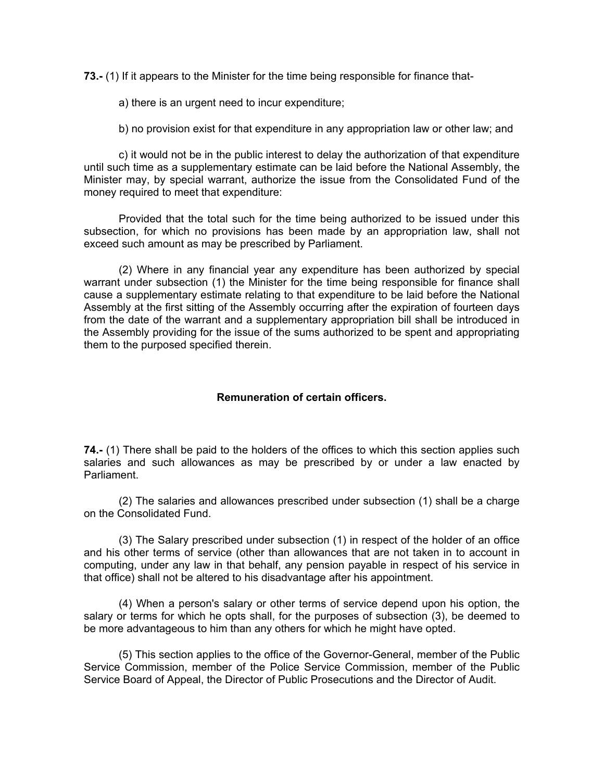**73.-** (1) If it appears to the Minister for the time being responsible for finance that-

a) there is an urgent need to incur expenditure;

b) no provision exist for that expenditure in any appropriation law or other law; and

c) it would not be in the public interest to delay the authorization of that expenditure until such time as a supplementary estimate can be laid before the National Assembly, the Minister may, by special warrant, authorize the issue from the Consolidated Fund of the money required to meet that expenditure:

Provided that the total such for the time being authorized to be issued under this subsection, for which no provisions has been made by an appropriation law, shall not exceed such amount as may be prescribed by Parliament.

(2) Where in any financial year any expenditure has been authorized by special warrant under subsection (1) the Minister for the time being responsible for finance shall cause a supplementary estimate relating to that expenditure to be laid before the National Assembly at the first sitting of the Assembly occurring after the expiration of fourteen days from the date of the warrant and a supplementary appropriation bill shall be introduced in the Assembly providing for the issue of the sums authorized to be spent and appropriating them to the purposed specified therein.

## **Remuneration of certain officers.**

**74.-** (1) There shall be paid to the holders of the offices to which this section applies such salaries and such allowances as may be prescribed by or under a law enacted by Parliament.

(2) The salaries and allowances prescribed under subsection (1) shall be a charge on the Consolidated Fund.

(3) The Salary prescribed under subsection (1) in respect of the holder of an office and his other terms of service (other than allowances that are not taken in to account in computing, under any law in that behalf, any pension payable in respect of his service in that office) shall not be altered to his disadvantage after his appointment.

(4) When a person's salary or other terms of service depend upon his option, the salary or terms for which he opts shall, for the purposes of subsection (3), be deemed to be more advantageous to him than any others for which he might have opted.

(5) This section applies to the office of the Governor-General, member of the Public Service Commission, member of the Police Service Commission, member of the Public Service Board of Appeal, the Director of Public Prosecutions and the Director of Audit.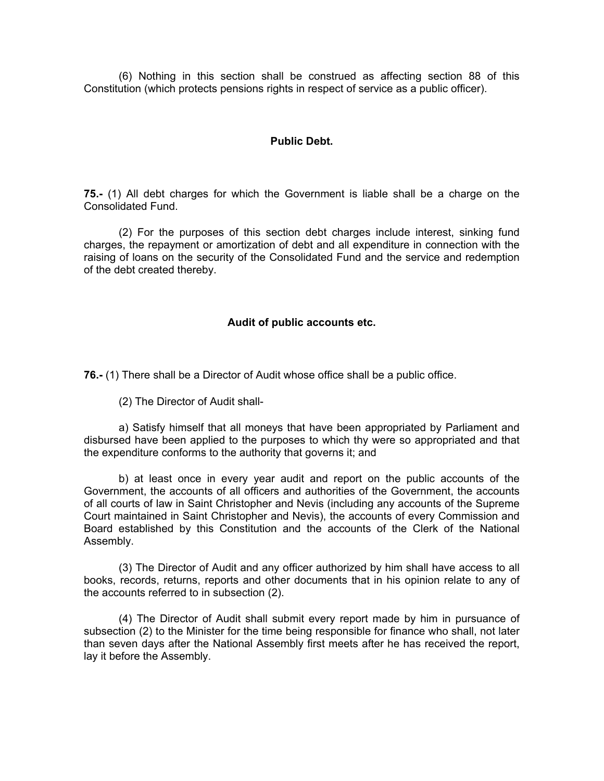(6) Nothing in this section shall be construed as affecting section 88 of this Constitution (which protects pensions rights in respect of service as a public officer).

### **Public Debt.**

**75.-** (1) All debt charges for which the Government is liable shall be a charge on the Consolidated Fund.

(2) For the purposes of this section debt charges include interest, sinking fund charges, the repayment or amortization of debt and all expenditure in connection with the raising of loans on the security of the Consolidated Fund and the service and redemption of the debt created thereby.

#### **Audit of public accounts etc.**

**76.-** (1) There shall be a Director of Audit whose office shall be a public office.

(2) The Director of Audit shall-

a) Satisfy himself that all moneys that have been appropriated by Parliament and disbursed have been applied to the purposes to which thy were so appropriated and that the expenditure conforms to the authority that governs it; and

b) at least once in every year audit and report on the public accounts of the Government, the accounts of all officers and authorities of the Government, the accounts of all courts of law in Saint Christopher and Nevis (including any accounts of the Supreme Court maintained in Saint Christopher and Nevis), the accounts of every Commission and Board established by this Constitution and the accounts of the Clerk of the National Assembly.

(3) The Director of Audit and any officer authorized by him shall have access to all books, records, returns, reports and other documents that in his opinion relate to any of the accounts referred to in subsection (2).

(4) The Director of Audit shall submit every report made by him in pursuance of subsection (2) to the Minister for the time being responsible for finance who shall, not later than seven days after the National Assembly first meets after he has received the report, lay it before the Assembly.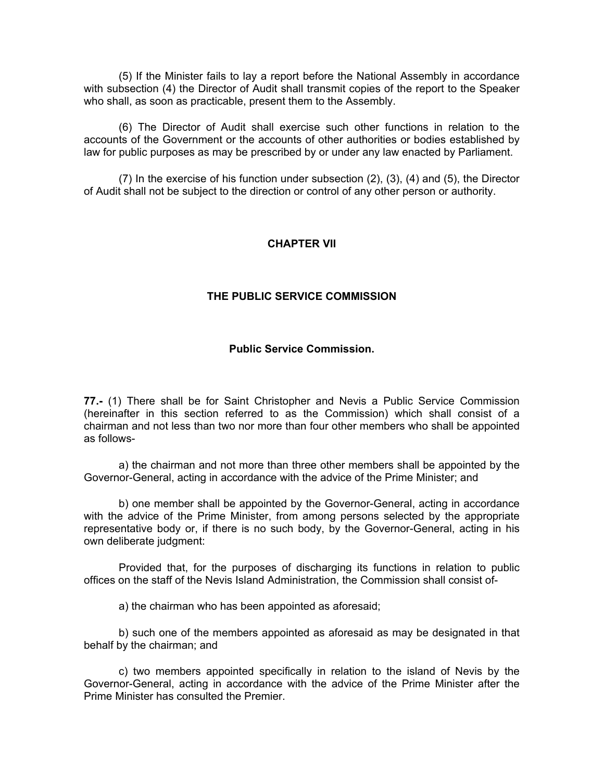(5) If the Minister fails to lay a report before the National Assembly in accordance with subsection (4) the Director of Audit shall transmit copies of the report to the Speaker who shall, as soon as practicable, present them to the Assembly.

(6) The Director of Audit shall exercise such other functions in relation to the accounts of the Government or the accounts of other authorities or bodies established by law for public purposes as may be prescribed by or under any law enacted by Parliament.

(7) In the exercise of his function under subsection (2), (3), (4) and (5), the Director of Audit shall not be subject to the direction or control of any other person or authority.

## **CHAPTER VII**

### **THE PUBLIC SERVICE COMMISSION**

#### **Public Service Commission.**

**77.-** (1) There shall be for Saint Christopher and Nevis a Public Service Commission (hereinafter in this section referred to as the Commission) which shall consist of a chairman and not less than two nor more than four other members who shall be appointed as follows-

a) the chairman and not more than three other members shall be appointed by the Governor-General, acting in accordance with the advice of the Prime Minister; and

b) one member shall be appointed by the Governor-General, acting in accordance with the advice of the Prime Minister, from among persons selected by the appropriate representative body or, if there is no such body, by the Governor-General, acting in his own deliberate judgment:

Provided that, for the purposes of discharging its functions in relation to public offices on the staff of the Nevis Island Administration, the Commission shall consist of-

a) the chairman who has been appointed as aforesaid;

b) such one of the members appointed as aforesaid as may be designated in that behalf by the chairman; and

c) two members appointed specifically in relation to the island of Nevis by the Governor-General, acting in accordance with the advice of the Prime Minister after the Prime Minister has consulted the Premier.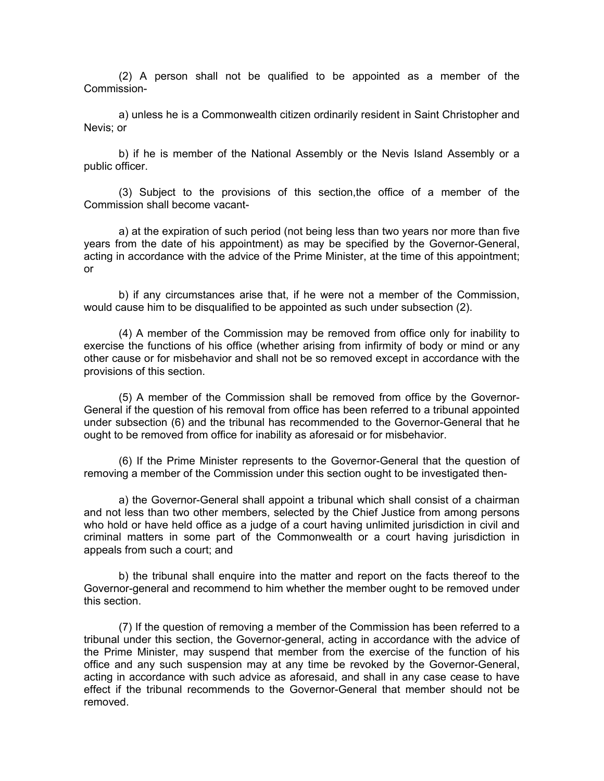(2) A person shall not be qualified to be appointed as a member of the Commission-

a) unless he is a Commonwealth citizen ordinarily resident in Saint Christopher and Nevis; or

b) if he is member of the National Assembly or the Nevis Island Assembly or a public officer.

(3) Subject to the provisions of this section,the office of a member of the Commission shall become vacant-

a) at the expiration of such period (not being less than two years nor more than five years from the date of his appointment) as may be specified by the Governor-General, acting in accordance with the advice of the Prime Minister, at the time of this appointment; or

b) if any circumstances arise that, if he were not a member of the Commission, would cause him to be disqualified to be appointed as such under subsection (2).

(4) A member of the Commission may be removed from office only for inability to exercise the functions of his office (whether arising from infirmity of body or mind or any other cause or for misbehavior and shall not be so removed except in accordance with the provisions of this section.

(5) A member of the Commission shall be removed from office by the Governor-General if the question of his removal from office has been referred to a tribunal appointed under subsection (6) and the tribunal has recommended to the Governor-General that he ought to be removed from office for inability as aforesaid or for misbehavior.

(6) If the Prime Minister represents to the Governor-General that the question of removing a member of the Commission under this section ought to be investigated then-

a) the Governor-General shall appoint a tribunal which shall consist of a chairman and not less than two other members, selected by the Chief Justice from among persons who hold or have held office as a judge of a court having unlimited jurisdiction in civil and criminal matters in some part of the Commonwealth or a court having jurisdiction in appeals from such a court; and

b) the tribunal shall enquire into the matter and report on the facts thereof to the Governor-general and recommend to him whether the member ought to be removed under this section.

(7) If the question of removing a member of the Commission has been referred to a tribunal under this section, the Governor-general, acting in accordance with the advice of the Prime Minister, may suspend that member from the exercise of the function of his office and any such suspension may at any time be revoked by the Governor-General, acting in accordance with such advice as aforesaid, and shall in any case cease to have effect if the tribunal recommends to the Governor-General that member should not be removed.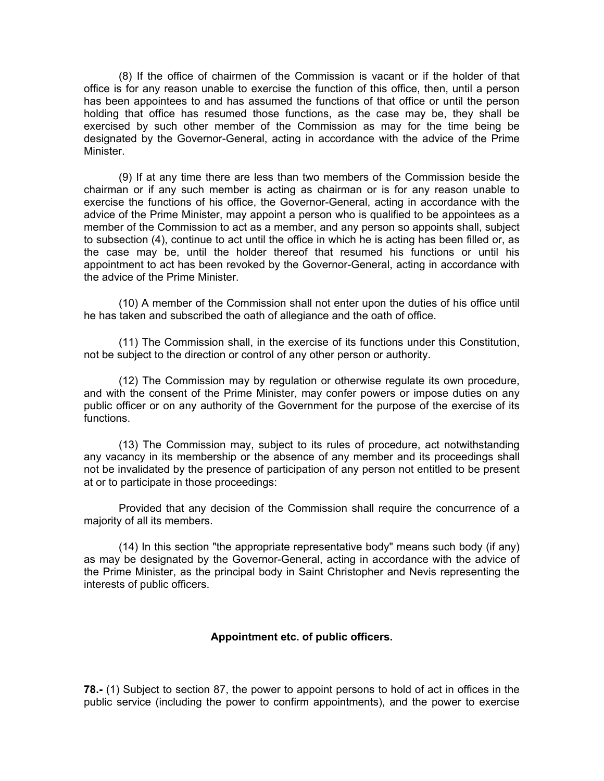(8) If the office of chairmen of the Commission is vacant or if the holder of that office is for any reason unable to exercise the function of this office, then, until a person has been appointees to and has assumed the functions of that office or until the person holding that office has resumed those functions, as the case may be, they shall be exercised by such other member of the Commission as may for the time being be designated by the Governor-General, acting in accordance with the advice of the Prime Minister.

(9) If at any time there are less than two members of the Commission beside the chairman or if any such member is acting as chairman or is for any reason unable to exercise the functions of his office, the Governor-General, acting in accordance with the advice of the Prime Minister, may appoint a person who is qualified to be appointees as a member of the Commission to act as a member, and any person so appoints shall, subject to subsection (4), continue to act until the office in which he is acting has been filled or, as the case may be, until the holder thereof that resumed his functions or until his appointment to act has been revoked by the Governor-General, acting in accordance with the advice of the Prime Minister.

(10) A member of the Commission shall not enter upon the duties of his office until he has taken and subscribed the oath of allegiance and the oath of office.

(11) The Commission shall, in the exercise of its functions under this Constitution, not be subject to the direction or control of any other person or authority.

(12) The Commission may by regulation or otherwise regulate its own procedure, and with the consent of the Prime Minister, may confer powers or impose duties on any public officer or on any authority of the Government for the purpose of the exercise of its functions.

(13) The Commission may, subject to its rules of procedure, act notwithstanding any vacancy in its membership or the absence of any member and its proceedings shall not be invalidated by the presence of participation of any person not entitled to be present at or to participate in those proceedings:

Provided that any decision of the Commission shall require the concurrence of a majority of all its members.

(14) In this section "the appropriate representative body" means such body (if any) as may be designated by the Governor-General, acting in accordance with the advice of the Prime Minister, as the principal body in Saint Christopher and Nevis representing the interests of public officers.

### **Appointment etc. of public officers.**

**78.-** (1) Subject to section 87, the power to appoint persons to hold of act in offices in the public service (including the power to confirm appointments), and the power to exercise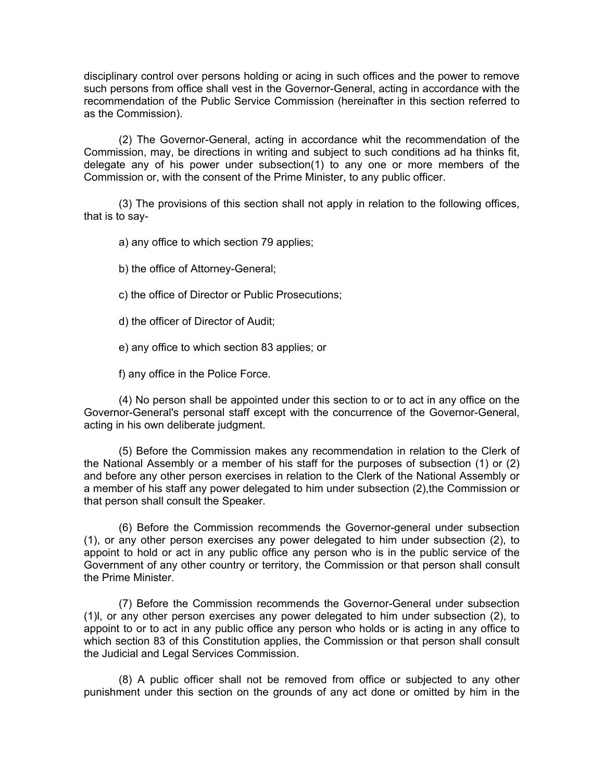disciplinary control over persons holding or acing in such offices and the power to remove such persons from office shall vest in the Governor-General, acting in accordance with the recommendation of the Public Service Commission (hereinafter in this section referred to as the Commission).

(2) The Governor-General, acting in accordance whit the recommendation of the Commission, may, be directions in writing and subject to such conditions ad ha thinks fit, delegate any of his power under subsection(1) to any one or more members of the Commission or, with the consent of the Prime Minister, to any public officer.

(3) The provisions of this section shall not apply in relation to the following offices, that is to say-

a) any office to which section 79 applies;

b) the office of Attorney-General;

c) the office of Director or Public Prosecutions;

d) the officer of Director of Audit;

e) any office to which section 83 applies; or

f) any office in the Police Force.

(4) No person shall be appointed under this section to or to act in any office on the Governor-General's personal staff except with the concurrence of the Governor-General, acting in his own deliberate judgment.

(5) Before the Commission makes any recommendation in relation to the Clerk of the National Assembly or a member of his staff for the purposes of subsection (1) or (2) and before any other person exercises in relation to the Clerk of the National Assembly or a member of his staff any power delegated to him under subsection (2),the Commission or that person shall consult the Speaker.

(6) Before the Commission recommends the Governor-general under subsection (1), or any other person exercises any power delegated to him under subsection (2), to appoint to hold or act in any public office any person who is in the public service of the Government of any other country or territory, the Commission or that person shall consult the Prime Minister.

(7) Before the Commission recommends the Governor-General under subsection (1)l, or any other person exercises any power delegated to him under subsection (2), to appoint to or to act in any public office any person who holds or is acting in any office to which section 83 of this Constitution applies, the Commission or that person shall consult the Judicial and Legal Services Commission.

(8) A public officer shall not be removed from office or subjected to any other punishment under this section on the grounds of any act done or omitted by him in the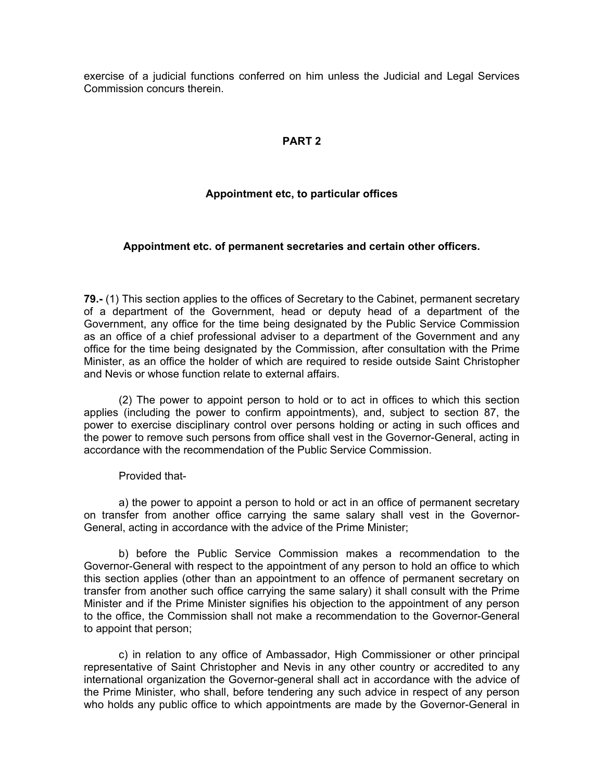exercise of a judicial functions conferred on him unless the Judicial and Legal Services Commission concurs therein.

## **PART 2**

## **Appointment etc, to particular offices**

## **Appointment etc. of permanent secretaries and certain other officers.**

**79.-** (1) This section applies to the offices of Secretary to the Cabinet, permanent secretary of a department of the Government, head or deputy head of a department of the Government, any office for the time being designated by the Public Service Commission as an office of a chief professional adviser to a department of the Government and any office for the time being designated by the Commission, after consultation with the Prime Minister, as an office the holder of which are required to reside outside Saint Christopher and Nevis or whose function relate to external affairs.

(2) The power to appoint person to hold or to act in offices to which this section applies (including the power to confirm appointments), and, subject to section 87, the power to exercise disciplinary control over persons holding or acting in such offices and the power to remove such persons from office shall vest in the Governor-General, acting in accordance with the recommendation of the Public Service Commission.

Provided that-

a) the power to appoint a person to hold or act in an office of permanent secretary on transfer from another office carrying the same salary shall vest in the Governor-General, acting in accordance with the advice of the Prime Minister;

b) before the Public Service Commission makes a recommendation to the Governor-General with respect to the appointment of any person to hold an office to which this section applies (other than an appointment to an offence of permanent secretary on transfer from another such office carrying the same salary) it shall consult with the Prime Minister and if the Prime Minister signifies his objection to the appointment of any person to the office, the Commission shall not make a recommendation to the Governor-General to appoint that person;

c) in relation to any office of Ambassador, High Commissioner or other principal representative of Saint Christopher and Nevis in any other country or accredited to any international organization the Governor-general shall act in accordance with the advice of the Prime Minister, who shall, before tendering any such advice in respect of any person who holds any public office to which appointments are made by the Governor-General in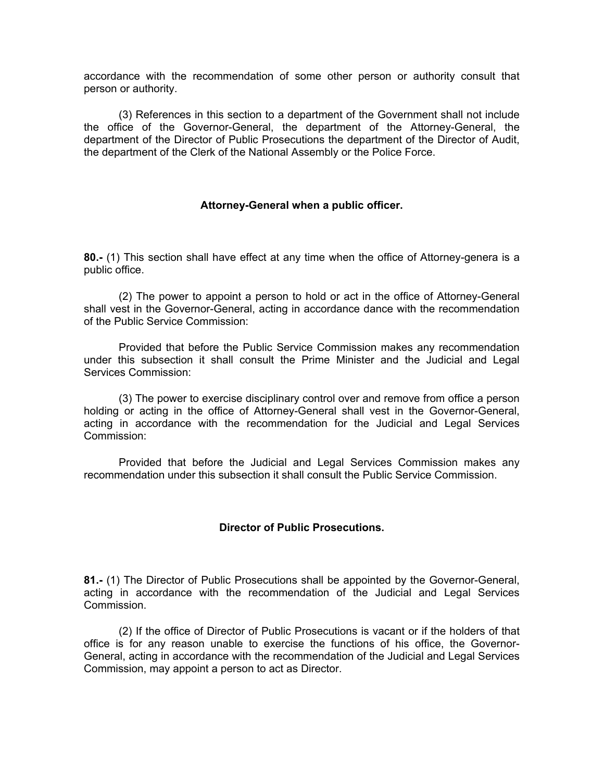accordance with the recommendation of some other person or authority consult that person or authority.

(3) References in this section to a department of the Government shall not include the office of the Governor-General, the department of the Attorney-General, the department of the Director of Public Prosecutions the department of the Director of Audit, the department of the Clerk of the National Assembly or the Police Force.

### **Attorney-General when a public officer.**

**80.-** (1) This section shall have effect at any time when the office of Attorney-genera is a public office.

(2) The power to appoint a person to hold or act in the office of Attorney-General shall vest in the Governor-General, acting in accordance dance with the recommendation of the Public Service Commission:

Provided that before the Public Service Commission makes any recommendation under this subsection it shall consult the Prime Minister and the Judicial and Legal Services Commission:

(3) The power to exercise disciplinary control over and remove from office a person holding or acting in the office of Attorney-General shall vest in the Governor-General, acting in accordance with the recommendation for the Judicial and Legal Services Commission:

Provided that before the Judicial and Legal Services Commission makes any recommendation under this subsection it shall consult the Public Service Commission.

#### **Director of Public Prosecutions.**

**81.-** (1) The Director of Public Prosecutions shall be appointed by the Governor-General, acting in accordance with the recommendation of the Judicial and Legal Services Commission.

(2) If the office of Director of Public Prosecutions is vacant or if the holders of that office is for any reason unable to exercise the functions of his office, the Governor-General, acting in accordance with the recommendation of the Judicial and Legal Services Commission, may appoint a person to act as Director.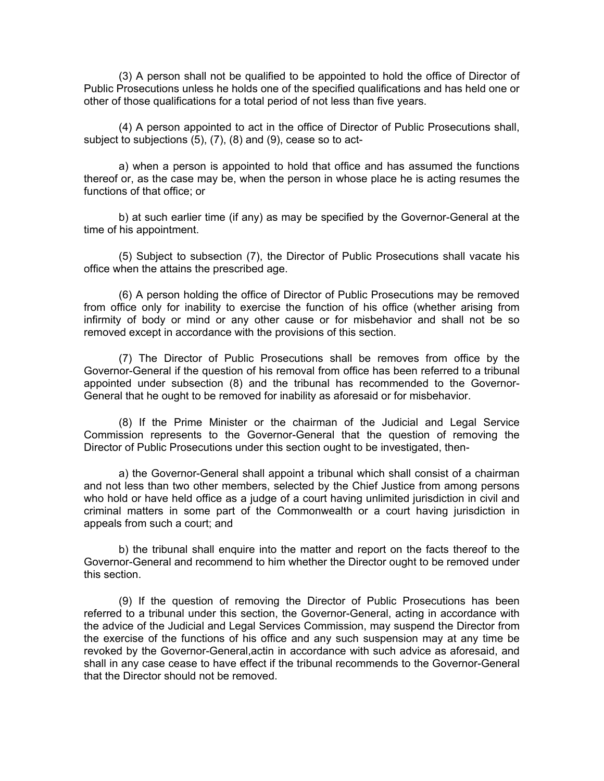(3) A person shall not be qualified to be appointed to hold the office of Director of Public Prosecutions unless he holds one of the specified qualifications and has held one or other of those qualifications for a total period of not less than five years.

(4) A person appointed to act in the office of Director of Public Prosecutions shall, subject to subjections (5), (7), (8) and (9), cease so to act-

a) when a person is appointed to hold that office and has assumed the functions thereof or, as the case may be, when the person in whose place he is acting resumes the functions of that office; or

b) at such earlier time (if any) as may be specified by the Governor-General at the time of his appointment.

(5) Subject to subsection (7), the Director of Public Prosecutions shall vacate his office when the attains the prescribed age.

(6) A person holding the office of Director of Public Prosecutions may be removed from office only for inability to exercise the function of his office (whether arising from infirmity of body or mind or any other cause or for misbehavior and shall not be so removed except in accordance with the provisions of this section.

(7) The Director of Public Prosecutions shall be removes from office by the Governor-General if the question of his removal from office has been referred to a tribunal appointed under subsection (8) and the tribunal has recommended to the Governor-General that he ought to be removed for inability as aforesaid or for misbehavior.

(8) If the Prime Minister or the chairman of the Judicial and Legal Service Commission represents to the Governor-General that the question of removing the Director of Public Prosecutions under this section ought to be investigated, then-

a) the Governor-General shall appoint a tribunal which shall consist of a chairman and not less than two other members, selected by the Chief Justice from among persons who hold or have held office as a judge of a court having unlimited jurisdiction in civil and criminal matters in some part of the Commonwealth or a court having jurisdiction in appeals from such a court; and

b) the tribunal shall enquire into the matter and report on the facts thereof to the Governor-General and recommend to him whether the Director ought to be removed under this section.

(9) If the question of removing the Director of Public Prosecutions has been referred to a tribunal under this section, the Governor-General, acting in accordance with the advice of the Judicial and Legal Services Commission, may suspend the Director from the exercise of the functions of his office and any such suspension may at any time be revoked by the Governor-General,actin in accordance with such advice as aforesaid, and shall in any case cease to have effect if the tribunal recommends to the Governor-General that the Director should not be removed.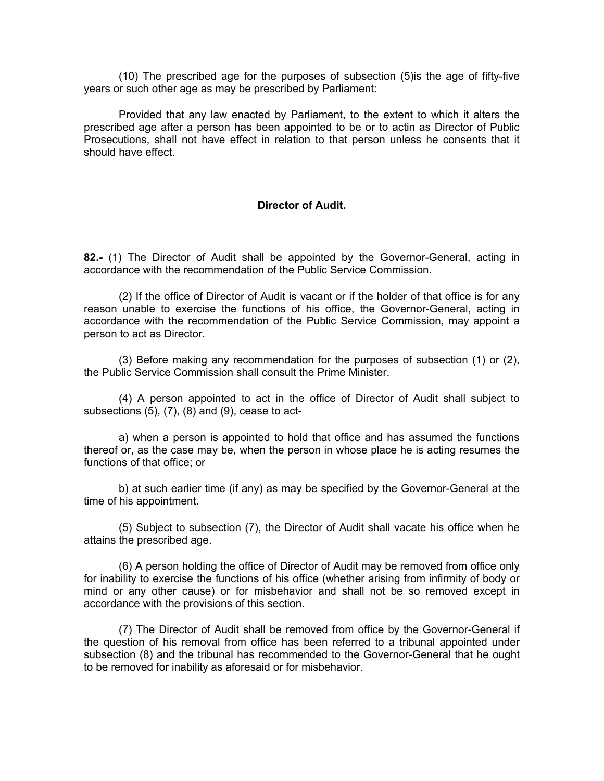(10) The prescribed age for the purposes of subsection (5)is the age of fifty-five years or such other age as may be prescribed by Parliament:

Provided that any law enacted by Parliament, to the extent to which it alters the prescribed age after a person has been appointed to be or to actin as Director of Public Prosecutions, shall not have effect in relation to that person unless he consents that it should have effect.

### **Director of Audit.**

**82.-** (1) The Director of Audit shall be appointed by the Governor-General, acting in accordance with the recommendation of the Public Service Commission.

(2) If the office of Director of Audit is vacant or if the holder of that office is for any reason unable to exercise the functions of his office, the Governor-General, acting in accordance with the recommendation of the Public Service Commission, may appoint a person to act as Director.

(3) Before making any recommendation for the purposes of subsection (1) or (2), the Public Service Commission shall consult the Prime Minister.

(4) A person appointed to act in the office of Director of Audit shall subject to subsections  $(5)$ ,  $(7)$ ,  $(8)$  and  $(9)$ , cease to act-

a) when a person is appointed to hold that office and has assumed the functions thereof or, as the case may be, when the person in whose place he is acting resumes the functions of that office; or

b) at such earlier time (if any) as may be specified by the Governor-General at the time of his appointment.

(5) Subject to subsection (7), the Director of Audit shall vacate his office when he attains the prescribed age.

(6) A person holding the office of Director of Audit may be removed from office only for inability to exercise the functions of his office (whether arising from infirmity of body or mind or any other cause) or for misbehavior and shall not be so removed except in accordance with the provisions of this section.

(7) The Director of Audit shall be removed from office by the Governor-General if the question of his removal from office has been referred to a tribunal appointed under subsection (8) and the tribunal has recommended to the Governor-General that he ought to be removed for inability as aforesaid or for misbehavior.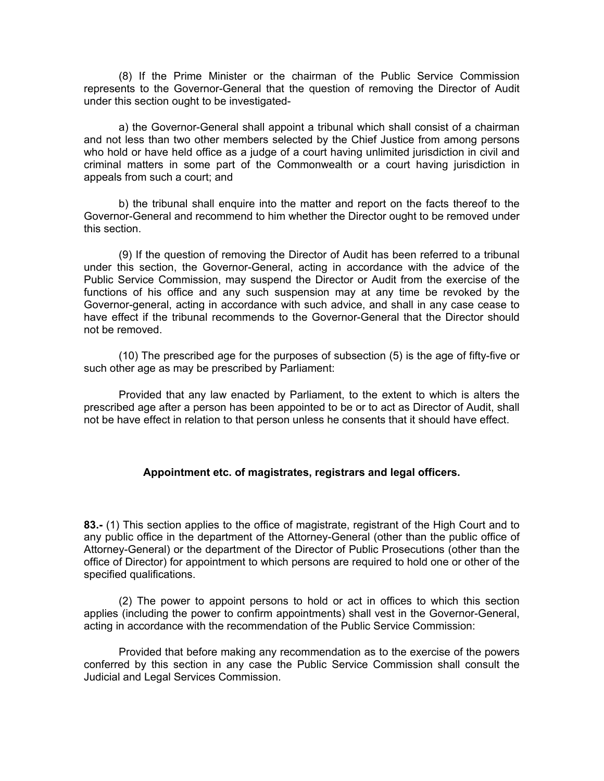(8) If the Prime Minister or the chairman of the Public Service Commission represents to the Governor-General that the question of removing the Director of Audit under this section ought to be investigated-

a) the Governor-General shall appoint a tribunal which shall consist of a chairman and not less than two other members selected by the Chief Justice from among persons who hold or have held office as a judge of a court having unlimited jurisdiction in civil and criminal matters in some part of the Commonwealth or a court having jurisdiction in appeals from such a court; and

b) the tribunal shall enquire into the matter and report on the facts thereof to the Governor-General and recommend to him whether the Director ought to be removed under this section.

(9) If the question of removing the Director of Audit has been referred to a tribunal under this section, the Governor-General, acting in accordance with the advice of the Public Service Commission, may suspend the Director or Audit from the exercise of the functions of his office and any such suspension may at any time be revoked by the Governor-general, acting in accordance with such advice, and shall in any case cease to have effect if the tribunal recommends to the Governor-General that the Director should not be removed.

(10) The prescribed age for the purposes of subsection (5) is the age of fifty-five or such other age as may be prescribed by Parliament:

Provided that any law enacted by Parliament, to the extent to which is alters the prescribed age after a person has been appointed to be or to act as Director of Audit, shall not be have effect in relation to that person unless he consents that it should have effect.

### **Appointment etc. of magistrates, registrars and legal officers.**

**83.-** (1) This section applies to the office of magistrate, registrant of the High Court and to any public office in the department of the Attorney-General (other than the public office of Attorney-General) or the department of the Director of Public Prosecutions (other than the office of Director) for appointment to which persons are required to hold one or other of the specified qualifications.

(2) The power to appoint persons to hold or act in offices to which this section applies (including the power to confirm appointments) shall vest in the Governor-General, acting in accordance with the recommendation of the Public Service Commission:

Provided that before making any recommendation as to the exercise of the powers conferred by this section in any case the Public Service Commission shall consult the Judicial and Legal Services Commission.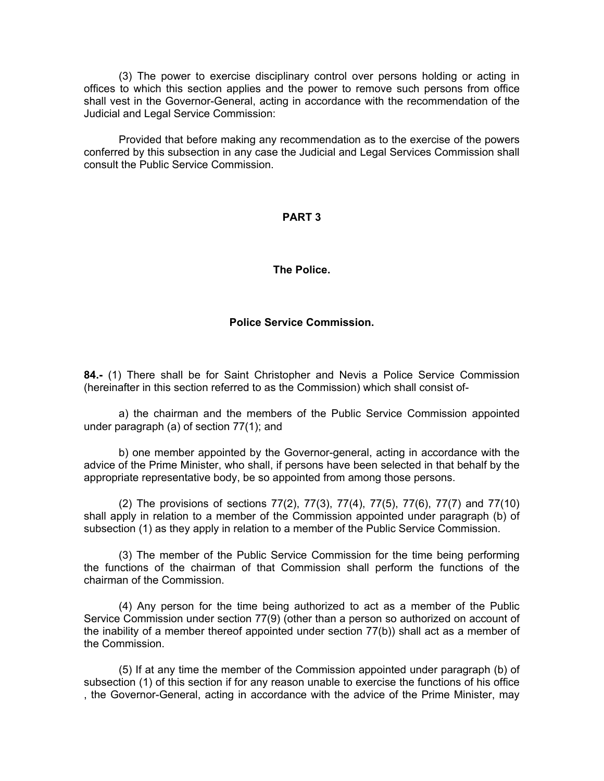(3) The power to exercise disciplinary control over persons holding or acting in offices to which this section applies and the power to remove such persons from office shall vest in the Governor-General, acting in accordance with the recommendation of the Judicial and Legal Service Commission:

Provided that before making any recommendation as to the exercise of the powers conferred by this subsection in any case the Judicial and Legal Services Commission shall consult the Public Service Commission.

## **PART 3**

#### **The Police.**

### **Police Service Commission.**

**84.-** (1) There shall be for Saint Christopher and Nevis a Police Service Commission (hereinafter in this section referred to as the Commission) which shall consist of-

a) the chairman and the members of the Public Service Commission appointed under paragraph (a) of section 77(1); and

b) one member appointed by the Governor-general, acting in accordance with the advice of the Prime Minister, who shall, if persons have been selected in that behalf by the appropriate representative body, be so appointed from among those persons.

(2) The provisions of sections 77(2), 77(3), 77(4), 77(5), 77(6), 77(7) and 77(10) shall apply in relation to a member of the Commission appointed under paragraph (b) of subsection (1) as they apply in relation to a member of the Public Service Commission.

(3) The member of the Public Service Commission for the time being performing the functions of the chairman of that Commission shall perform the functions of the chairman of the Commission.

(4) Any person for the time being authorized to act as a member of the Public Service Commission under section 77(9) (other than a person so authorized on account of the inability of a member thereof appointed under section 77(b)) shall act as a member of the Commission.

(5) If at any time the member of the Commission appointed under paragraph (b) of subsection (1) of this section if for any reason unable to exercise the functions of his office , the Governor-General, acting in accordance with the advice of the Prime Minister, may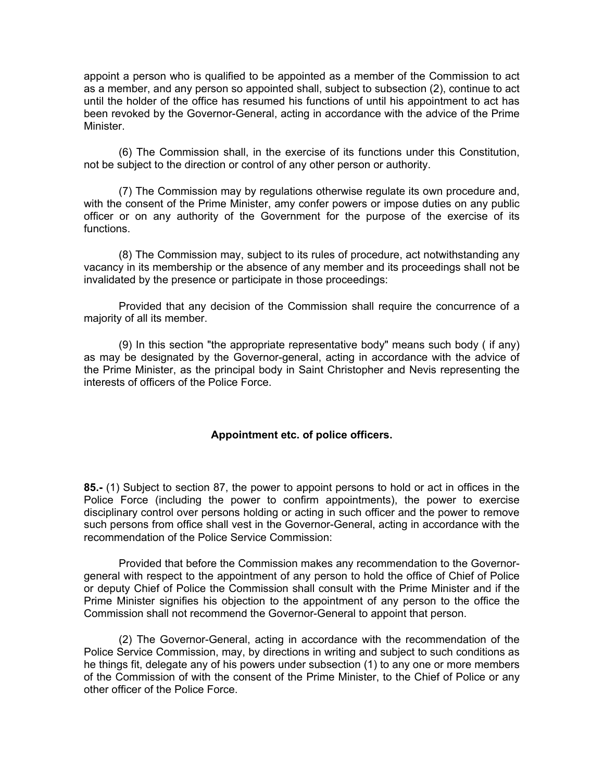appoint a person who is qualified to be appointed as a member of the Commission to act as a member, and any person so appointed shall, subject to subsection (2), continue to act until the holder of the office has resumed his functions of until his appointment to act has been revoked by the Governor-General, acting in accordance with the advice of the Prime Minister.

(6) The Commission shall, in the exercise of its functions under this Constitution, not be subject to the direction or control of any other person or authority.

(7) The Commission may by regulations otherwise regulate its own procedure and, with the consent of the Prime Minister, amy confer powers or impose duties on any public officer or on any authority of the Government for the purpose of the exercise of its functions.

(8) The Commission may, subject to its rules of procedure, act notwithstanding any vacancy in its membership or the absence of any member and its proceedings shall not be invalidated by the presence or participate in those proceedings:

Provided that any decision of the Commission shall require the concurrence of a majority of all its member.

(9) In this section "the appropriate representative body" means such body ( if any) as may be designated by the Governor-general, acting in accordance with the advice of the Prime Minister, as the principal body in Saint Christopher and Nevis representing the interests of officers of the Police Force.

# **Appointment etc. of police officers.**

**85.-** (1) Subject to section 87, the power to appoint persons to hold or act in offices in the Police Force (including the power to confirm appointments), the power to exercise disciplinary control over persons holding or acting in such officer and the power to remove such persons from office shall vest in the Governor-General, acting in accordance with the recommendation of the Police Service Commission:

Provided that before the Commission makes any recommendation to the Governorgeneral with respect to the appointment of any person to hold the office of Chief of Police or deputy Chief of Police the Commission shall consult with the Prime Minister and if the Prime Minister signifies his objection to the appointment of any person to the office the Commission shall not recommend the Governor-General to appoint that person.

(2) The Governor-General, acting in accordance with the recommendation of the Police Service Commission, may, by directions in writing and subject to such conditions as he things fit, delegate any of his powers under subsection (1) to any one or more members of the Commission of with the consent of the Prime Minister, to the Chief of Police or any other officer of the Police Force.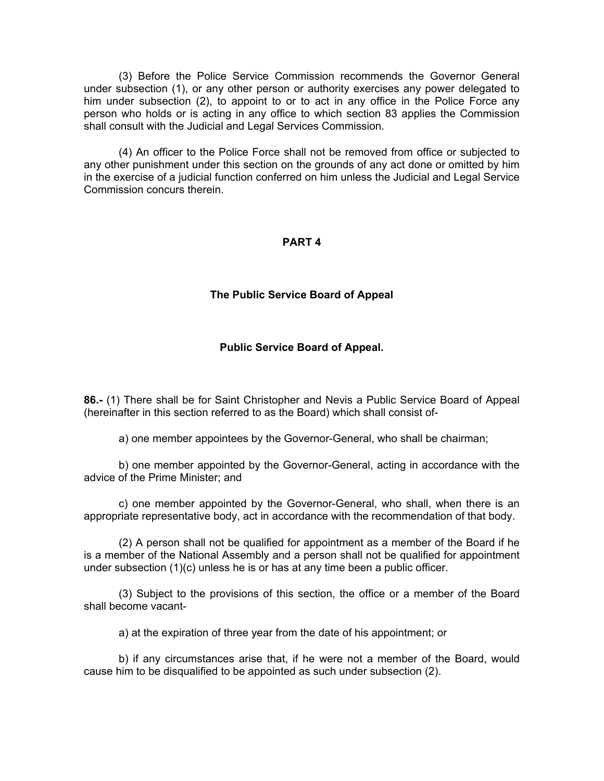(3) Before the Police Service Commission recommends the Governor General under subsection (1), or any other person or authority exercises any power delegated to him under subsection (2), to appoint to or to act in any office in the Police Force any person who holds or is acting in any office to which section 83 applies the Commission shall consult with the Judicial and Legal Services Commission.

(4) An officer to the Police Force shall not be removed from office or subjected to any other punishment under this section on the grounds of any act done or omitted by him in the exercise of a judicial function conferred on him unless the Judicial and Legal Service Commission concurs therein.

### **PART 4**

### **The Public Service Board of Appeal**

### **Public Service Board of Appeal.**

**86.-** (1) There shall be for Saint Christopher and Nevis a Public Service Board of Appeal (hereinafter in this section referred to as the Board) which shall consist of-

a) one member appointees by the Governor-General, who shall be chairman;

b) one member appointed by the Governor-General, acting in accordance with the advice of the Prime Minister; and

c) one member appointed by the Governor-General, who shall, when there is an appropriate representative body, act in accordance with the recommendation of that body.

(2) A person shall not be qualified for appointment as a member of the Board if he is a member of the National Assembly and a person shall not be qualified for appointment under subsection (1)(c) unless he is or has at any time been a public officer.

(3) Subject to the provisions of this section, the office or a member of the Board shall become vacant-

a) at the expiration of three year from the date of his appointment; or

b) if any circumstances arise that, if he were not a member of the Board, would cause him to be disqualified to be appointed as such under subsection (2).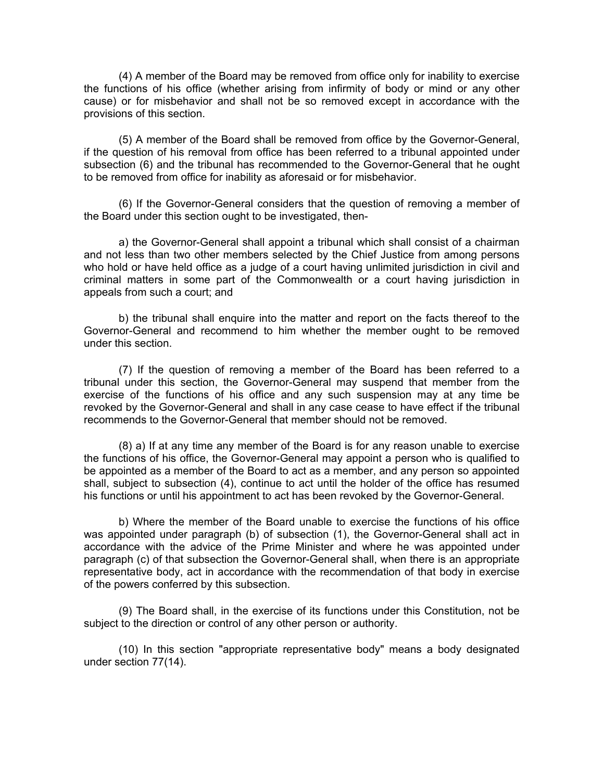(4) A member of the Board may be removed from office only for inability to exercise the functions of his office (whether arising from infirmity of body or mind or any other cause) or for misbehavior and shall not be so removed except in accordance with the provisions of this section.

(5) A member of the Board shall be removed from office by the Governor-General, if the question of his removal from office has been referred to a tribunal appointed under subsection (6) and the tribunal has recommended to the Governor-General that he ought to be removed from office for inability as aforesaid or for misbehavior.

(6) If the Governor-General considers that the question of removing a member of the Board under this section ought to be investigated, then-

a) the Governor-General shall appoint a tribunal which shall consist of a chairman and not less than two other members selected by the Chief Justice from among persons who hold or have held office as a judge of a court having unlimited jurisdiction in civil and criminal matters in some part of the Commonwealth or a court having jurisdiction in appeals from such a court; and

b) the tribunal shall enquire into the matter and report on the facts thereof to the Governor-General and recommend to him whether the member ought to be removed under this section.

(7) If the question of removing a member of the Board has been referred to a tribunal under this section, the Governor-General may suspend that member from the exercise of the functions of his office and any such suspension may at any time be revoked by the Governor-General and shall in any case cease to have effect if the tribunal recommends to the Governor-General that member should not be removed.

(8) a) If at any time any member of the Board is for any reason unable to exercise the functions of his office, the Governor-General may appoint a person who is qualified to be appointed as a member of the Board to act as a member, and any person so appointed shall, subject to subsection (4), continue to act until the holder of the office has resumed his functions or until his appointment to act has been revoked by the Governor-General.

b) Where the member of the Board unable to exercise the functions of his office was appointed under paragraph (b) of subsection (1), the Governor-General shall act in accordance with the advice of the Prime Minister and where he was appointed under paragraph (c) of that subsection the Governor-General shall, when there is an appropriate representative body, act in accordance with the recommendation of that body in exercise of the powers conferred by this subsection.

(9) The Board shall, in the exercise of its functions under this Constitution, not be subject to the direction or control of any other person or authority.

(10) In this section "appropriate representative body" means a body designated under section 77(14).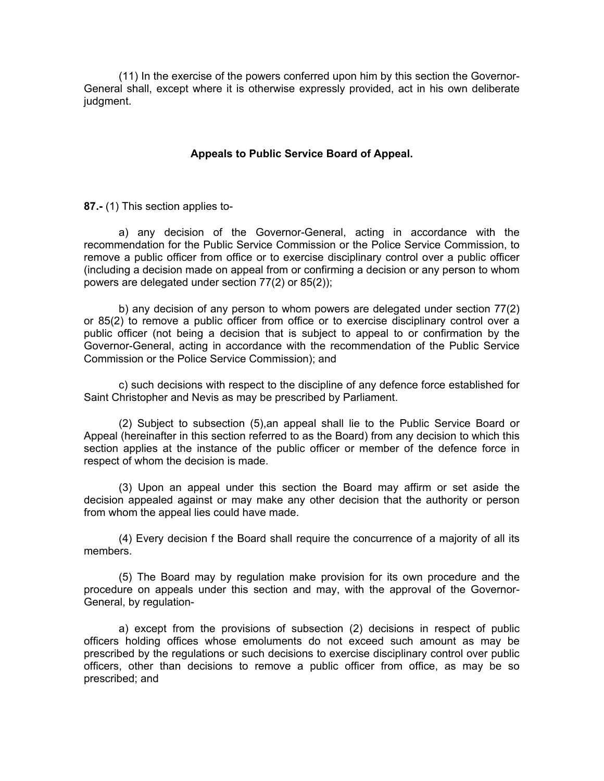(11) In the exercise of the powers conferred upon him by this section the Governor-General shall, except where it is otherwise expressly provided, act in his own deliberate judgment.

### **Appeals to Public Service Board of Appeal.**

**87.-** (1) This section applies to-

a) any decision of the Governor-General, acting in accordance with the recommendation for the Public Service Commission or the Police Service Commission, to remove a public officer from office or to exercise disciplinary control over a public officer (including a decision made on appeal from or confirming a decision or any person to whom powers are delegated under section 77(2) or 85(2));

b) any decision of any person to whom powers are delegated under section 77(2) or 85(2) to remove a public officer from office or to exercise disciplinary control over a public officer (not being a decision that is subject to appeal to or confirmation by the Governor-General, acting in accordance with the recommendation of the Public Service Commission or the Police Service Commission); and

c) such decisions with respect to the discipline of any defence force established for Saint Christopher and Nevis as may be prescribed by Parliament.

(2) Subject to subsection (5),an appeal shall lie to the Public Service Board or Appeal (hereinafter in this section referred to as the Board) from any decision to which this section applies at the instance of the public officer or member of the defence force in respect of whom the decision is made.

(3) Upon an appeal under this section the Board may affirm or set aside the decision appealed against or may make any other decision that the authority or person from whom the appeal lies could have made.

(4) Every decision f the Board shall require the concurrence of a majority of all its members.

(5) The Board may by regulation make provision for its own procedure and the procedure on appeals under this section and may, with the approval of the Governor-General, by regulation-

a) except from the provisions of subsection (2) decisions in respect of public officers holding offices whose emoluments do not exceed such amount as may be prescribed by the regulations or such decisions to exercise disciplinary control over public officers, other than decisions to remove a public officer from office, as may be so prescribed; and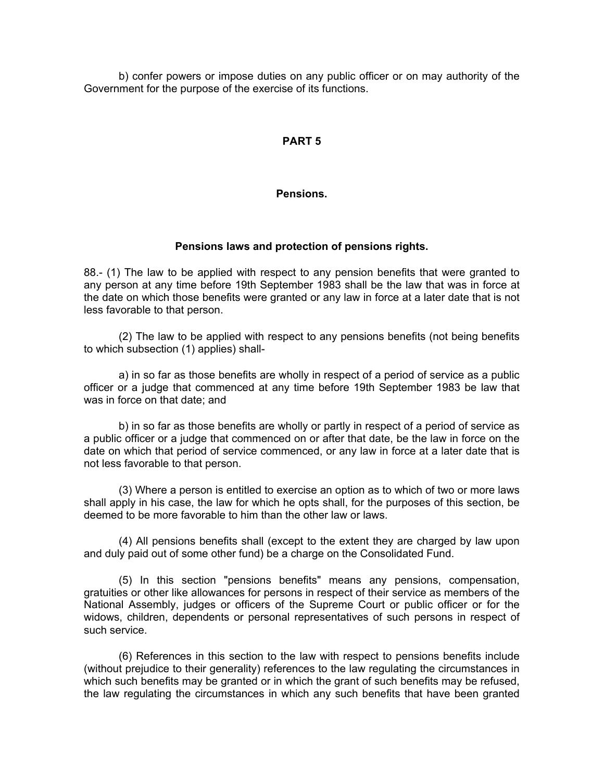b) confer powers or impose duties on any public officer or on may authority of the Government for the purpose of the exercise of its functions.

### **PART 5**

### **Pensions.**

### **Pensions laws and protection of pensions rights.**

88.- (1) The law to be applied with respect to any pension benefits that were granted to any person at any time before 19th September 1983 shall be the law that was in force at the date on which those benefits were granted or any law in force at a later date that is not less favorable to that person.

(2) The law to be applied with respect to any pensions benefits (not being benefits to which subsection (1) applies) shall-

a) in so far as those benefits are wholly in respect of a period of service as a public officer or a judge that commenced at any time before 19th September 1983 be law that was in force on that date; and

b) in so far as those benefits are wholly or partly in respect of a period of service as a public officer or a judge that commenced on or after that date, be the law in force on the date on which that period of service commenced, or any law in force at a later date that is not less favorable to that person.

(3) Where a person is entitled to exercise an option as to which of two or more laws shall apply in his case, the law for which he opts shall, for the purposes of this section, be deemed to be more favorable to him than the other law or laws.

(4) All pensions benefits shall (except to the extent they are charged by law upon and duly paid out of some other fund) be a charge on the Consolidated Fund.

(5) In this section "pensions benefits" means any pensions, compensation, gratuities or other like allowances for persons in respect of their service as members of the National Assembly, judges or officers of the Supreme Court or public officer or for the widows, children, dependents or personal representatives of such persons in respect of such service.

(6) References in this section to the law with respect to pensions benefits include (without prejudice to their generality) references to the law regulating the circumstances in which such benefits may be granted or in which the grant of such benefits may be refused, the law regulating the circumstances in which any such benefits that have been granted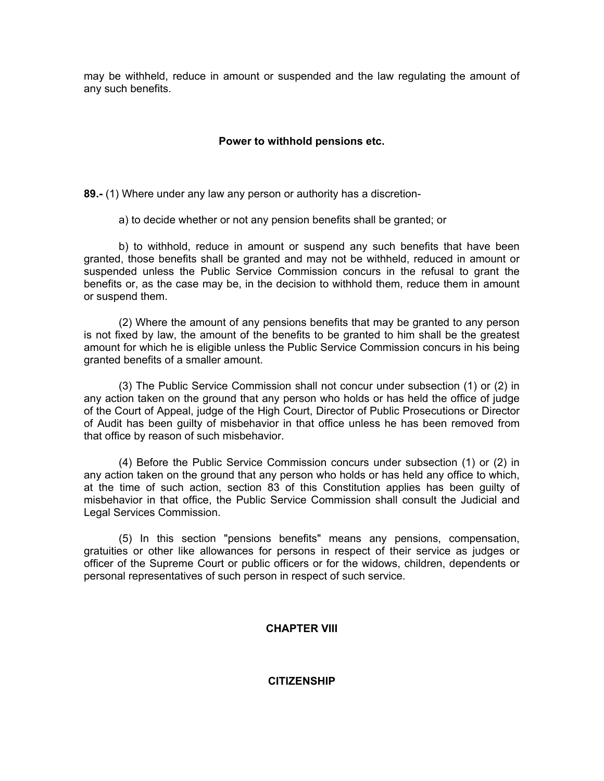may be withheld, reduce in amount or suspended and the law regulating the amount of any such benefits.

# **Power to withhold pensions etc.**

**89.-** (1) Where under any law any person or authority has a discretion-

a) to decide whether or not any pension benefits shall be granted; or

b) to withhold, reduce in amount or suspend any such benefits that have been granted, those benefits shall be granted and may not be withheld, reduced in amount or suspended unless the Public Service Commission concurs in the refusal to grant the benefits or, as the case may be, in the decision to withhold them, reduce them in amount or suspend them.

(2) Where the amount of any pensions benefits that may be granted to any person is not fixed by law, the amount of the benefits to be granted to him shall be the greatest amount for which he is eligible unless the Public Service Commission concurs in his being granted benefits of a smaller amount.

(3) The Public Service Commission shall not concur under subsection (1) or (2) in any action taken on the ground that any person who holds or has held the office of judge of the Court of Appeal, judge of the High Court, Director of Public Prosecutions or Director of Audit has been guilty of misbehavior in that office unless he has been removed from that office by reason of such misbehavior.

(4) Before the Public Service Commission concurs under subsection (1) or (2) in any action taken on the ground that any person who holds or has held any office to which, at the time of such action, section 83 of this Constitution applies has been guilty of misbehavior in that office, the Public Service Commission shall consult the Judicial and Legal Services Commission.

(5) In this section "pensions benefits" means any pensions, compensation, gratuities or other like allowances for persons in respect of their service as judges or officer of the Supreme Court or public officers or for the widows, children, dependents or personal representatives of such person in respect of such service.

# **CHAPTER VIII**

### **CITIZENSHIP**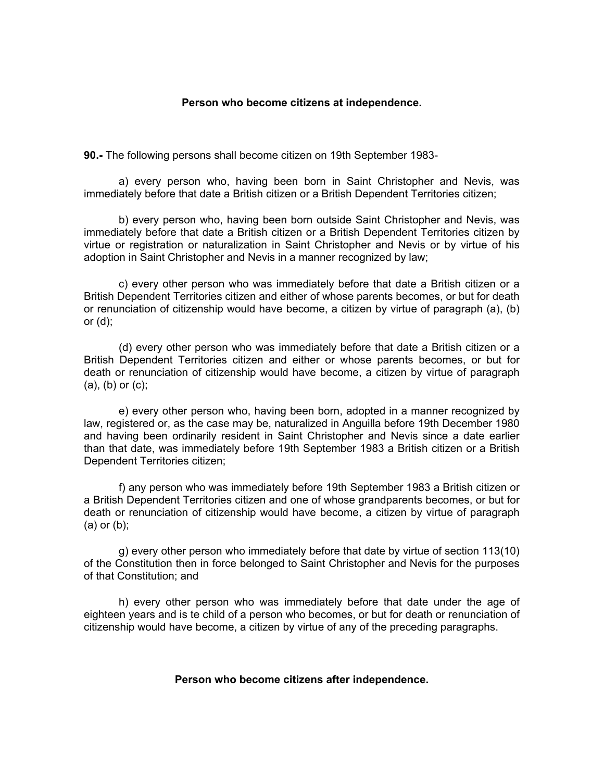#### **Person who become citizens at independence.**

**90.-** The following persons shall become citizen on 19th September 1983-

a) every person who, having been born in Saint Christopher and Nevis, was immediately before that date a British citizen or a British Dependent Territories citizen;

b) every person who, having been born outside Saint Christopher and Nevis, was immediately before that date a British citizen or a British Dependent Territories citizen by virtue or registration or naturalization in Saint Christopher and Nevis or by virtue of his adoption in Saint Christopher and Nevis in a manner recognized by law;

c) every other person who was immediately before that date a British citizen or a British Dependent Territories citizen and either of whose parents becomes, or but for death or renunciation of citizenship would have become, a citizen by virtue of paragraph (a), (b) or (d);

(d) every other person who was immediately before that date a British citizen or a British Dependent Territories citizen and either or whose parents becomes, or but for death or renunciation of citizenship would have become, a citizen by virtue of paragraph (a), (b) or (c);

e) every other person who, having been born, adopted in a manner recognized by law, registered or, as the case may be, naturalized in Anguilla before 19th December 1980 and having been ordinarily resident in Saint Christopher and Nevis since a date earlier than that date, was immediately before 19th September 1983 a British citizen or a British Dependent Territories citizen;

f) any person who was immediately before 19th September 1983 a British citizen or a British Dependent Territories citizen and one of whose grandparents becomes, or but for death or renunciation of citizenship would have become, a citizen by virtue of paragraph (a) or (b);

g) every other person who immediately before that date by virtue of section 113(10) of the Constitution then in force belonged to Saint Christopher and Nevis for the purposes of that Constitution; and

h) every other person who was immediately before that date under the age of eighteen years and is te child of a person who becomes, or but for death or renunciation of citizenship would have become, a citizen by virtue of any of the preceding paragraphs.

### **Person who become citizens after independence.**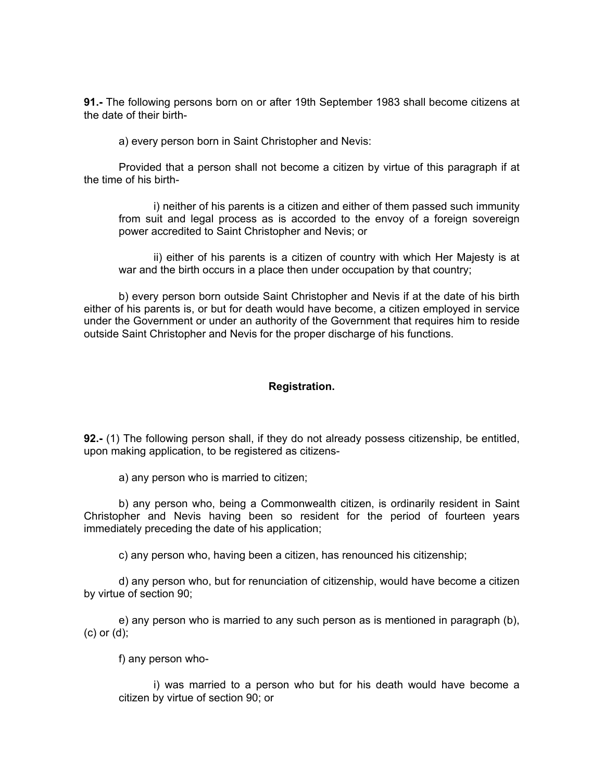**91.-** The following persons born on or after 19th September 1983 shall become citizens at the date of their birth-

a) every person born in Saint Christopher and Nevis:

Provided that a person shall not become a citizen by virtue of this paragraph if at the time of his birth-

i) neither of his parents is a citizen and either of them passed such immunity from suit and legal process as is accorded to the envoy of a foreign sovereign power accredited to Saint Christopher and Nevis; or

ii) either of his parents is a citizen of country with which Her Majesty is at war and the birth occurs in a place then under occupation by that country;

b) every person born outside Saint Christopher and Nevis if at the date of his birth either of his parents is, or but for death would have become, a citizen employed in service under the Government or under an authority of the Government that requires him to reside outside Saint Christopher and Nevis for the proper discharge of his functions.

#### **Registration.**

**92.-** (1) The following person shall, if they do not already possess citizenship, be entitled, upon making application, to be registered as citizens-

a) any person who is married to citizen;

b) any person who, being a Commonwealth citizen, is ordinarily resident in Saint Christopher and Nevis having been so resident for the period of fourteen years immediately preceding the date of his application;

c) any person who, having been a citizen, has renounced his citizenship;

d) any person who, but for renunciation of citizenship, would have become a citizen by virtue of section 90;

e) any person who is married to any such person as is mentioned in paragraph (b), (c) or (d);

f) any person who-

i) was married to a person who but for his death would have become a citizen by virtue of section 90; or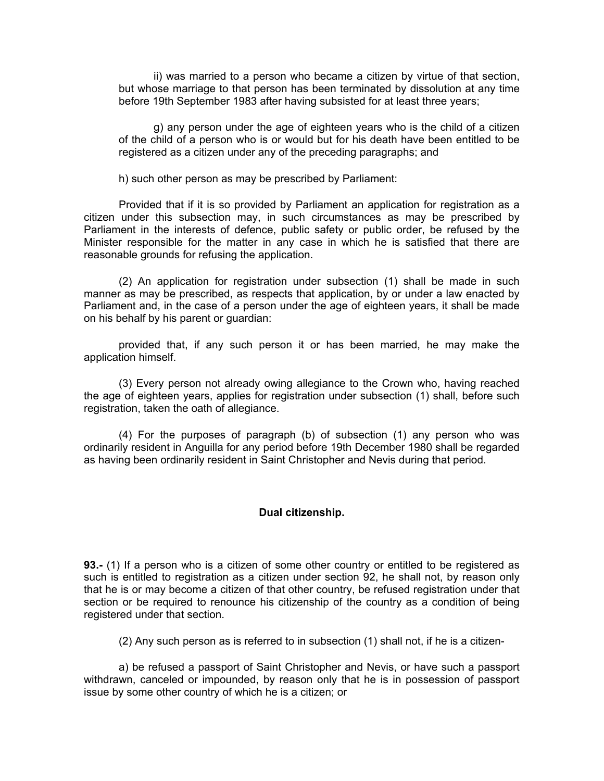ii) was married to a person who became a citizen by virtue of that section, but whose marriage to that person has been terminated by dissolution at any time before 19th September 1983 after having subsisted for at least three years;

g) any person under the age of eighteen years who is the child of a citizen of the child of a person who is or would but for his death have been entitled to be registered as a citizen under any of the preceding paragraphs; and

h) such other person as may be prescribed by Parliament:

Provided that if it is so provided by Parliament an application for registration as a citizen under this subsection may, in such circumstances as may be prescribed by Parliament in the interests of defence, public safety or public order, be refused by the Minister responsible for the matter in any case in which he is satisfied that there are reasonable grounds for refusing the application.

(2) An application for registration under subsection (1) shall be made in such manner as may be prescribed, as respects that application, by or under a law enacted by Parliament and, in the case of a person under the age of eighteen years, it shall be made on his behalf by his parent or guardian:

provided that, if any such person it or has been married, he may make the application himself.

(3) Every person not already owing allegiance to the Crown who, having reached the age of eighteen years, applies for registration under subsection (1) shall, before such registration, taken the oath of allegiance.

(4) For the purposes of paragraph (b) of subsection (1) any person who was ordinarily resident in Anguilla for any period before 19th December 1980 shall be regarded as having been ordinarily resident in Saint Christopher and Nevis during that period.

### **Dual citizenship.**

**93.-** (1) If a person who is a citizen of some other country or entitled to be registered as such is entitled to registration as a citizen under section 92, he shall not, by reason only that he is or may become a citizen of that other country, be refused registration under that section or be required to renounce his citizenship of the country as a condition of being registered under that section.

(2) Any such person as is referred to in subsection (1) shall not, if he is a citizen-

a) be refused a passport of Saint Christopher and Nevis, or have such a passport withdrawn, canceled or impounded, by reason only that he is in possession of passport issue by some other country of which he is a citizen; or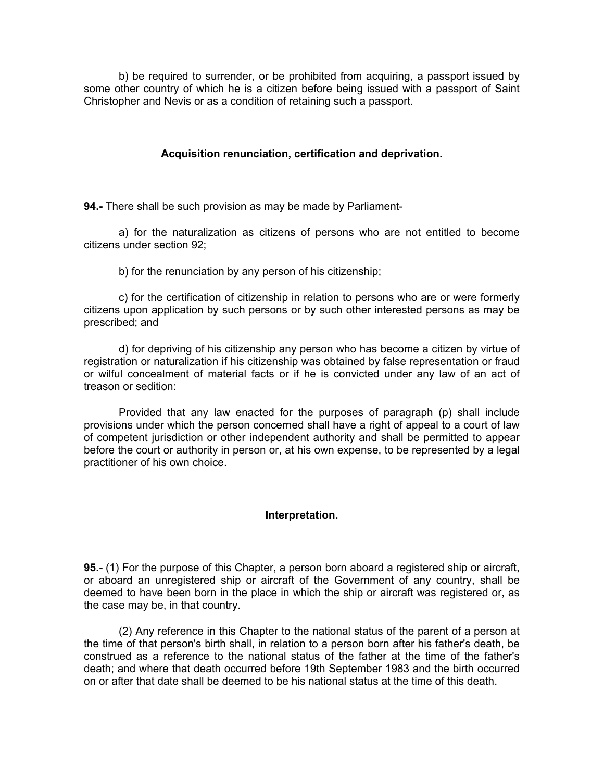b) be required to surrender, or be prohibited from acquiring, a passport issued by some other country of which he is a citizen before being issued with a passport of Saint Christopher and Nevis or as a condition of retaining such a passport.

### **Acquisition renunciation, certification and deprivation.**

**94.-** There shall be such provision as may be made by Parliament-

a) for the naturalization as citizens of persons who are not entitled to become citizens under section 92;

b) for the renunciation by any person of his citizenship;

c) for the certification of citizenship in relation to persons who are or were formerly citizens upon application by such persons or by such other interested persons as may be prescribed; and

d) for depriving of his citizenship any person who has become a citizen by virtue of registration or naturalization if his citizenship was obtained by false representation or fraud or wilful concealment of material facts or if he is convicted under any law of an act of treason or sedition:

Provided that any law enacted for the purposes of paragraph (p) shall include provisions under which the person concerned shall have a right of appeal to a court of law of competent jurisdiction or other independent authority and shall be permitted to appear before the court or authority in person or, at his own expense, to be represented by a legal practitioner of his own choice.

### **Interpretation.**

**95.-** (1) For the purpose of this Chapter, a person born aboard a registered ship or aircraft, or aboard an unregistered ship or aircraft of the Government of any country, shall be deemed to have been born in the place in which the ship or aircraft was registered or, as the case may be, in that country.

(2) Any reference in this Chapter to the national status of the parent of a person at the time of that person's birth shall, in relation to a person born after his father's death, be construed as a reference to the national status of the father at the time of the father's death; and where that death occurred before 19th September 1983 and the birth occurred on or after that date shall be deemed to be his national status at the time of this death.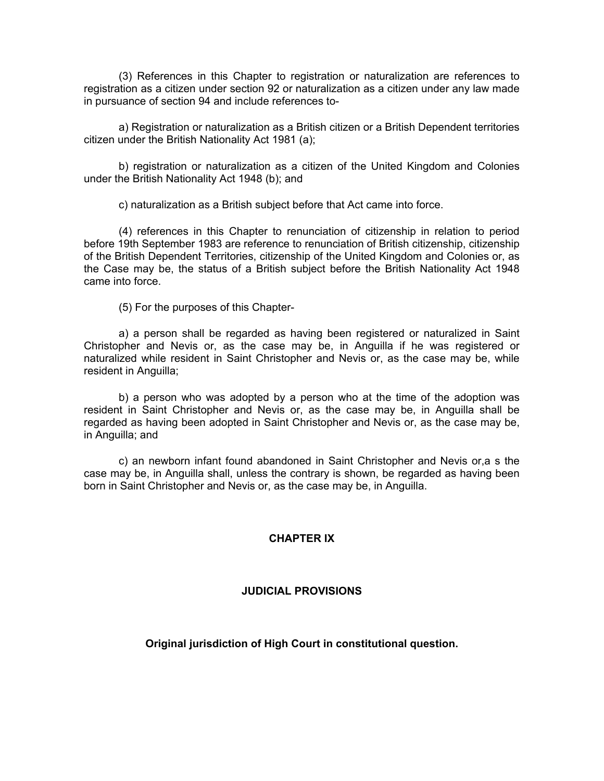(3) References in this Chapter to registration or naturalization are references to registration as a citizen under section 92 or naturalization as a citizen under any law made in pursuance of section 94 and include references to-

a) Registration or naturalization as a British citizen or a British Dependent territories citizen under the British Nationality Act 1981 (a);

b) registration or naturalization as a citizen of the United Kingdom and Colonies under the British Nationality Act 1948 (b); and

c) naturalization as a British subject before that Act came into force.

(4) references in this Chapter to renunciation of citizenship in relation to period before 19th September 1983 are reference to renunciation of British citizenship, citizenship of the British Dependent Territories, citizenship of the United Kingdom and Colonies or, as the Case may be, the status of a British subject before the British Nationality Act 1948 came into force.

(5) For the purposes of this Chapter-

a) a person shall be regarded as having been registered or naturalized in Saint Christopher and Nevis or, as the case may be, in Anguilla if he was registered or naturalized while resident in Saint Christopher and Nevis or, as the case may be, while resident in Anguilla;

b) a person who was adopted by a person who at the time of the adoption was resident in Saint Christopher and Nevis or, as the case may be, in Anguilla shall be regarded as having been adopted in Saint Christopher and Nevis or, as the case may be, in Anguilla; and

c) an newborn infant found abandoned in Saint Christopher and Nevis or,a s the case may be, in Anguilla shall, unless the contrary is shown, be regarded as having been born in Saint Christopher and Nevis or, as the case may be, in Anguilla.

# **CHAPTER IX**

# **JUDICIAL PROVISIONS**

# **Original jurisdiction of High Court in constitutional question.**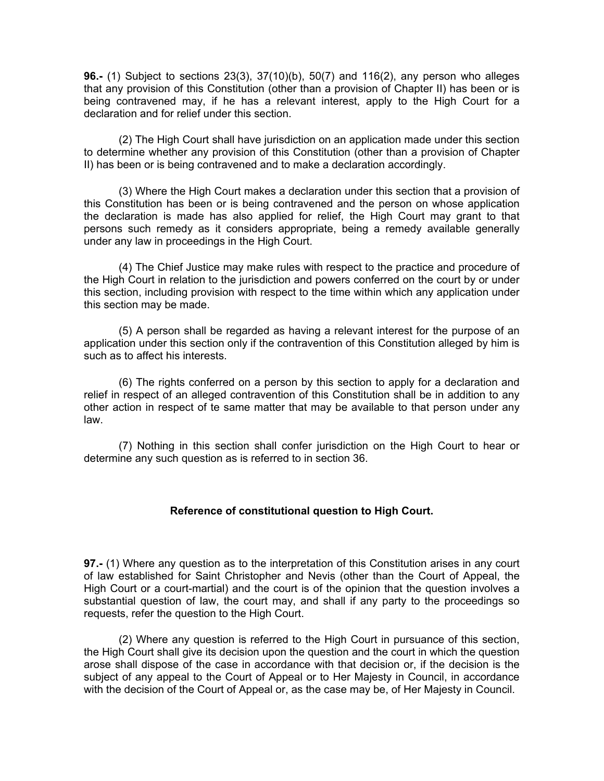**96.-** (1) Subject to sections 23(3), 37(10)(b), 50(7) and 116(2), any person who alleges that any provision of this Constitution (other than a provision of Chapter II) has been or is being contravened may, if he has a relevant interest, apply to the High Court for a declaration and for relief under this section.

(2) The High Court shall have jurisdiction on an application made under this section to determine whether any provision of this Constitution (other than a provision of Chapter II) has been or is being contravened and to make a declaration accordingly.

(3) Where the High Court makes a declaration under this section that a provision of this Constitution has been or is being contravened and the person on whose application the declaration is made has also applied for relief, the High Court may grant to that persons such remedy as it considers appropriate, being a remedy available generally under any law in proceedings in the High Court.

(4) The Chief Justice may make rules with respect to the practice and procedure of the High Court in relation to the jurisdiction and powers conferred on the court by or under this section, including provision with respect to the time within which any application under this section may be made.

(5) A person shall be regarded as having a relevant interest for the purpose of an application under this section only if the contravention of this Constitution alleged by him is such as to affect his interests.

(6) The rights conferred on a person by this section to apply for a declaration and relief in respect of an alleged contravention of this Constitution shall be in addition to any other action in respect of te same matter that may be available to that person under any law.

(7) Nothing in this section shall confer jurisdiction on the High Court to hear or determine any such question as is referred to in section 36.

### **Reference of constitutional question to High Court.**

**97.-** (1) Where any question as to the interpretation of this Constitution arises in any court of law established for Saint Christopher and Nevis (other than the Court of Appeal, the High Court or a court-martial) and the court is of the opinion that the question involves a substantial question of law, the court may, and shall if any party to the proceedings so requests, refer the question to the High Court.

(2) Where any question is referred to the High Court in pursuance of this section, the High Court shall give its decision upon the question and the court in which the question arose shall dispose of the case in accordance with that decision or, if the decision is the subject of any appeal to the Court of Appeal or to Her Majesty in Council, in accordance with the decision of the Court of Appeal or, as the case may be, of Her Majesty in Council.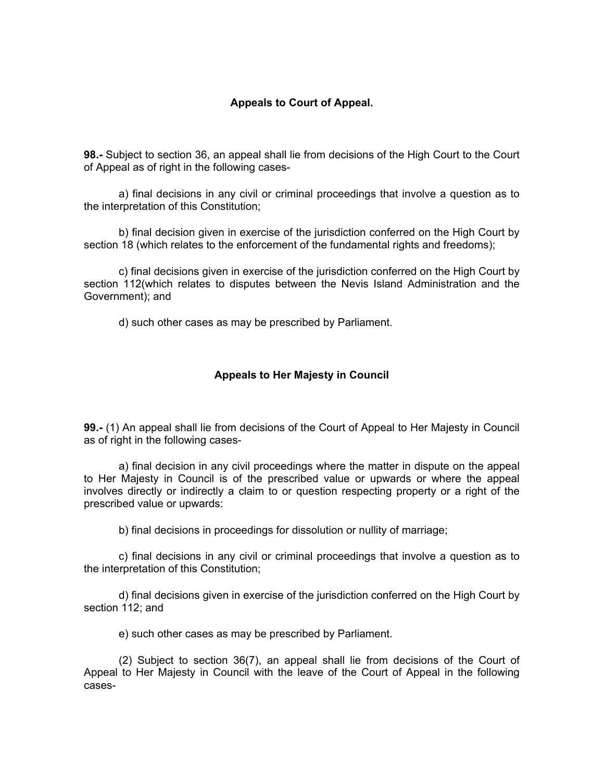### **Appeals to Court of Appeal.**

**98.-** Subject to section 36, an appeal shall lie from decisions of the High Court to the Court of Appeal as of right in the following cases-

a) final decisions in any civil or criminal proceedings that involve a question as to the interpretation of this Constitution;

b) final decision given in exercise of the jurisdiction conferred on the High Court by section 18 (which relates to the enforcement of the fundamental rights and freedoms);

c) final decisions given in exercise of the jurisdiction conferred on the High Court by section 112(which relates to disputes between the Nevis Island Administration and the Government); and

d) such other cases as may be prescribed by Parliament.

### **Appeals to Her Majesty in Council**

**99.-** (1) An appeal shall lie from decisions of the Court of Appeal to Her Majesty in Council as of right in the following cases-

a) final decision in any civil proceedings where the matter in dispute on the appeal to Her Majesty in Council is of the prescribed value or upwards or where the appeal involves directly or indirectly a claim to or question respecting property or a right of the prescribed value or upwards:

b) final decisions in proceedings for dissolution or nullity of marriage;

c) final decisions in any civil or criminal proceedings that involve a question as to the interpretation of this Constitution;

d) final decisions given in exercise of the jurisdiction conferred on the High Court by section 112; and

e) such other cases as may be prescribed by Parliament.

(2) Subject to section 36(7), an appeal shall lie from decisions of the Court of Appeal to Her Majesty in Council with the leave of the Court of Appeal in the following cases-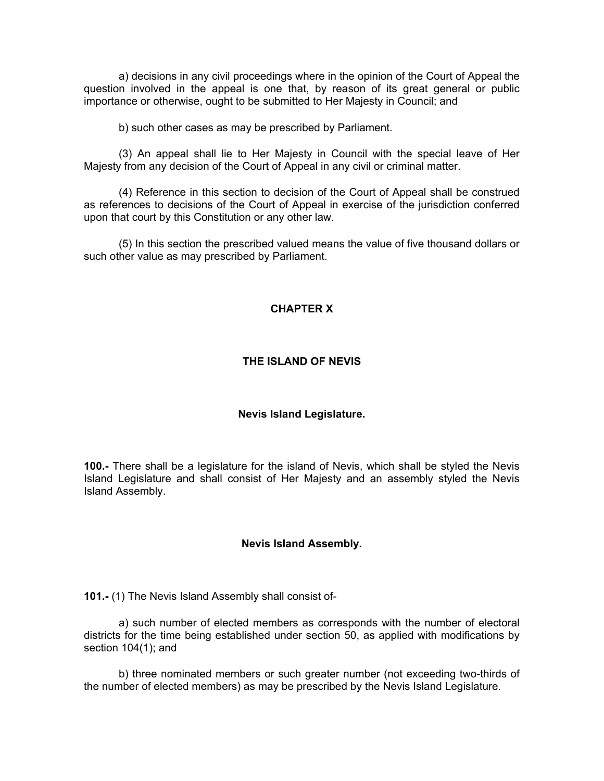a) decisions in any civil proceedings where in the opinion of the Court of Appeal the question involved in the appeal is one that, by reason of its great general or public importance or otherwise, ought to be submitted to Her Majesty in Council; and

b) such other cases as may be prescribed by Parliament.

(3) An appeal shall lie to Her Majesty in Council with the special leave of Her Majesty from any decision of the Court of Appeal in any civil or criminal matter.

(4) Reference in this section to decision of the Court of Appeal shall be construed as references to decisions of the Court of Appeal in exercise of the jurisdiction conferred upon that court by this Constitution or any other law.

(5) In this section the prescribed valued means the value of five thousand dollars or such other value as may prescribed by Parliament.

### **CHAPTER X**

# **THE ISLAND OF NEVIS**

### **Nevis Island Legislature.**

**100.-** There shall be a legislature for the island of Nevis, which shall be styled the Nevis Island Legislature and shall consist of Her Majesty and an assembly styled the Nevis Island Assembly.

### **Nevis Island Assembly.**

**101.-** (1) The Nevis Island Assembly shall consist of-

a) such number of elected members as corresponds with the number of electoral districts for the time being established under section 50, as applied with modifications by section 104(1); and

b) three nominated members or such greater number (not exceeding two-thirds of the number of elected members) as may be prescribed by the Nevis Island Legislature.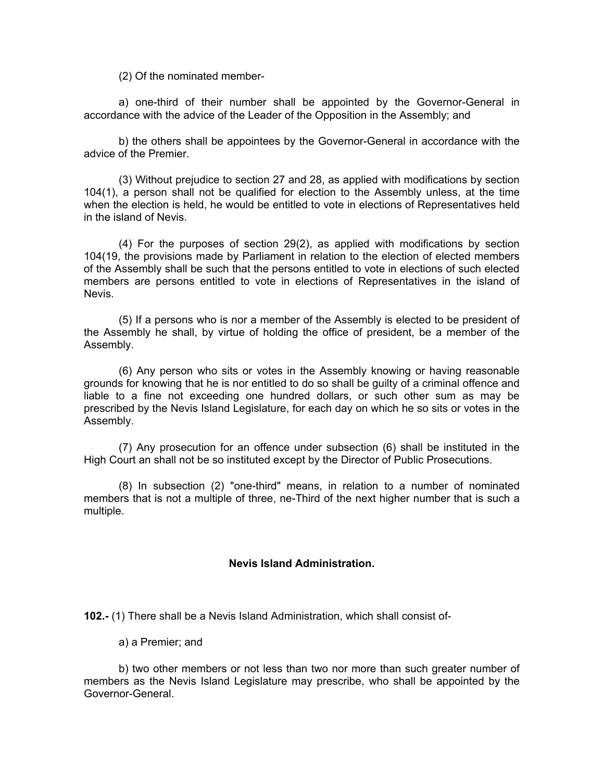(2) Of the nominated member-

a) one-third of their number shall be appointed by the Governor-General in accordance with the advice of the Leader of the Opposition in the Assembly; and

b) the others shall be appointees by the Governor-General in accordance with the advice of the Premier.

(3) Without prejudice to section 27 and 28, as applied with modifications by section 104(1), a person shall not be qualified for election to the Assembly unless, at the time when the election is held, he would be entitled to vote in elections of Representatives held in the island of Nevis.

(4) For the purposes of section 29(2), as applied with modifications by section 104(19, the provisions made by Parliament in relation to the election of elected members of the Assembly shall be such that the persons entitled to vote in elections of such elected members are persons entitled to vote in elections of Representatives in the island of Nevis.

(5) If a persons who is nor a member of the Assembly is elected to be president of the Assembly he shall, by virtue of holding the office of president, be a member of the Assembly.

(6) Any person who sits or votes in the Assembly knowing or having reasonable grounds for knowing that he is nor entitled to do so shall be guilty of a criminal offence and liable to a fine not exceeding one hundred dollars, or such other sum as may be prescribed by the Nevis Island Legislature, for each day on which he so sits or votes in the Assembly.

(7) Any prosecution for an offence under subsection (6) shall be instituted in the High Court an shall not be so instituted except by the Director of Public Prosecutions.

(8) In subsection (2) "one-third" means, in relation to a number of nominated members that is not a multiple of three, ne-Third of the next higher number that is such a multiple.

### **Nevis Island Administration.**

**102.-** (1) There shall be a Nevis Island Administration, which shall consist of-

a) a Premier; and

b) two other members or not less than two nor more than such greater number of members as the Nevis Island Legislature may prescribe, who shall be appointed by the Governor-General.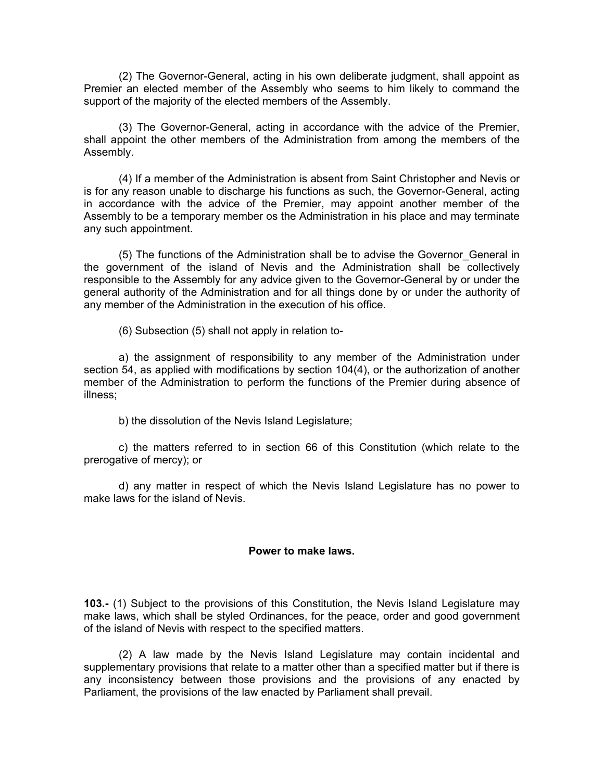(2) The Governor-General, acting in his own deliberate judgment, shall appoint as Premier an elected member of the Assembly who seems to him likely to command the support of the majority of the elected members of the Assembly.

(3) The Governor-General, acting in accordance with the advice of the Premier, shall appoint the other members of the Administration from among the members of the Assembly.

(4) If a member of the Administration is absent from Saint Christopher and Nevis or is for any reason unable to discharge his functions as such, the Governor-General, acting in accordance with the advice of the Premier, may appoint another member of the Assembly to be a temporary member os the Administration in his place and may terminate any such appointment.

(5) The functions of the Administration shall be to advise the Governor\_General in the government of the island of Nevis and the Administration shall be collectively responsible to the Assembly for any advice given to the Governor-General by or under the general authority of the Administration and for all things done by or under the authority of any member of the Administration in the execution of his office.

(6) Subsection (5) shall not apply in relation to-

a) the assignment of responsibility to any member of the Administration under section 54, as applied with modifications by section 104(4), or the authorization of another member of the Administration to perform the functions of the Premier during absence of illness;

b) the dissolution of the Nevis Island Legislature;

c) the matters referred to in section 66 of this Constitution (which relate to the prerogative of mercy); or

d) any matter in respect of which the Nevis Island Legislature has no power to make laws for the island of Nevis.

# **Power to make laws.**

**103.-** (1) Subject to the provisions of this Constitution, the Nevis Island Legislature may make laws, which shall be styled Ordinances, for the peace, order and good government of the island of Nevis with respect to the specified matters.

(2) A law made by the Nevis Island Legislature may contain incidental and supplementary provisions that relate to a matter other than a specified matter but if there is any inconsistency between those provisions and the provisions of any enacted by Parliament, the provisions of the law enacted by Parliament shall prevail.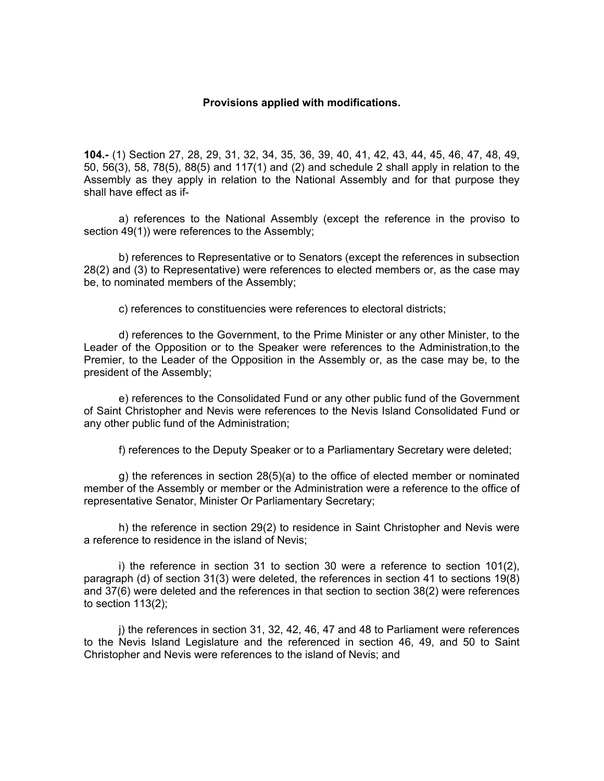#### **Provisions applied with modifications.**

**104.-** (1) Section 27, 28, 29, 31, 32, 34, 35, 36, 39, 40, 41, 42, 43, 44, 45, 46, 47, 48, 49, 50, 56(3), 58, 78(5), 88(5) and 117(1) and (2) and schedule 2 shall apply in relation to the Assembly as they apply in relation to the National Assembly and for that purpose they shall have effect as if-

a) references to the National Assembly (except the reference in the proviso to section 49(1)) were references to the Assembly;

b) references to Representative or to Senators (except the references in subsection 28(2) and (3) to Representative) were references to elected members or, as the case may be, to nominated members of the Assembly;

c) references to constituencies were references to electoral districts;

d) references to the Government, to the Prime Minister or any other Minister, to the Leader of the Opposition or to the Speaker were references to the Administration,to the Premier, to the Leader of the Opposition in the Assembly or, as the case may be, to the president of the Assembly;

e) references to the Consolidated Fund or any other public fund of the Government of Saint Christopher and Nevis were references to the Nevis Island Consolidated Fund or any other public fund of the Administration;

f) references to the Deputy Speaker or to a Parliamentary Secretary were deleted;

g) the references in section 28(5)(a) to the office of elected member or nominated member of the Assembly or member or the Administration were a reference to the office of representative Senator, Minister Or Parliamentary Secretary;

h) the reference in section 29(2) to residence in Saint Christopher and Nevis were a reference to residence in the island of Nevis;

i) the reference in section 31 to section 30 were a reference to section  $101(2)$ , paragraph (d) of section 31(3) were deleted, the references in section 41 to sections 19(8) and 37(6) were deleted and the references in that section to section 38(2) were references to section 113(2);

j) the references in section 31, 32, 42, 46, 47 and 48 to Parliament were references to the Nevis Island Legislature and the referenced in section 46, 49, and 50 to Saint Christopher and Nevis were references to the island of Nevis; and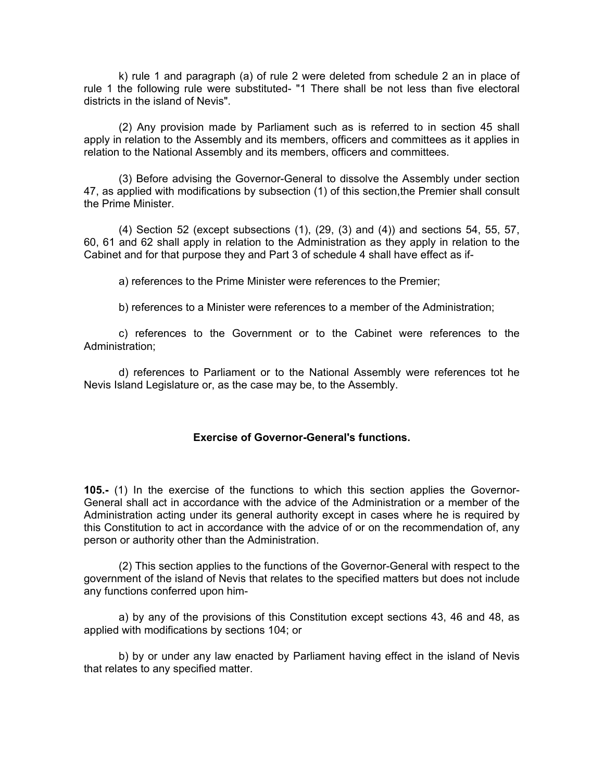k) rule 1 and paragraph (a) of rule 2 were deleted from schedule 2 an in place of rule 1 the following rule were substituted- "1 There shall be not less than five electoral districts in the island of Nevis".

(2) Any provision made by Parliament such as is referred to in section 45 shall apply in relation to the Assembly and its members, officers and committees as it applies in relation to the National Assembly and its members, officers and committees.

(3) Before advising the Governor-General to dissolve the Assembly under section 47, as applied with modifications by subsection (1) of this section,the Premier shall consult the Prime Minister.

(4) Section 52 (except subsections (1), (29, (3) and (4)) and sections 54, 55, 57, 60, 61 and 62 shall apply in relation to the Administration as they apply in relation to the Cabinet and for that purpose they and Part 3 of schedule 4 shall have effect as if-

a) references to the Prime Minister were references to the Premier;

b) references to a Minister were references to a member of the Administration;

c) references to the Government or to the Cabinet were references to the Administration;

d) references to Parliament or to the National Assembly were references tot he Nevis Island Legislature or, as the case may be, to the Assembly.

### **Exercise of Governor-General's functions.**

**105.-** (1) In the exercise of the functions to which this section applies the Governor-General shall act in accordance with the advice of the Administration or a member of the Administration acting under its general authority except in cases where he is required by this Constitution to act in accordance with the advice of or on the recommendation of, any person or authority other than the Administration.

(2) This section applies to the functions of the Governor-General with respect to the government of the island of Nevis that relates to the specified matters but does not include any functions conferred upon him-

a) by any of the provisions of this Constitution except sections 43, 46 and 48, as applied with modifications by sections 104; or

b) by or under any law enacted by Parliament having effect in the island of Nevis that relates to any specified matter.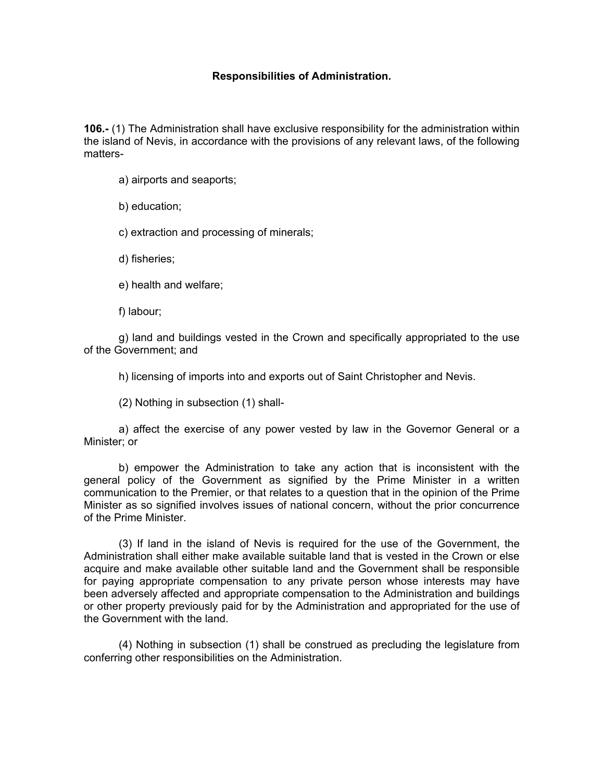### **Responsibilities of Administration.**

**106.-** (1) The Administration shall have exclusive responsibility for the administration within the island of Nevis, in accordance with the provisions of any relevant laws, of the following matters-

a) airports and seaports;

b) education;

c) extraction and processing of minerals;

d) fisheries;

e) health and welfare;

f) labour;

g) land and buildings vested in the Crown and specifically appropriated to the use of the Government; and

h) licensing of imports into and exports out of Saint Christopher and Nevis.

(2) Nothing in subsection (1) shall-

a) affect the exercise of any power vested by law in the Governor General or a Minister; or

b) empower the Administration to take any action that is inconsistent with the general policy of the Government as signified by the Prime Minister in a written communication to the Premier, or that relates to a question that in the opinion of the Prime Minister as so signified involves issues of national concern, without the prior concurrence of the Prime Minister.

(3) If land in the island of Nevis is required for the use of the Government, the Administration shall either make available suitable land that is vested in the Crown or else acquire and make available other suitable land and the Government shall be responsible for paying appropriate compensation to any private person whose interests may have been adversely affected and appropriate compensation to the Administration and buildings or other property previously paid for by the Administration and appropriated for the use of the Government with the land.

(4) Nothing in subsection (1) shall be construed as precluding the legislature from conferring other responsibilities on the Administration.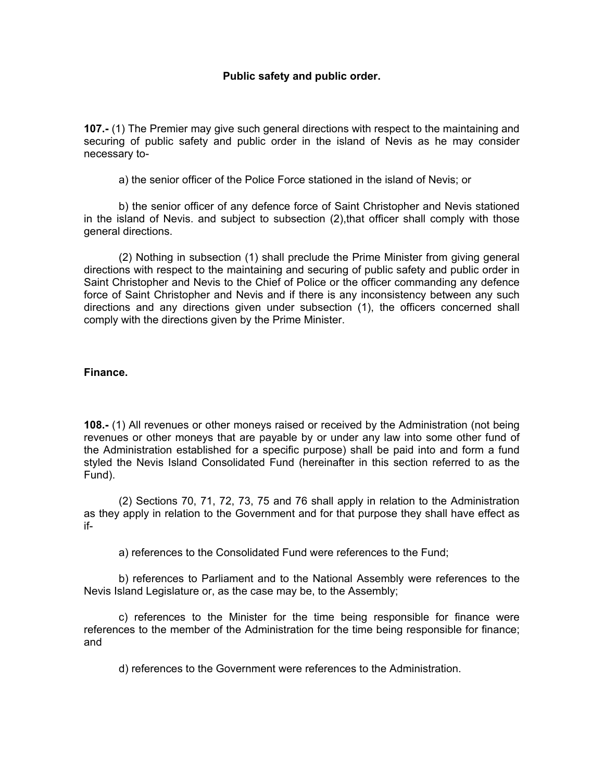**107.-** (1) The Premier may give such general directions with respect to the maintaining and securing of public safety and public order in the island of Nevis as he may consider necessary to-

a) the senior officer of the Police Force stationed in the island of Nevis; or

b) the senior officer of any defence force of Saint Christopher and Nevis stationed in the island of Nevis. and subject to subsection (2),that officer shall comply with those general directions.

(2) Nothing in subsection (1) shall preclude the Prime Minister from giving general directions with respect to the maintaining and securing of public safety and public order in Saint Christopher and Nevis to the Chief of Police or the officer commanding any defence force of Saint Christopher and Nevis and if there is any inconsistency between any such directions and any directions given under subsection (1), the officers concerned shall comply with the directions given by the Prime Minister.

### **Finance.**

**108.-** (1) All revenues or other moneys raised or received by the Administration (not being revenues or other moneys that are payable by or under any law into some other fund of the Administration established for a specific purpose) shall be paid into and form a fund styled the Nevis Island Consolidated Fund (hereinafter in this section referred to as the Fund).

(2) Sections 70, 71, 72, 73, 75 and 76 shall apply in relation to the Administration as they apply in relation to the Government and for that purpose they shall have effect as if-

a) references to the Consolidated Fund were references to the Fund;

b) references to Parliament and to the National Assembly were references to the Nevis Island Legislature or, as the case may be, to the Assembly;

c) references to the Minister for the time being responsible for finance were references to the member of the Administration for the time being responsible for finance; and

d) references to the Government were references to the Administration.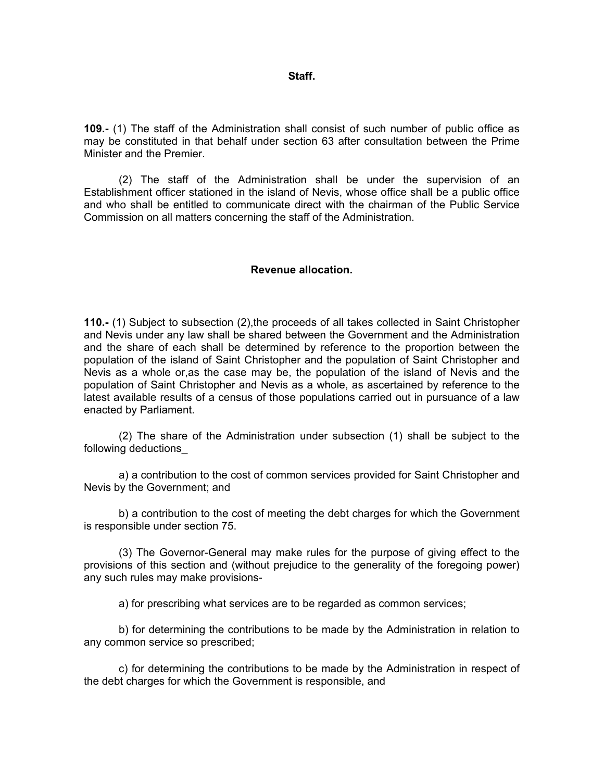#### **Staff.**

**109.-** (1) The staff of the Administration shall consist of such number of public office as may be constituted in that behalf under section 63 after consultation between the Prime Minister and the Premier.

(2) The staff of the Administration shall be under the supervision of an Establishment officer stationed in the island of Nevis, whose office shall be a public office and who shall be entitled to communicate direct with the chairman of the Public Service Commission on all matters concerning the staff of the Administration.

#### **Revenue allocation.**

**110.-** (1) Subject to subsection (2),the proceeds of all takes collected in Saint Christopher and Nevis under any law shall be shared between the Government and the Administration and the share of each shall be determined by reference to the proportion between the population of the island of Saint Christopher and the population of Saint Christopher and Nevis as a whole or,as the case may be, the population of the island of Nevis and the population of Saint Christopher and Nevis as a whole, as ascertained by reference to the latest available results of a census of those populations carried out in pursuance of a law enacted by Parliament.

(2) The share of the Administration under subsection (1) shall be subject to the following deductions\_

a) a contribution to the cost of common services provided for Saint Christopher and Nevis by the Government; and

b) a contribution to the cost of meeting the debt charges for which the Government is responsible under section 75.

(3) The Governor-General may make rules for the purpose of giving effect to the provisions of this section and (without prejudice to the generality of the foregoing power) any such rules may make provisions-

a) for prescribing what services are to be regarded as common services;

b) for determining the contributions to be made by the Administration in relation to any common service so prescribed;

c) for determining the contributions to be made by the Administration in respect of the debt charges for which the Government is responsible, and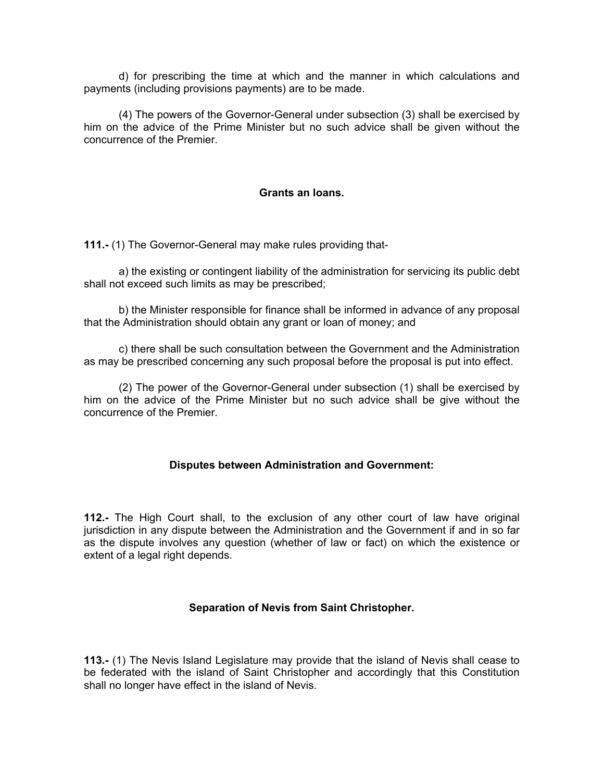d) for prescribing the time at which and the manner in which calculations and payments (including provisions payments) are to be made.

(4) The powers of the Governor-General under subsection (3) shall be exercised by him on the advice of the Prime Minister but no such advice shall be given without the concurrence of the Premier.

### **Grants an loans.**

**111.-** (1) The Governor-General may make rules providing that-

a) the existing or contingent liability of the administration for servicing its public debt shall not exceed such limits as may be prescribed;

b) the Minister responsible for finance shall be informed in advance of any proposal that the Administration should obtain any grant or loan of money; and

c) there shall be such consultation between the Government and the Administration as may be prescribed concerning any such proposal before the proposal is put into effect.

(2) The power of the Governor-General under subsection (1) shall be exercised by him on the advice of the Prime Minister but no such advice shall be give without the concurrence of the Premier.

### **Disputes between Administration and Government:**

**112.-** The High Court shall, to the exclusion of any other court of law have original jurisdiction in any dispute between the Administration and the Government if and in so far as the dispute involves any question (whether of law or fact) on which the existence or extent of a legal right depends.

### **Separation of Nevis from Saint Christopher.**

**113.-** (1) The Nevis Island Legislature may provide that the island of Nevis shall cease to be federated with the island of Saint Christopher and accordingly that this Constitution shall no longer have effect in the island of Nevis.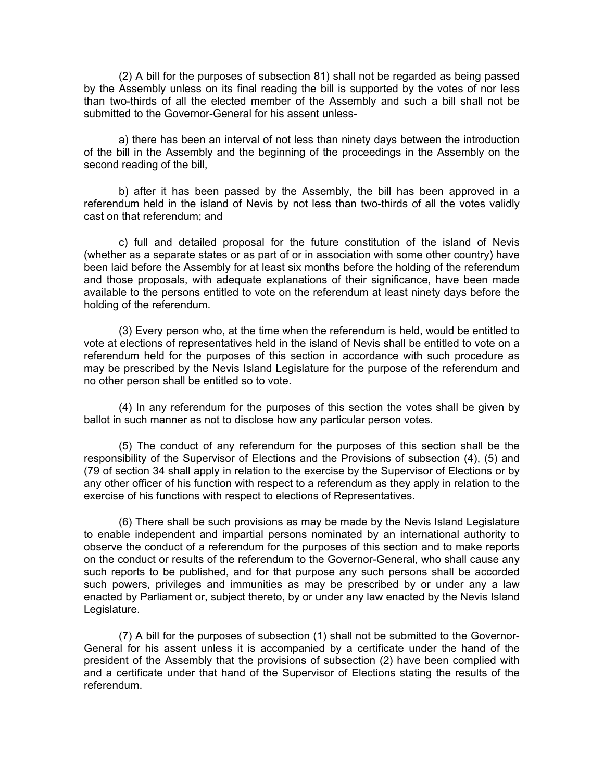(2) A bill for the purposes of subsection 81) shall not be regarded as being passed by the Assembly unless on its final reading the bill is supported by the votes of nor less than two-thirds of all the elected member of the Assembly and such a bill shall not be submitted to the Governor-General for his assent unless-

a) there has been an interval of not less than ninety days between the introduction of the bill in the Assembly and the beginning of the proceedings in the Assembly on the second reading of the bill,

b) after it has been passed by the Assembly, the bill has been approved in a referendum held in the island of Nevis by not less than two-thirds of all the votes validly cast on that referendum; and

c) full and detailed proposal for the future constitution of the island of Nevis (whether as a separate states or as part of or in association with some other country) have been laid before the Assembly for at least six months before the holding of the referendum and those proposals, with adequate explanations of their significance, have been made available to the persons entitled to vote on the referendum at least ninety days before the holding of the referendum.

(3) Every person who, at the time when the referendum is held, would be entitled to vote at elections of representatives held in the island of Nevis shall be entitled to vote on a referendum held for the purposes of this section in accordance with such procedure as may be prescribed by the Nevis Island Legislature for the purpose of the referendum and no other person shall be entitled so to vote.

(4) In any referendum for the purposes of this section the votes shall be given by ballot in such manner as not to disclose how any particular person votes.

(5) The conduct of any referendum for the purposes of this section shall be the responsibility of the Supervisor of Elections and the Provisions of subsection (4), (5) and (79 of section 34 shall apply in relation to the exercise by the Supervisor of Elections or by any other officer of his function with respect to a referendum as they apply in relation to the exercise of his functions with respect to elections of Representatives.

(6) There shall be such provisions as may be made by the Nevis Island Legislature to enable independent and impartial persons nominated by an international authority to observe the conduct of a referendum for the purposes of this section and to make reports on the conduct or results of the referendum to the Governor-General, who shall cause any such reports to be published, and for that purpose any such persons shall be accorded such powers, privileges and immunities as may be prescribed by or under any a law enacted by Parliament or, subject thereto, by or under any law enacted by the Nevis Island Legislature.

(7) A bill for the purposes of subsection (1) shall not be submitted to the Governor-General for his assent unless it is accompanied by a certificate under the hand of the president of the Assembly that the provisions of subsection (2) have been complied with and a certificate under that hand of the Supervisor of Elections stating the results of the referendum.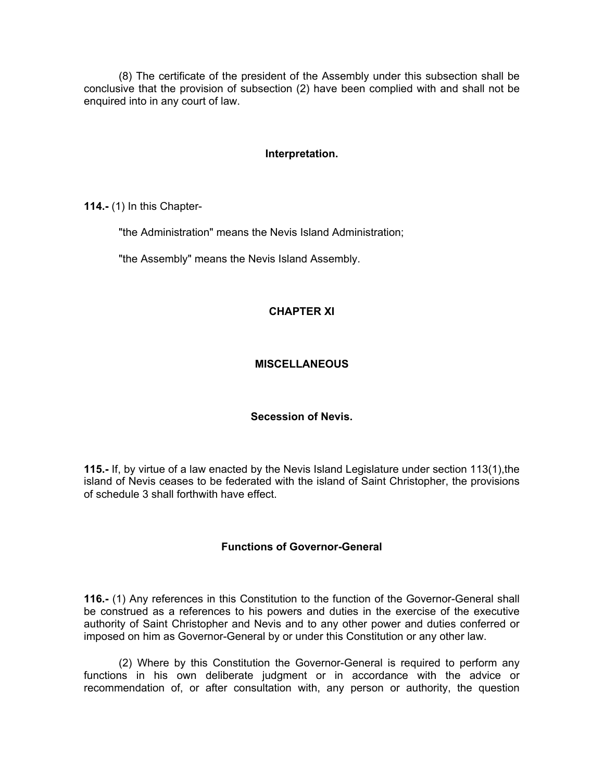(8) The certificate of the president of the Assembly under this subsection shall be conclusive that the provision of subsection (2) have been complied with and shall not be enquired into in any court of law.

### **Interpretation.**

**114.-** (1) In this Chapter-

"the Administration" means the Nevis Island Administration;

"the Assembly" means the Nevis Island Assembly.

# **CHAPTER XI**

# **MISCELLANEOUS**

### **Secession of Nevis.**

**115.-** If, by virtue of a law enacted by the Nevis Island Legislature under section 113(1),the island of Nevis ceases to be federated with the island of Saint Christopher, the provisions of schedule 3 shall forthwith have effect.

### **Functions of Governor-General**

**116.-** (1) Any references in this Constitution to the function of the Governor-General shall be construed as a references to his powers and duties in the exercise of the executive authority of Saint Christopher and Nevis and to any other power and duties conferred or imposed on him as Governor-General by or under this Constitution or any other law.

(2) Where by this Constitution the Governor-General is required to perform any functions in his own deliberate judgment or in accordance with the advice or recommendation of, or after consultation with, any person or authority, the question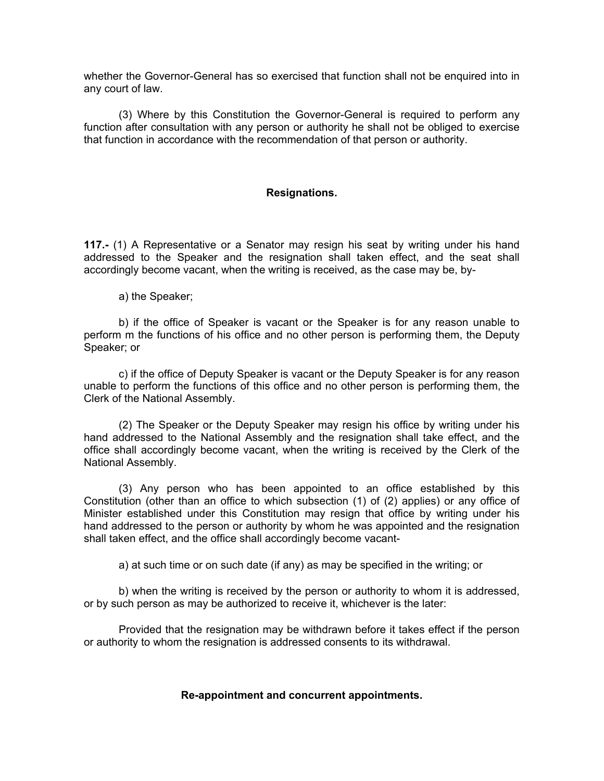whether the Governor-General has so exercised that function shall not be enquired into in any court of law.

(3) Where by this Constitution the Governor-General is required to perform any function after consultation with any person or authority he shall not be obliged to exercise that function in accordance with the recommendation of that person or authority.

### **Resignations.**

**117.-** (1) A Representative or a Senator may resign his seat by writing under his hand addressed to the Speaker and the resignation shall taken effect, and the seat shall accordingly become vacant, when the writing is received, as the case may be, by-

a) the Speaker;

b) if the office of Speaker is vacant or the Speaker is for any reason unable to perform m the functions of his office and no other person is performing them, the Deputy Speaker; or

c) if the office of Deputy Speaker is vacant or the Deputy Speaker is for any reason unable to perform the functions of this office and no other person is performing them, the Clerk of the National Assembly.

(2) The Speaker or the Deputy Speaker may resign his office by writing under his hand addressed to the National Assembly and the resignation shall take effect, and the office shall accordingly become vacant, when the writing is received by the Clerk of the National Assembly.

(3) Any person who has been appointed to an office established by this Constitution (other than an office to which subsection (1) of (2) applies) or any office of Minister established under this Constitution may resign that office by writing under his hand addressed to the person or authority by whom he was appointed and the resignation shall taken effect, and the office shall accordingly become vacant-

a) at such time or on such date (if any) as may be specified in the writing; or

b) when the writing is received by the person or authority to whom it is addressed, or by such person as may be authorized to receive it, whichever is the later:

Provided that the resignation may be withdrawn before it takes effect if the person or authority to whom the resignation is addressed consents to its withdrawal.

**Re-appointment and concurrent appointments.**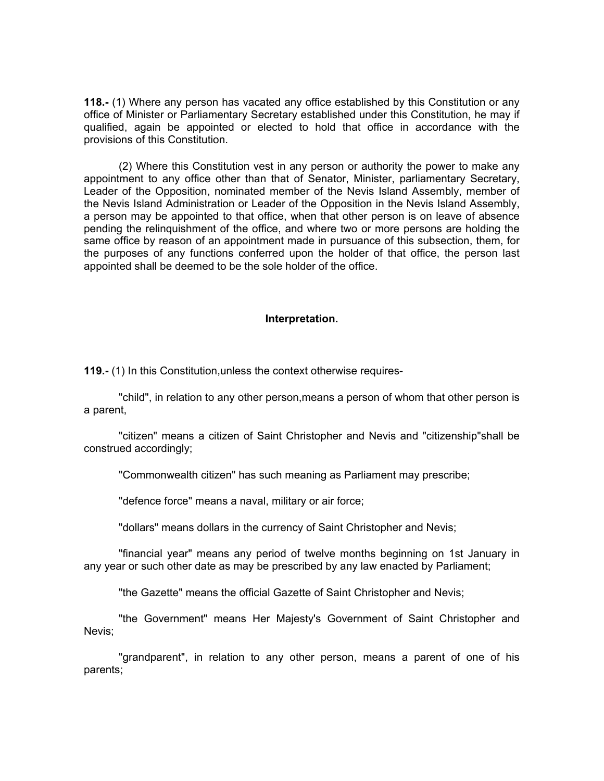**118.-** (1) Where any person has vacated any office established by this Constitution or any office of Minister or Parliamentary Secretary established under this Constitution, he may if qualified, again be appointed or elected to hold that office in accordance with the provisions of this Constitution.

(2) Where this Constitution vest in any person or authority the power to make any appointment to any office other than that of Senator, Minister, parliamentary Secretary, Leader of the Opposition, nominated member of the Nevis Island Assembly, member of the Nevis Island Administration or Leader of the Opposition in the Nevis Island Assembly, a person may be appointed to that office, when that other person is on leave of absence pending the relinquishment of the office, and where two or more persons are holding the same office by reason of an appointment made in pursuance of this subsection, them, for the purposes of any functions conferred upon the holder of that office, the person last appointed shall be deemed to be the sole holder of the office.

#### **Interpretation.**

**119.-** (1) In this Constitution,unless the context otherwise requires-

"child", in relation to any other person,means a person of whom that other person is a parent,

"citizen" means a citizen of Saint Christopher and Nevis and "citizenship"shall be construed accordingly;

"Commonwealth citizen" has such meaning as Parliament may prescribe;

"defence force" means a naval, military or air force;

"dollars" means dollars in the currency of Saint Christopher and Nevis;

"financial year" means any period of twelve months beginning on 1st January in any year or such other date as may be prescribed by any law enacted by Parliament;

"the Gazette" means the official Gazette of Saint Christopher and Nevis;

"the Government" means Her Majesty's Government of Saint Christopher and Nevis;

"grandparent", in relation to any other person, means a parent of one of his parents;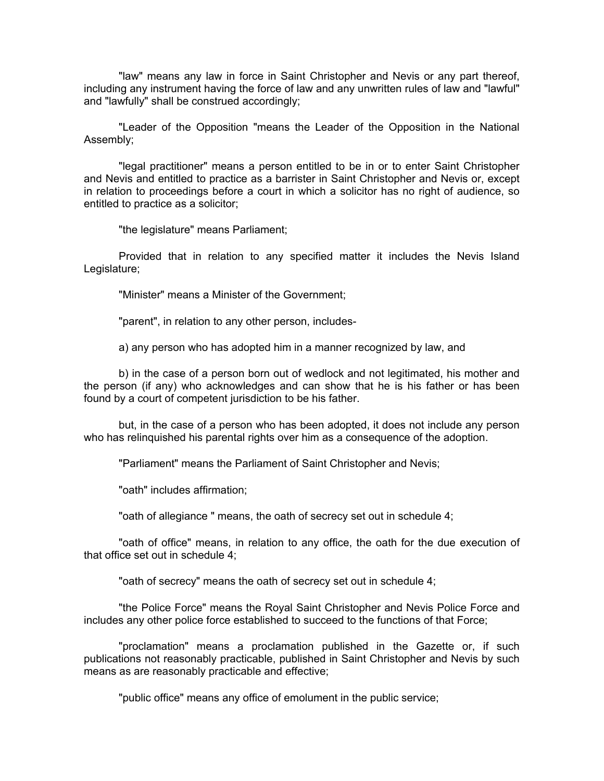"law" means any law in force in Saint Christopher and Nevis or any part thereof, including any instrument having the force of law and any unwritten rules of law and "lawful" and "lawfully" shall be construed accordingly;

"Leader of the Opposition "means the Leader of the Opposition in the National Assembly;

"legal practitioner" means a person entitled to be in or to enter Saint Christopher and Nevis and entitled to practice as a barrister in Saint Christopher and Nevis or, except in relation to proceedings before a court in which a solicitor has no right of audience, so entitled to practice as a solicitor;

"the legislature" means Parliament;

Provided that in relation to any specified matter it includes the Nevis Island Legislature;

"Minister" means a Minister of the Government;

"parent", in relation to any other person, includes-

a) any person who has adopted him in a manner recognized by law, and

b) in the case of a person born out of wedlock and not legitimated, his mother and the person (if any) who acknowledges and can show that he is his father or has been found by a court of competent jurisdiction to be his father.

but, in the case of a person who has been adopted, it does not include any person who has relinquished his parental rights over him as a consequence of the adoption.

"Parliament" means the Parliament of Saint Christopher and Nevis;

"oath" includes affirmation;

"oath of allegiance " means, the oath of secrecy set out in schedule 4;

"oath of office" means, in relation to any office, the oath for the due execution of that office set out in schedule 4;

"oath of secrecy" means the oath of secrecy set out in schedule 4;

"the Police Force" means the Royal Saint Christopher and Nevis Police Force and includes any other police force established to succeed to the functions of that Force;

"proclamation" means a proclamation published in the Gazette or, if such publications not reasonably practicable, published in Saint Christopher and Nevis by such means as are reasonably practicable and effective;

"public office" means any office of emolument in the public service;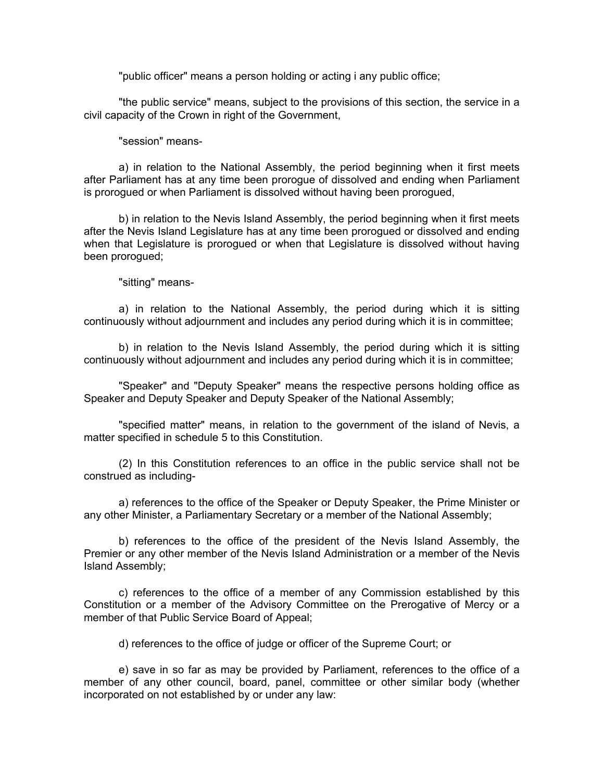"public officer" means a person holding or acting i any public office;

"the public service" means, subject to the provisions of this section, the service in a civil capacity of the Crown in right of the Government,

#### "session" means-

a) in relation to the National Assembly, the period beginning when it first meets after Parliament has at any time been prorogue of dissolved and ending when Parliament is prorogued or when Parliament is dissolved without having been prorogued,

b) in relation to the Nevis Island Assembly, the period beginning when it first meets after the Nevis Island Legislature has at any time been prorogued or dissolved and ending when that Legislature is prorogued or when that Legislature is dissolved without having been prorogued;

#### "sitting" means-

a) in relation to the National Assembly, the period during which it is sitting continuously without adjournment and includes any period during which it is in committee;

b) in relation to the Nevis Island Assembly, the period during which it is sitting continuously without adjournment and includes any period during which it is in committee;

"Speaker" and "Deputy Speaker" means the respective persons holding office as Speaker and Deputy Speaker and Deputy Speaker of the National Assembly;

"specified matter" means, in relation to the government of the island of Nevis, a matter specified in schedule 5 to this Constitution.

(2) In this Constitution references to an office in the public service shall not be construed as including-

a) references to the office of the Speaker or Deputy Speaker, the Prime Minister or any other Minister, a Parliamentary Secretary or a member of the National Assembly;

b) references to the office of the president of the Nevis Island Assembly, the Premier or any other member of the Nevis Island Administration or a member of the Nevis Island Assembly;

c) references to the office of a member of any Commission established by this Constitution or a member of the Advisory Committee on the Prerogative of Mercy or a member of that Public Service Board of Appeal;

d) references to the office of judge or officer of the Supreme Court; or

e) save in so far as may be provided by Parliament, references to the office of a member of any other council, board, panel, committee or other similar body (whether incorporated on not established by or under any law: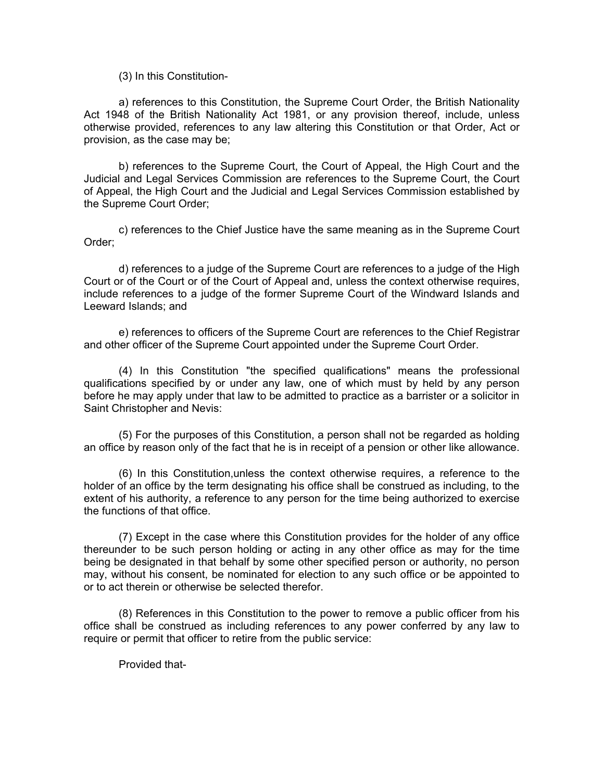(3) In this Constitution-

a) references to this Constitution, the Supreme Court Order, the British Nationality Act 1948 of the British Nationality Act 1981, or any provision thereof, include, unless otherwise provided, references to any law altering this Constitution or that Order, Act or provision, as the case may be;

b) references to the Supreme Court, the Court of Appeal, the High Court and the Judicial and Legal Services Commission are references to the Supreme Court, the Court of Appeal, the High Court and the Judicial and Legal Services Commission established by the Supreme Court Order;

c) references to the Chief Justice have the same meaning as in the Supreme Court Order;

d) references to a judge of the Supreme Court are references to a judge of the High Court or of the Court or of the Court of Appeal and, unless the context otherwise requires, include references to a judge of the former Supreme Court of the Windward Islands and Leeward Islands; and

e) references to officers of the Supreme Court are references to the Chief Registrar and other officer of the Supreme Court appointed under the Supreme Court Order.

(4) In this Constitution "the specified qualifications" means the professional qualifications specified by or under any law, one of which must by held by any person before he may apply under that law to be admitted to practice as a barrister or a solicitor in Saint Christopher and Nevis:

(5) For the purposes of this Constitution, a person shall not be regarded as holding an office by reason only of the fact that he is in receipt of a pension or other like allowance.

(6) In this Constitution,unless the context otherwise requires, a reference to the holder of an office by the term designating his office shall be construed as including, to the extent of his authority, a reference to any person for the time being authorized to exercise the functions of that office.

(7) Except in the case where this Constitution provides for the holder of any office thereunder to be such person holding or acting in any other office as may for the time being be designated in that behalf by some other specified person or authority, no person may, without his consent, be nominated for election to any such office or be appointed to or to act therein or otherwise be selected therefor.

(8) References in this Constitution to the power to remove a public officer from his office shall be construed as including references to any power conferred by any law to require or permit that officer to retire from the public service:

Provided that-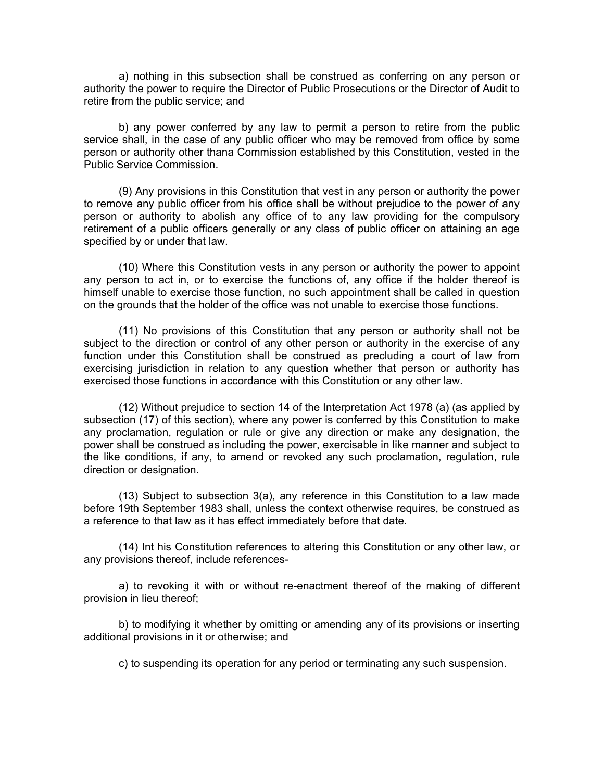a) nothing in this subsection shall be construed as conferring on any person or authority the power to require the Director of Public Prosecutions or the Director of Audit to retire from the public service; and

b) any power conferred by any law to permit a person to retire from the public service shall, in the case of any public officer who may be removed from office by some person or authority other thana Commission established by this Constitution, vested in the Public Service Commission.

(9) Any provisions in this Constitution that vest in any person or authority the power to remove any public officer from his office shall be without prejudice to the power of any person or authority to abolish any office of to any law providing for the compulsory retirement of a public officers generally or any class of public officer on attaining an age specified by or under that law.

(10) Where this Constitution vests in any person or authority the power to appoint any person to act in, or to exercise the functions of, any office if the holder thereof is himself unable to exercise those function, no such appointment shall be called in question on the grounds that the holder of the office was not unable to exercise those functions.

(11) No provisions of this Constitution that any person or authority shall not be subject to the direction or control of any other person or authority in the exercise of any function under this Constitution shall be construed as precluding a court of law from exercising jurisdiction in relation to any question whether that person or authority has exercised those functions in accordance with this Constitution or any other law.

(12) Without prejudice to section 14 of the Interpretation Act 1978 (a) (as applied by subsection (17) of this section), where any power is conferred by this Constitution to make any proclamation, regulation or rule or give any direction or make any designation, the power shall be construed as including the power, exercisable in like manner and subject to the like conditions, if any, to amend or revoked any such proclamation, regulation, rule direction or designation.

(13) Subject to subsection 3(a), any reference in this Constitution to a law made before 19th September 1983 shall, unless the context otherwise requires, be construed as a reference to that law as it has effect immediately before that date.

(14) Int his Constitution references to altering this Constitution or any other law, or any provisions thereof, include references-

a) to revoking it with or without re-enactment thereof of the making of different provision in lieu thereof;

b) to modifying it whether by omitting or amending any of its provisions or inserting additional provisions in it or otherwise; and

c) to suspending its operation for any period or terminating any such suspension.